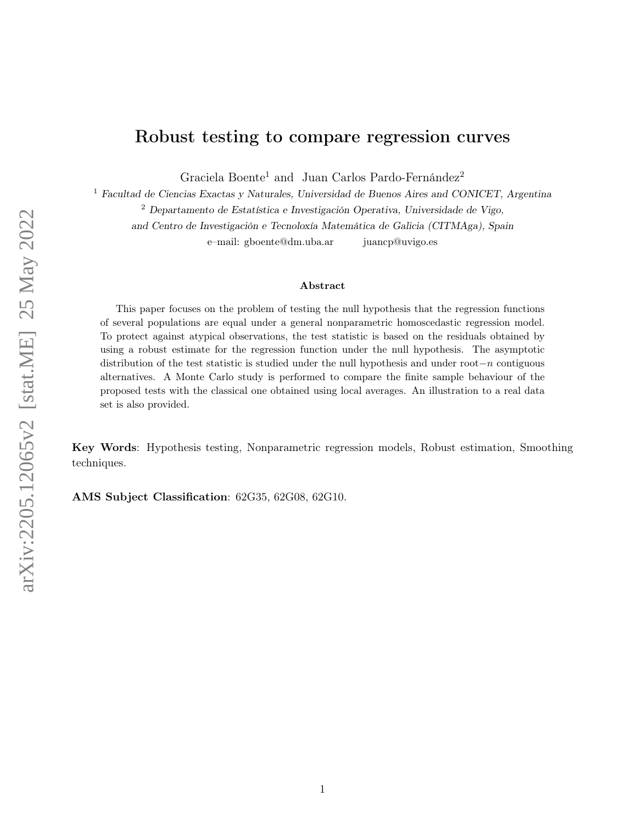# Robust testing to compare regression curves

Graciela Boente<sup>1</sup> and Juan Carlos Pardo-Fernández<sup>2</sup>

<sup>1</sup> Facultad de Ciencias Exactas y Naturales, Universidad de Buenos Aires and CONICET, Argentina

<sup>2</sup> Departamento de Estatística e Investigación Operativa, Universidade de Vigo,

and Centro de Investigación e Tecnoloxía Matemática de Galicia (CITMAga), Spain

e–mail: gboente@dm.uba.ar juancp@uvigo.es

#### Abstract

This paper focuses on the problem of testing the null hypothesis that the regression functions of several populations are equal under a general nonparametric homoscedastic regression model. To protect against atypical observations, the test statistic is based on the residuals obtained by using a robust estimate for the regression function under the null hypothesis. The asymptotic distribution of the test statistic is studied under the null hypothesis and under root−n contiguous alternatives. A Monte Carlo study is performed to compare the finite sample behaviour of the proposed tests with the classical one obtained using local averages. An illustration to a real data set is also provided.

Key Words: Hypothesis testing, Nonparametric regression models, Robust estimation, Smoothing techniques.

AMS Subject Classification: 62G35, 62G08, 62G10.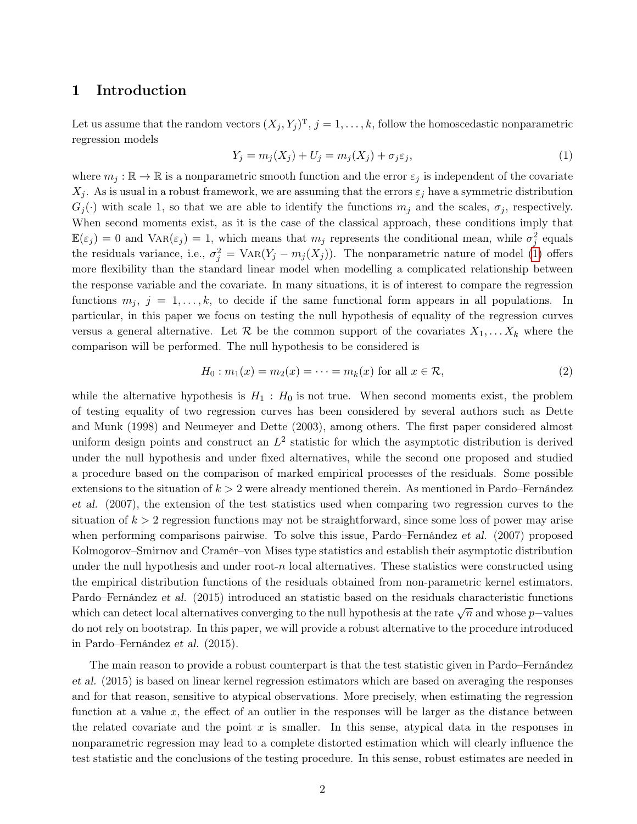### 1 Introduction

Let us assume that the random vectors  $(X_j, Y_j)^T$ ,  $j = 1, \ldots, k$ , follow the homoscedastic nonparametric regression models

<span id="page-1-0"></span>
$$
Y_j = m_j(X_j) + U_j = m_j(X_j) + \sigma_j \varepsilon_j,\tag{1}
$$

where  $m_j : \mathbb{R} \to \mathbb{R}$  is a nonparametric smooth function and the error  $\varepsilon_j$  is independent of the covariate  $X_j$ . As is usual in a robust framework, we are assuming that the errors  $\varepsilon_j$  have a symmetric distribution  $G_i(\cdot)$  with scale 1, so that we are able to identify the functions  $m_i$  and the scales,  $\sigma_i$ , respectively. When second moments exist, as it is the case of the classical approach, these conditions imply that  $\mathbb{E}(\varepsilon_j) = 0$  and  $\text{Var}(\varepsilon_j) = 1$ , which means that  $m_j$  represents the conditional mean, while  $\sigma_j^2$  equals the residuals variance, i.e.,  $\sigma_j^2 = \text{Var}(Y_j - m_j(X_j))$ . The nonparametric nature of model [\(1\)](#page-1-0) offers more flexibility than the standard linear model when modelling a complicated relationship between the response variable and the covariate. In many situations, it is of interest to compare the regression functions  $m_j$ ,  $j = 1, \ldots, k$ , to decide if the same functional form appears in all populations. In particular, in this paper we focus on testing the null hypothesis of equality of the regression curves versus a general alternative. Let  $\mathcal R$  be the common support of the covariates  $X_1, \ldots, X_k$  where the comparison will be performed. The null hypothesis to be considered is

<span id="page-1-1"></span>
$$
H_0: m_1(x) = m_2(x) = \dots = m_k(x) \text{ for all } x \in \mathcal{R},
$$
 (2)

while the alternative hypothesis is  $H_1 : H_0$  is not true. When second moments exist, the problem of testing equality of two regression curves has been considered by several authors such as Dette and Munk (1998) and Neumeyer and Dette (2003), among others. The first paper considered almost uniform design points and construct an  $L^2$  statistic for which the asymptotic distribution is derived under the null hypothesis and under fixed alternatives, while the second one proposed and studied a procedure based on the comparison of marked empirical processes of the residuals. Some possible extensions to the situation of  $k > 2$  were already mentioned therein. As mentioned in Pardo–Fernández et al. (2007), the extension of the test statistics used when comparing two regression curves to the situation of  $k > 2$  regression functions may not be straightforward, since some loss of power may arise when performing comparisons pairwise. To solve this issue, Pardo–Fernández et al. (2007) proposed Kolmogorov–Smirnov and Cramér–von Mises type statistics and establish their asymptotic distribution under the null hypothesis and under root-n local alternatives. These statistics were constructed using the empirical distribution functions of the residuals obtained from non-parametric kernel estimators. Pardo–Fernández et al. (2015) introduced an statistic based on the residuals characteristic functions which can detect local alternatives converging to the null hypothesis at the rate  $\sqrt{n}$  and whose p−values do not rely on bootstrap. In this paper, we will provide a robust alternative to the procedure introduced in Pardo–Fernández et al. (2015).

The main reason to provide a robust counterpart is that the test statistic given in Pardo–Fernández et al. (2015) is based on linear kernel regression estimators which are based on averaging the responses and for that reason, sensitive to atypical observations. More precisely, when estimating the regression function at a value  $x$ , the effect of an outlier in the responses will be larger as the distance between the related covariate and the point x is smaller. In this sense, atypical data in the responses in nonparametric regression may lead to a complete distorted estimation which will clearly influence the test statistic and the conclusions of the testing procedure. In this sense, robust estimates are needed in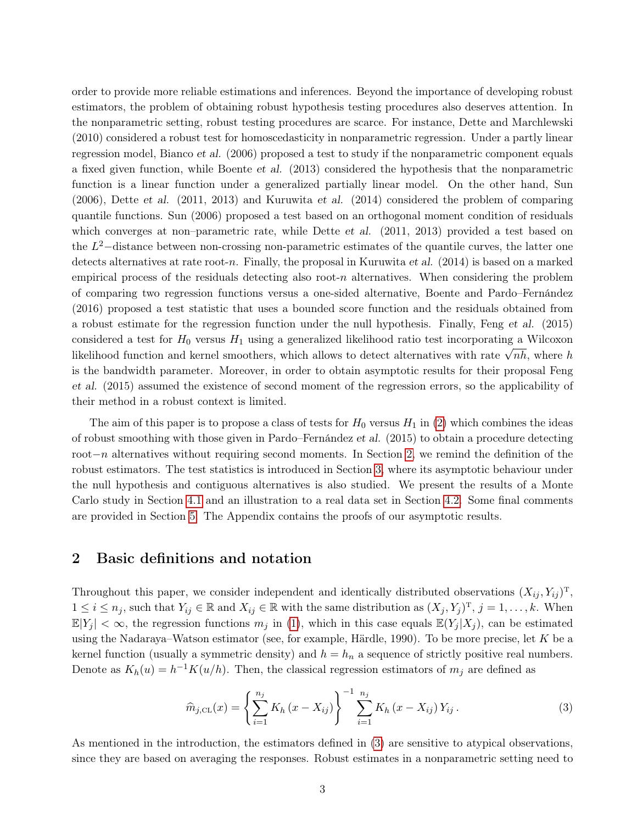order to provide more reliable estimations and inferences. Beyond the importance of developing robust estimators, the problem of obtaining robust hypothesis testing procedures also deserves attention. In the nonparametric setting, robust testing procedures are scarce. For instance, Dette and Marchlewski (2010) considered a robust test for homoscedasticity in nonparametric regression. Under a partly linear regression model, Bianco et al. (2006) proposed a test to study if the nonparametric component equals a fixed given function, while Boente et al. (2013) considered the hypothesis that the nonparametric function is a linear function under a generalized partially linear model. On the other hand, Sun (2006), Dette et al. (2011, 2013) and Kuruwita et al. (2014) considered the problem of comparing quantile functions. Sun (2006) proposed a test based on an orthogonal moment condition of residuals which converges at non-parametric rate, while Dette et al. (2011, 2013) provided a test based on the  $L^2$ -distance between non-crossing non-parametric estimates of the quantile curves, the latter one detects alternatives at rate root-n. Finally, the proposal in Kuruwita et al.  $(2014)$  is based on a marked empirical process of the residuals detecting also root- $n$  alternatives. When considering the problem of comparing two regression functions versus a one-sided alternative, Boente and Pardo–Fernández (2016) proposed a test statistic that uses a bounded score function and the residuals obtained from a robust estimate for the regression function under the null hypothesis. Finally, Feng et al. (2015) considered a test for  $H_0$  versus  $H_1$  using a generalized likelihood ratio test incorporating a Wilcoxon considered a test for  $H_0$  versus  $H_1$  using a generalized intentional ratio test incorporating a wildowing a version. is the bandwidth parameter. Moreover, in order to obtain asymptotic results for their proposal Feng et al. (2015) assumed the existence of second moment of the regression errors, so the applicability of their method in a robust context is limited.

The aim of this paper is to propose a class of tests for  $H_0$  versus  $H_1$  in [\(2\)](#page-1-1) which combines the ideas of robust smoothing with those given in Pardo–Fernández et al. (2015) to obtain a procedure detecting root−n alternatives without requiring second moments. In Section [2,](#page-2-0) we remind the definition of the robust estimators. The test statistics is introduced in Section [3,](#page-4-0) where its asymptotic behaviour under the null hypothesis and contiguous alternatives is also studied. We present the results of a Monte Carlo study in Section [4.1](#page-7-0) and an illustration to a real data set in Section [4.2.](#page-10-0) Some final comments are provided in Section [5.](#page-13-0) The Appendix contains the proofs of our asymptotic results.

### <span id="page-2-0"></span>2 Basic definitions and notation

Throughout this paper, we consider independent and identically distributed observations  $(X_{ij}, Y_{ij})^T$ ,  $1 \leq i \leq n_j$ , such that  $Y_{ij} \in \mathbb{R}$  and  $X_{ij} \in \mathbb{R}$  with the same distribution as  $(X_j, Y_j)^T$ ,  $j = 1, \ldots, k$ . When  $\mathbb{E}[Y_i] < \infty$ , the regression functions  $m_j$  in [\(1\)](#page-1-0), which in this case equals  $\mathbb{E}(Y_i | X_j)$ , can be estimated using the Nadaraya–Watson estimator (see, for example, Härdle, 1990). To be more precise, let K be a kernel function (usually a symmetric density) and  $h = h_n$  a sequence of strictly positive real numbers. Denote as  $K_h(u) = h^{-1}K(u/h)$ . Then, the classical regression estimators of  $m_j$  are defined as

<span id="page-2-1"></span>
$$
\widehat{m}_{j,\text{CL}}(x) = \left\{ \sum_{i=1}^{n_j} K_h(x - X_{ij}) \right\}^{-1} \sum_{i=1}^{n_j} K_h(x - X_{ij}) Y_{ij} . \tag{3}
$$

As mentioned in the introduction, the estimators defined in [\(3\)](#page-2-1) are sensitive to atypical observations, since they are based on averaging the responses. Robust estimates in a nonparametric setting need to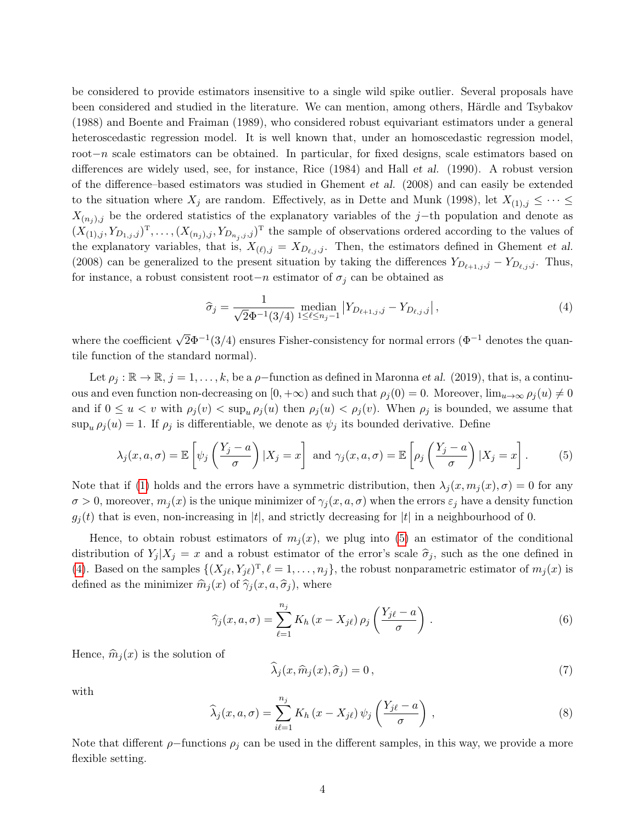be considered to provide estimators insensitive to a single wild spike outlier. Several proposals have been considered and studied in the literature. We can mention, among others, Härdle and Tsybakov (1988) and Boente and Fraiman (1989), who considered robust equivariant estimators under a general heteroscedastic regression model. It is well known that, under an homoscedastic regression model, root−n scale estimators can be obtained. In particular, for fixed designs, scale estimators based on differences are widely used, see, for instance, Rice (1984) and Hall et al. (1990). A robust version of the difference–based estimators was studied in Ghement et al. (2008) and can easily be extended to the situation where  $X_j$  are random. Effectively, as in Dette and Munk (1998), let  $X_{(1),j} \leq \cdots \leq$  $X_{(n_j),j}$  be the ordered statistics of the explanatory variables of the j–th population and denote as  $(X_{(1),j}, Y_{D_{1,j},j})^{\mathrm{T}}, \ldots, (X_{(n_j),j}, Y_{D_{n_j},j},j)^{\mathrm{T}}$  the sample of observations ordered according to the values of the explanatory variables, that is,  $X_{(\ell),j} = X_{D_{\ell,j},j}$ . Then, the estimators defined in Ghement et al. (2008) can be generalized to the present situation by taking the differences  $Y_{D_{\ell+1,j},j} - Y_{D_{\ell,j},j}$ . Thus, for instance, a robust consistent root−n estimator of  $\sigma_j$  can be obtained as

<span id="page-3-1"></span>
$$
\hat{\sigma}_j = \frac{1}{\sqrt{2}\Phi^{-1}(3/4)} \operatorname{median}_{1 \le \ell \le n_j - 1} \left| Y_{D_{\ell+1,j},j} - Y_{D_{\ell,j},j} \right|,\tag{4}
$$

where the coefficient  $\sqrt{2}\Phi^{-1}(3/4)$  ensures Fisher-consistency for normal errors ( $\Phi^{-1}$  denotes the quantile function of the standard normal).

Let  $\rho_j : \mathbb{R} \to \mathbb{R}$ ,  $j = 1, \ldots, k$ , be a  $\rho$ -function as defined in Maronna *et al.* (2019), that is, a continuous and even function non-decreasing on  $[0, +\infty)$  and such that  $\rho_j(0) = 0$ . Moreover,  $\lim_{u\to\infty} \rho_j(u) \neq 0$ and if  $0 \le u < v$  with  $\rho_j(v) < \sup_u \rho_j(u)$  then  $\rho_j(u) < \rho_j(v)$ . When  $\rho_j$  is bounded, we assume that  $\sup_{\mu} \rho_i(u) = 1$ . If  $\rho_i$  is differentiable, we denote as  $\psi_i$  its bounded derivative. Define

<span id="page-3-0"></span>
$$
\lambda_j(x, a, \sigma) = \mathbb{E}\left[\psi_j\left(\frac{Y_j - a}{\sigma}\right) | X_j = x\right] \text{ and } \gamma_j(x, a, \sigma) = \mathbb{E}\left[\rho_j\left(\frac{Y_j - a}{\sigma}\right) | X_j = x\right].
$$
 (5)

Note that if [\(1\)](#page-1-0) holds and the errors have a symmetric distribution, then  $\lambda_j(x, m_j(x), \sigma) = 0$  for any  $\sigma > 0$ , moreover,  $m_j(x)$  is the unique minimizer of  $\gamma_j(x, a, \sigma)$  when the errors  $\varepsilon_j$  have a density function  $g_i(t)$  that is even, non-increasing in |t|, and strictly decreasing for |t| in a neighbourhood of 0.

Hence, to obtain robust estimators of  $m_i(x)$ , we plug into [\(5\)](#page-3-0) an estimator of the conditional distribution of  $Y_j | X_j = x$  and a robust estimator of the error's scale  $\hat{\sigma}_j$ , such as the one defined in [\(4\)](#page-3-1). Based on the samples  $\{(X_{j\ell}, Y_{j\ell})^T, \ell = 1, \ldots, n_j\}$ , the robust nonparametric estimator of  $m_j(x)$  is defined as the minimizer  $\hat{m}_j (x)$  of  $\hat{\gamma}_j (x, a, \hat{\sigma}_j)$ , where

$$
\widehat{\gamma}_j(x, a, \sigma) = \sum_{\ell=1}^{n_j} K_h(x - X_{j\ell}) \rho_j\left(\frac{Y_{j\ell} - a}{\sigma}\right). \tag{6}
$$

Hence,  $\hat{m}_i (x)$  is the solution of

<span id="page-3-2"></span>
$$
\widehat{\lambda}_j(x, \widehat{m}_j(x), \widehat{\sigma}_j) = 0, \tag{7}
$$

with

$$
\widehat{\lambda}_j(x, a, \sigma) = \sum_{i\ell=1}^{n_j} K_h(x - X_{j\ell}) \psi_j\left(\frac{Y_{j\ell} - a}{\sigma}\right),\tag{8}
$$

Note that different  $\rho$ -functions  $\rho_j$  can be used in the different samples, in this way, we provide a more flexible setting.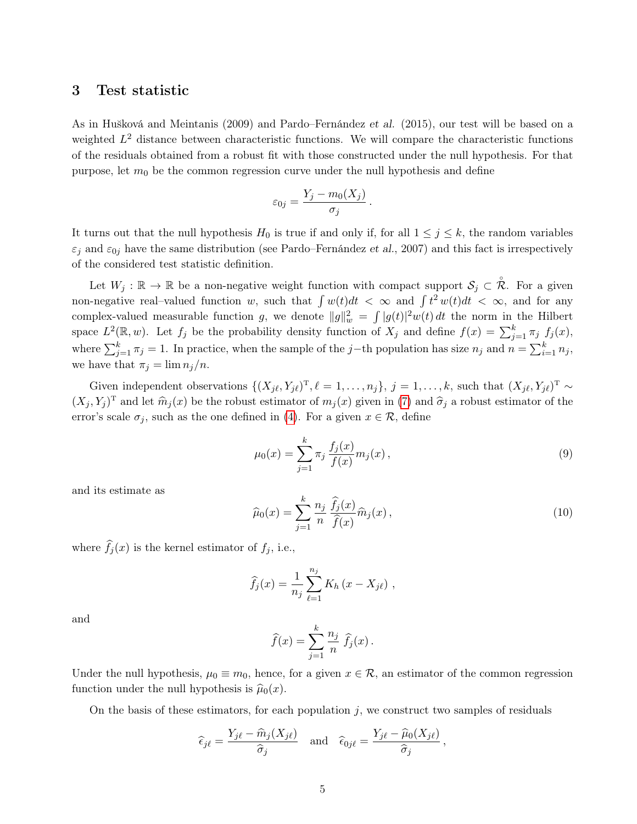### <span id="page-4-0"></span>3 Test statistic

As in Hušková and Meintanis (2009) and Pardo–Fernández et al. (2015), our test will be based on a weighted  $L^2$  distance between characteristic functions. We will compare the characteristic functions of the residuals obtained from a robust fit with those constructed under the null hypothesis. For that purpose, let  $m_0$  be the common regression curve under the null hypothesis and define

$$
\varepsilon_{0j} = \frac{Y_j - m_0(X_j)}{\sigma_j}
$$

.

It turns out that the null hypothesis  $H_0$  is true if and only if, for all  $1 \leq j \leq k$ , the random variables  $\varepsilon_j$  and  $\varepsilon_{0j}$  have the same distribution (see Pardo–Fernández et al., 2007) and this fact is irrespectively of the considered test statistic definition.

Let  $W_j : \mathbb{R} \to \mathbb{R}$  be a non-negative weight function with compact support  $\mathcal{S}_j \subset \mathring{\mathcal{R}}$ . For a given non-negative real-valued function w, such that  $\int w(t)dt < \infty$  and  $\int t^2 w(t)dt < \infty$ , and for any complex-valued measurable function g, we denote  $||g||_w^2 = \int |g(t)|^2 w(t) dt$  the norm in the Hilbert space  $L^2(\mathbb{R}, w)$ . Let  $f_j$  be the probability density function of  $X_j$  and define  $f(x) = \sum_{j=1}^k \pi_j f_j(x)$ , where  $\sum_{j=1}^{k} \pi_j = 1$ . In practice, when the sample of the j–th population has size  $n_j$  and  $n = \sum_{i=1}^{k} n_j$ , we have that  $\pi_j = \lim n_j/n$ .

Given independent observations  $\{(X_{j\ell}, Y_{j\ell})^T, \ell = 1, \ldots, n_j\}, j = 1, \ldots, k$ , such that  $(X_{j\ell}, Y_{j\ell})^T \sim$  $(X_j, Y_j)$ <sup>T</sup> and let  $\widehat{m}_j(x)$  be the robust estimator of  $m_j(x)$  given in [\(7\)](#page-3-2) and  $\widehat{\sigma}_j$  a robust estimator of the error's scale  $\sigma_j$ , such as the one defined in [\(4\)](#page-3-1). For a given  $x \in \mathcal{R}$ , define

<span id="page-4-1"></span>
$$
\mu_0(x) = \sum_{j=1}^k \pi_j \frac{f_j(x)}{f(x)} m_j(x), \qquad (9)
$$

and its estimate as

<span id="page-4-2"></span>
$$
\widehat{\mu}_0(x) = \sum_{j=1}^k \frac{n_j}{n} \frac{\widehat{f}_j(x)}{\widehat{f}(x)} \widehat{m}_j(x),\tag{10}
$$

where  $\widehat{f}_j(x)$  is the kernel estimator of  $f_j$ , i.e.,

$$
\widehat{f}_j(x) = \frac{1}{n_j} \sum_{\ell=1}^{n_j} K_h(x - X_{j\ell}),
$$

and

$$
\widehat{f}(x) = \sum_{j=1}^{k} \frac{n_j}{n} \widehat{f}_j(x).
$$

Under the null hypothesis,  $\mu_0 \equiv m_0$ , hence, for a given  $x \in \mathcal{R}$ , an estimator of the common regression function under the null hypothesis is  $\hat{\mu}_0(x)$ .

On the basis of these estimators, for each population  $j$ , we construct two samples of residuals

$$
\widehat{\epsilon}_{j\ell} = \frac{Y_{j\ell} - \widehat{m}_j(X_{j\ell})}{\widehat{\sigma}_j} \quad \text{and} \quad \widehat{\epsilon}_{0j\ell} = \frac{Y_{j\ell} - \widehat{\mu}_0(X_{j\ell})}{\widehat{\sigma}_j},
$$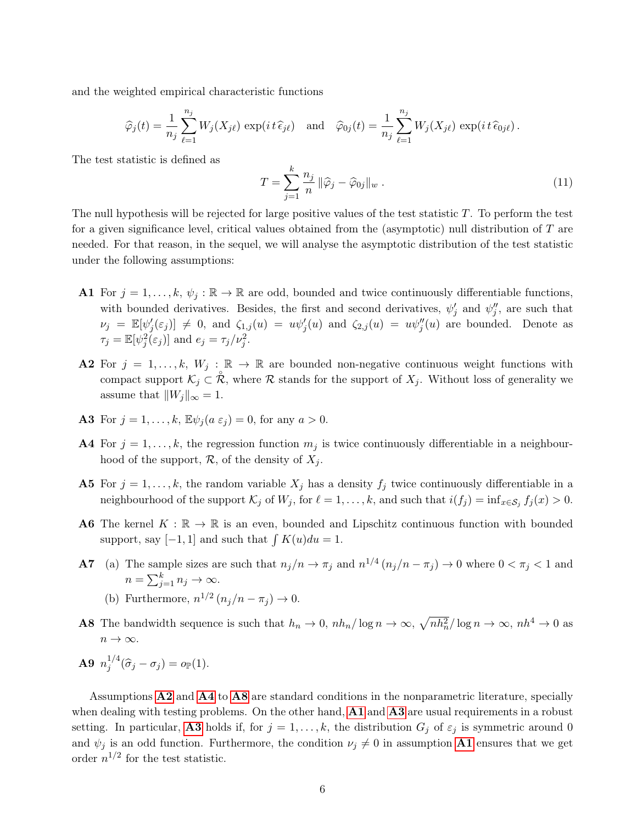and the weighted empirical characteristic functions

$$
\widehat{\varphi}_j(t) = \frac{1}{n_j} \sum_{\ell=1}^{n_j} W_j(X_{j\ell}) \exp(it\,\widehat{\epsilon}_{j\ell}) \quad \text{and} \quad \widehat{\varphi}_{0j}(t) = \frac{1}{n_j} \sum_{\ell=1}^{n_j} W_j(X_{j\ell}) \exp(it\,\widehat{\epsilon}_{0j\ell}).
$$

The test statistic is defined as

$$
T = \sum_{j=1}^{k} \frac{n_j}{n} \|\widehat{\varphi}_j - \widehat{\varphi}_{0j}\|_{w} . \tag{11}
$$

The null hypothesis will be rejected for large positive values of the test statistic  $T$ . To perform the test for a given significance level, critical values obtained from the (asymptotic) null distribution of T are needed. For that reason, in the sequel, we will analyse the asymptotic distribution of the test statistic under the following assumptions:

- <span id="page-5-3"></span>**A1** For  $j = 1, \ldots, k, \psi_j : \mathbb{R} \to \mathbb{R}$  are odd, bounded and twice continuously differentiable functions, with bounded derivatives. Besides, the first and second derivatives,  $\psi'_j$  and  $\psi''_j$ , are such that  $\nu_j = \mathbb{E}[\psi_j'(\varepsilon_j)] \neq 0$ , and  $\zeta_{1,j}(u) = u\psi_j'(u)$  and  $\zeta_{2,j}(u) = u\psi_j''(u)$  are bounded. Denote as  $\tau_j = \mathbb{E}[\psi_j^2(\varepsilon_j)]$  and  $e_j = \tau_j/\nu_j^2$ .
- <span id="page-5-0"></span>A2 For  $j = 1, ..., k$ ,  $W_j : \mathbb{R} \to \mathbb{R}$  are bounded non-negative continuous weight functions with compact support  $\mathcal{K}_j \subset \mathring{\mathcal{R}}$ , where  $\mathcal R$  stands for the support of  $X_j$ . Without loss of generality we assume that  $||W_j||_{\infty} = 1$ .
- <span id="page-5-4"></span>**A3** For  $j = 1, \ldots, k$ ,  $\mathbb{E} \psi_i(a \varepsilon_j) = 0$ , for any  $a > 0$ .
- <span id="page-5-1"></span>A4 For  $j = 1, \ldots, k$ , the regression function  $m_j$  is twice continuously differentiable in a neighbourhood of the support,  $\mathcal{R}$ , of the density of  $X_i$ .
- <span id="page-5-8"></span>**A5** For  $j = 1, ..., k$ , the random variable  $X_j$  has a density  $f_j$  twice continuously differentiable in a neighbourhood of the support  $\mathcal{K}_j$  of  $W_j$ , for  $\ell = 1, \ldots, k$ , and such that  $i(f_j) = \inf_{x \in \mathcal{S}_j} f_j(x) > 0$ .
- <span id="page-5-5"></span>**A6** The kernel  $K : \mathbb{R} \to \mathbb{R}$  is an even, bounded and Lipschitz continuous function with bounded support, say  $[-1, 1]$  and such that  $\int K(u)du = 1$ .
- <span id="page-5-9"></span><span id="page-5-6"></span>**A7** (a) The sample sizes are such that  $n_j/n \to \pi_j$  and  $n^{1/4} (n_j/n - \pi_j) \to 0$  where  $0 < \pi_j < 1$  and  $n = \sum_{j=1}^{k} n_j \to \infty.$ 
	- (b) Furthermore,  $n^{1/2} (n_j/n \pi_j) \rightarrow 0$ .
- <span id="page-5-2"></span>**A8** The bandwidth sequence is such that  $h_n \to 0$ ,  $nh_n/\log n \to \infty$ ,  $\sqrt{nh_n^2}/\log n \to \infty$ ,  $nh^4 \to 0$  as  $n \to \infty$ .
- <span id="page-5-7"></span> $\mathbf{A9}$   $n_i^{1/4}$  $j_j^{1/4}(\widehat{\sigma}_j-\sigma_j)=o_{\mathbb{P}}(1).$

Assumptions [A2](#page-5-0) and [A4](#page-5-1) to [A8](#page-5-2) are standard conditions in the nonparametric literature, specially when dealing with testing problems. On the other hand,  $\mathbf{A1}$  $\mathbf{A1}$  $\mathbf{A1}$  and  $\mathbf{A3}$  $\mathbf{A3}$  $\mathbf{A3}$  are usual requirements in a robust setting. In particular, **[A3](#page-5-4)** holds if, for  $j = 1, ..., k$ , the distribution  $G_j$  of  $\varepsilon_j$  is symmetric around 0 and  $\psi_j$  is an odd function. Furthermore, the condition  $\nu_j \neq 0$  in assumption [A1](#page-5-3) ensures that we get order  $n^{1/2}$  for the test statistic.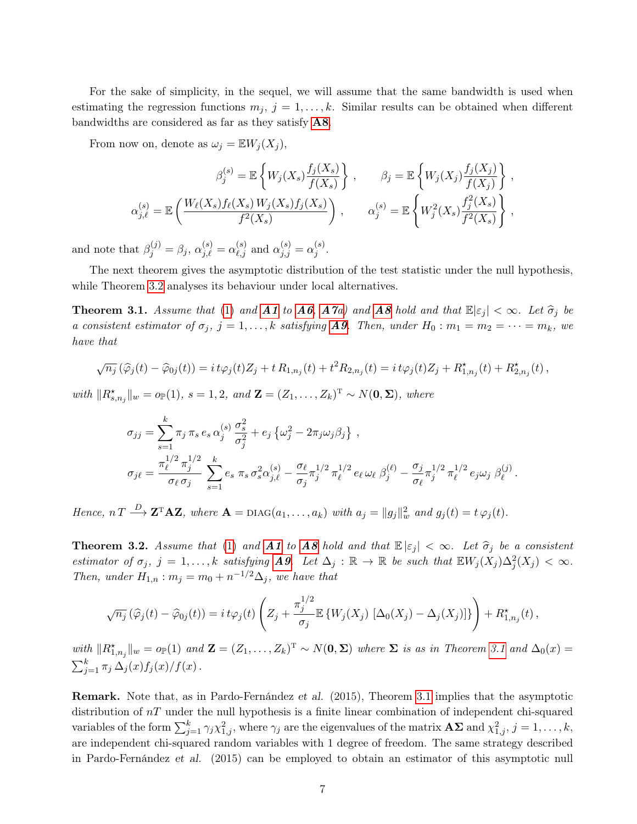For the sake of simplicity, in the sequel, we will assume that the same bandwidth is used when estimating the regression functions  $m_j$ ,  $j = 1, ..., k$ . Similar results can be obtained when different bandwidths are considered as far as they satisfy [A8](#page-5-2).

From now on, denote as  $\omega_j = \mathbb{E} W_j(X_j)$ ,

$$
\beta_j^{(s)} = \mathbb{E}\left\{W_j(X_s)\frac{f_j(X_s)}{f(X_s)}\right\}, \qquad \beta_j = \mathbb{E}\left\{W_j(X_j)\frac{f_j(X_j)}{f(X_j)}\right\},
$$
  

$$
\alpha_{j,\ell}^{(s)} = \mathbb{E}\left(\frac{W_\ell(X_s)f_\ell(X_s)W_j(X_s)f_j(X_s)}{f^2(X_s)}\right), \qquad \alpha_j^{(s)} = \mathbb{E}\left\{W_j^2(X_s)\frac{f_j^2(X_s)}{f^2(X_s)}\right\},
$$

and note that  $\beta_j^{(j)} = \beta_j$ ,  $\alpha_{j,\ell}^{(s)} = \alpha_{\ell,j}^{(s)}$  and  $\alpha_{j,j}^{(s)} = \alpha_j^{(s)}$  $j^{(s)}$  .

The next theorem gives the asymptotic distribution of the test statistic under the null hypothesis, while Theorem [3.2](#page-6-0) analyses its behaviour under local alternatives.

<span id="page-6-1"></span>**Theorem 3.1.** Assume that [\(1\)](#page-1-0) and **[A1](#page-5-3)** to **[A6](#page-5-5)**, **[A7](#page-5-6)**a) and **[A8](#page-5-2)** hold and that  $\mathbb{E}|\varepsilon_j| < \infty$ . Let  $\hat{\sigma}_j$  be a consistent estimator of  $\sigma_j$ ,  $j = 1, \ldots, k$  satisfying **[A9](#page-5-7)**. Then, under  $H_0 : m_1 = m_2 = \cdots = m_k$ , we have that

$$
\sqrt{n_j}(\widehat{\varphi}_j(t) - \widehat{\varphi}_{0j}(t)) = i t \varphi_j(t) Z_j + t R_{1,n_j}(t) + t^2 R_{2,n_j}(t) = i t \varphi_j(t) Z_j + R_{1,n_j}^{\star}(t) + R_{2,n_j}^{\star}(t) ,
$$

with  $||R^{\star}_{s,n_j}||_w = o_{\mathbb{P}}(1), s = 1, 2, and$   $\mathbf{Z} = (Z_1, \ldots, Z_k)^{\mathrm{T}} \sim N(\mathbf{0}, \mathbf{\Sigma}),$  where

$$
\sigma_{jj} = \sum_{s=1}^{k} \pi_j \pi_s e_s \alpha_j^{(s)} \frac{\sigma_s^2}{\sigma_j^2} + e_j \left\{ \omega_j^2 - 2\pi_j \omega_j \beta_j \right\},
$$
  

$$
\sigma_{j\ell} = \frac{\pi_{\ell}^{1/2} \pi_j^{1/2}}{\sigma_{\ell} \sigma_j} \sum_{s=1}^{k} e_s \pi_s \sigma_s^2 \alpha_{j,\ell}^{(s)} - \frac{\sigma_{\ell}}{\sigma_j} \pi_j^{1/2} \pi_{\ell}^{1/2} e_{\ell} \omega_{\ell} \beta_j^{(\ell)} - \frac{\sigma_j}{\sigma_{\ell}} \pi_j^{1/2} \pi_{\ell}^{1/2} e_j \omega_j \beta_{\ell}^{(j)}.
$$

Hence,  $nT \stackrel{D}{\longrightarrow} \mathbf{Z}^T \mathbf{A} \mathbf{Z}$ , where  $\mathbf{A} = \text{diag}(a_1, \ldots, a_k)$  with  $a_j = ||g_j||_w^2$  and  $g_j(t) = t \varphi_j(t)$ .

<span id="page-6-0"></span>**Theorem 3.2.** Assume that [\(1\)](#page-1-0) and **[A1](#page-5-3)** to **[A8](#page-5-2)** hold and that  $\mathbb{E}|\varepsilon_j| < \infty$ . Let  $\hat{\sigma}_j$  be a consistent estimator of  $\sigma_j$ ,  $j = 1, ..., k$  satisfying **[A9](#page-5-7)**. Let  $\Delta_j : \mathbb{R} \to \mathbb{R}$  be such that  $\mathbb{E} W_j(X_j) \Delta_j^2(X_j) < \infty$ . Then, under  $H_{1,n}$ :  $m_j = m_0 + n^{-1/2} \Delta_j$ , we have that

$$
\sqrt{n_j}(\widehat{\varphi}_j(t) - \widehat{\varphi}_{0j}(t)) = i t \varphi_j(t) \left( Z_j + \frac{\pi_j^{1/2}}{\sigma_j} \mathbb{E} \left\{ W_j(X_j) \left[ \Delta_0(X_j) - \Delta_j(X_j) \right] \right\} \right) + R_{1,n_j}^{\star}(t),
$$

with  $||R^*_{1,n_j}||_w = o_{\mathbb{P}}(1)$  and  $\mathbf{Z} = (Z_1,\ldots,Z_k)^T \sim N(\mathbf{0},\Sigma)$  where  $\Sigma$  is as in Theorem [3.1](#page-6-1) and  $\Delta_0(x) =$  $\sum_{j=1}^k \pi_j \,\Delta_j(x) f_j(x)/f(x)$ .

Remark. Note that, as in Pardo-Fernández et al. (2015), Theorem [3.1](#page-6-1) implies that the asymptotic distribution of  $nT$  under the null hypothesis is a finite linear combination of independent chi-squared variables of the form  $\sum_{j=1}^k \gamma_j \chi^2_{1,j}$ , where  $\gamma_j$  are the eigenvalues of the matrix  $\mathbf{A\Sigma}$  and  $\chi^2_{1,j}$ ,  $j=1,\ldots,k,$ are independent chi-squared random variables with 1 degree of freedom. The same strategy described in Pardo-Fernández et al. (2015) can be employed to obtain an estimator of this asymptotic null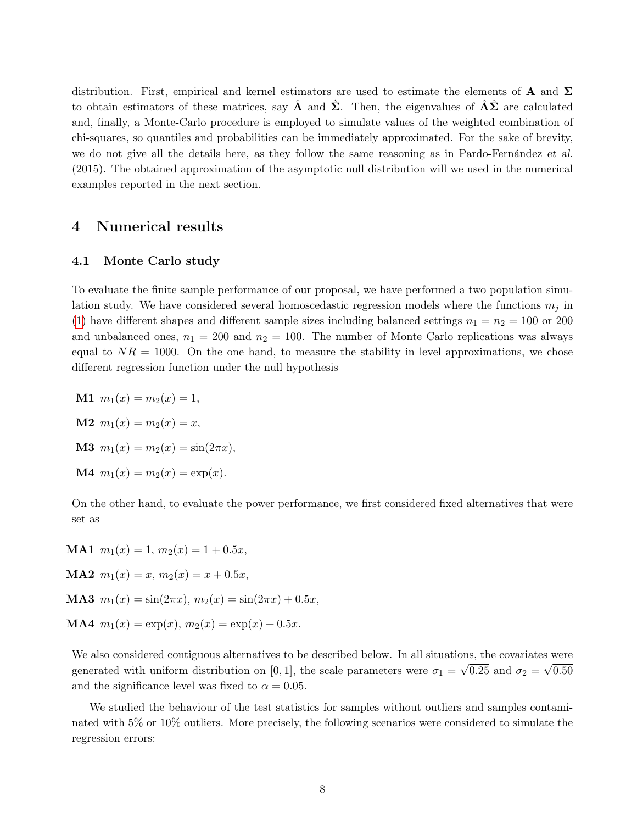distribution. First, empirical and kernel estimators are used to estimate the elements of **A** and  $\Sigma$ to obtain estimators of these matrices, say **A** and  $\Sigma$ . Then, the eigenvalues of  $A\Sigma$  are calculated and, finally, a Monte-Carlo procedure is employed to simulate values of the weighted combination of chi-squares, so quantiles and probabilities can be immediately approximated. For the sake of brevity, we do not give all the details here, as they follow the same reasoning as in Pardo-Fernández et al. (2015). The obtained approximation of the asymptotic null distribution will we used in the numerical examples reported in the next section.

### 4 Numerical results

#### <span id="page-7-0"></span>4.1 Monte Carlo study

To evaluate the finite sample performance of our proposal, we have performed a two population simulation study. We have considered several homoscedastic regression models where the functions  $m_i$  in [\(1\)](#page-1-0) have different shapes and different sample sizes including balanced settings  $n_1 = n_2 = 100$  or 200 and unbalanced ones,  $n_1 = 200$  and  $n_2 = 100$ . The number of Monte Carlo replications was always equal to  $NR = 1000$ . On the one hand, to measure the stability in level approximations, we chose different regression function under the null hypothesis

<span id="page-7-3"></span><span id="page-7-2"></span><span id="page-7-1"></span>**M1**  $m_1(x) = m_2(x) = 1$ , **M2**  $m_1(x) = m_2(x) = x$ , **M3**  $m_1(x) = m_2(x) = \sin(2\pi x),$ **M4**  $m_1(x) = m_2(x) = \exp(x)$ .

<span id="page-7-4"></span>On the other hand, to evaluate the power performance, we first considered fixed alternatives that were set as

<span id="page-7-7"></span><span id="page-7-6"></span><span id="page-7-5"></span>**MA1**  $m_1(x) = 1$ ,  $m_2(x) = 1 + 0.5x$ , **MA2**  $m_1(x) = x$ ,  $m_2(x) = x + 0.5x$ , MA3  $m_1(x) = \sin(2\pi x), m_2(x) = \sin(2\pi x) + 0.5x,$ **MA4**  $m_1(x) = \exp(x), m_2(x) = \exp(x) + 0.5x$ .

<span id="page-7-8"></span>We also considered contiguous alternatives to be described below. In all situations, the covariates were generated with uniform distribution on [0, 1], the scale parameters were  $\sigma_1 = \sqrt{0.25}$  and  $\sigma_2 = \sqrt{0.50}$ and the significance level was fixed to  $\alpha = 0.05$ .

We studied the behaviour of the test statistics for samples without outliers and samples contaminated with 5% or 10% outliers. More precisely, the following scenarios were considered to simulate the regression errors: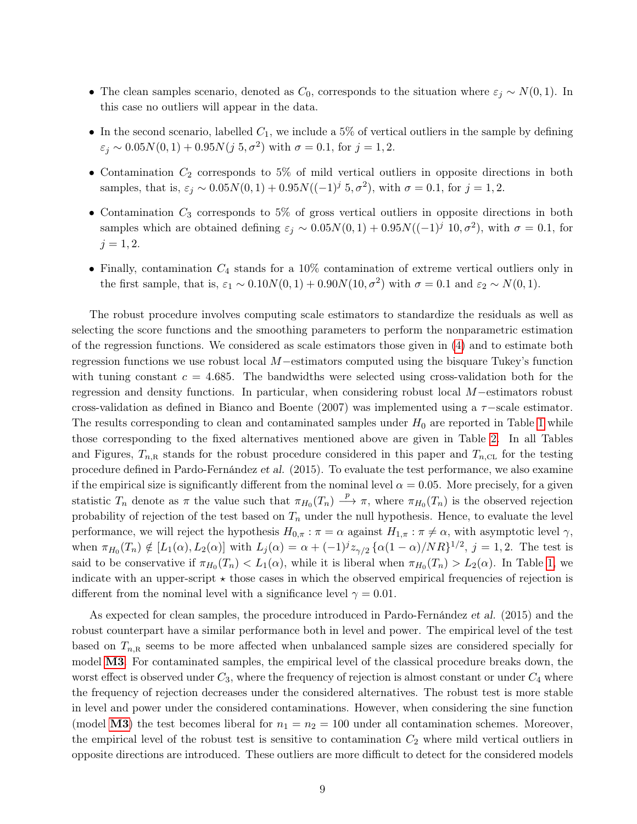- The clean samples scenario, denoted as  $C_0$ , corresponds to the situation where  $\varepsilon_j \sim N(0, 1)$ . In this case no outliers will appear in the data.
- In the second scenario, labelled  $C_1$ , we include a 5% of vertical outliers in the sample by defining  $\varepsilon_j \sim 0.05N(0,1) + 0.95N(j, 5, \sigma^2)$  with  $\sigma = 0.1$ , for  $j = 1, 2$ .
- Contamination  $C_2$  corresponds to 5% of mild vertical outliers in opposite directions in both samples, that is,  $\varepsilon_j \sim 0.05N(0,1) + 0.95N((-1)^j 5, \sigma^2)$ , with  $\sigma = 0.1$ , for  $j = 1, 2$ .
- Contamination  $C_3$  corresponds to 5% of gross vertical outliers in opposite directions in both samples which are obtained defining  $\varepsilon_j \sim 0.05N(0,1) + 0.95N((-1)^j 10, \sigma^2)$ , with  $\sigma = 0.1$ , for  $j = 1, 2.$
- Finally, contamination  $C_4$  stands for a 10% contamination of extreme vertical outliers only in the first sample, that is,  $\varepsilon_1 \sim 0.10 N(0, 1) + 0.90 N(10, \sigma^2)$  with  $\sigma = 0.1$  and  $\varepsilon_2 \sim N(0, 1)$ .

The robust procedure involves computing scale estimators to standardize the residuals as well as selecting the score functions and the smoothing parameters to perform the nonparametric estimation of the regression functions. We considered as scale estimators those given in [\(4\)](#page-3-1) and to estimate both regression functions we use robust local M−estimators computed using the bisquare Tukey's function with tuning constant  $c = 4.685$ . The bandwidths were selected using cross-validation both for the regression and density functions. In particular, when considering robust local M−estimators robust cross-validation as defined in Bianco and Boente (2007) was implemented using a  $\tau$ -scale estimator. The results corresponding to clean and contaminated samples under  $H_0$  are reported in Table [1](#page-9-0) while those corresponding to the fixed alternatives mentioned above are given in Table [2.](#page-10-1) In all Tables and Figures,  $T_{n,\text{R}}$  stands for the robust procedure considered in this paper and  $T_{n,\text{CL}}$  for the testing procedure defined in Pardo-Fernández et al. (2015). To evaluate the test performance, we also examine if the empirical size is significantly different from the nominal level  $\alpha = 0.05$ . More precisely, for a given statistic  $T_n$  denote as  $\pi$  the value such that  $\pi_{H_0}(T_n) \stackrel{p}{\longrightarrow} \pi$ , where  $\pi_{H_0}(T_n)$  is the observed rejection probability of rejection of the test based on  $T_n$  under the null hypothesis. Hence, to evaluate the level performance, we will reject the hypothesis  $H_{0,\pi}$ :  $\pi = \alpha$  against  $H_{1,\pi}$ :  $\pi \neq \alpha$ , with asymptotic level  $\gamma$ , when  $\pi_{H_0}(T_n) \notin [L_1(\alpha), L_2(\alpha)]$  with  $L_j(\alpha) = \alpha + (-1)^j z_{\gamma/2} {\alpha(1-\alpha)/NR}^{1/2}$ ,  $j = 1, 2$ . The test is said to be conservative if  $\pi_{H_0}(T_n) < L_1(\alpha)$ , while it is liberal when  $\pi_{H_0}(T_n) > L_2(\alpha)$ . In Table [1,](#page-9-0) we indicate with an upper-script  $\star$  those cases in which the observed empirical frequencies of rejection is different from the nominal level with a significance level  $\gamma = 0.01$ .

As expected for clean samples, the procedure introduced in Pardo-Fernández et al. (2015) and the robust counterpart have a similar performance both in level and power. The empirical level of the test based on  $T_{n,\text{R}}$  seems to be more affected when unbalanced sample sizes are considered specially for model [M3](#page-7-1). For contaminated samples, the empirical level of the classical procedure breaks down, the worst effect is observed under  $C_3$ , where the frequency of rejection is almost constant or under  $C_4$  where the frequency of rejection decreases under the considered alternatives. The robust test is more stable in level and power under the considered contaminations. However, when considering the sine function (model [M3](#page-7-1)) the test becomes liberal for  $n_1 = n_2 = 100$  under all contamination schemes. Moreover, the empirical level of the robust test is sensitive to contamination  $C_2$  where mild vertical outliers in opposite directions are introduced. These outliers are more difficult to detect for the considered models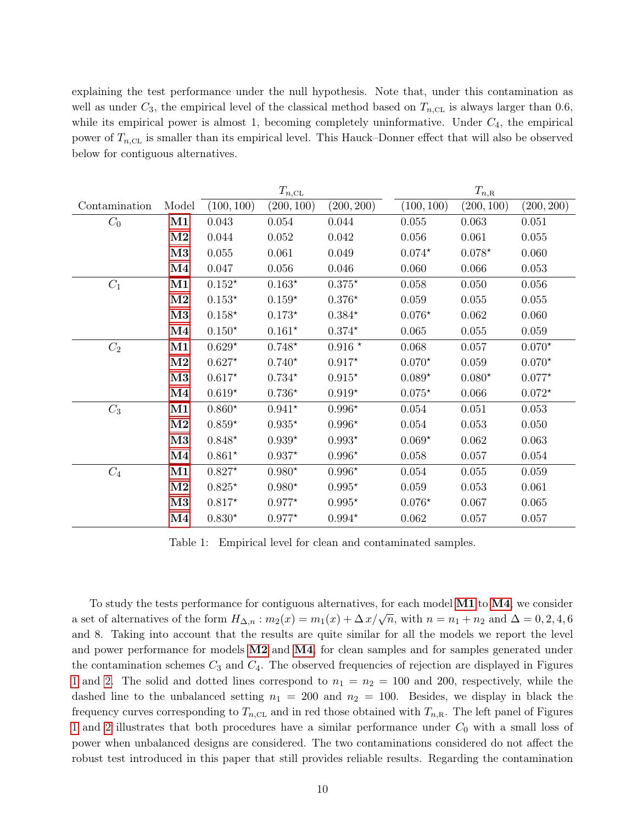explaining the test performance under the null hypothesis. Note that, under this contamination as well as under  $C_3$ , the empirical level of the classical method based on  $T_{n,\text{CL}}$  is always larger than 0.6, while its empirical power is almost 1, becoming completely uninformative. Under  $C_4$ , the empirical power of  $T_{n,\text{CL}}$  is smaller than its empirical level. This Hauck–Donner effect that will also be observed below for contiguous alternatives.

|                 |                        | $T_{n,\scriptscriptstyle{\text{CL}}}$ |            |                    | $T_{n,\mathrm{R}}$ |            |            |  |
|-----------------|------------------------|---------------------------------------|------------|--------------------|--------------------|------------|------------|--|
| Contamination   | Model                  | (100, 100)                            | (200, 100) | (200, 200)         | (100, 100)         | (200, 100) | (200, 200) |  |
| $C_0$           | M1                     | 0.043                                 | 0.054      | 0.044              | 0.055              | 0.063      | 0.051      |  |
|                 | $\mathbf{M2}$          | 0.044                                 | 0.052      | 0.042              | 0.056              | 0.061      | 0.055      |  |
|                 | M3                     | 0.055                                 | 0.061      | 0.049              | $0.074*$           | $0.078*$   | 0.060      |  |
|                 | $\rm M4$               | 0.047                                 | 0.056      | 0.046              | 0.060              | 0.066      | 0.053      |  |
| $C_1$           | M1                     | $0.152*$                              | $0.163*$   | $0.375*$           | 0.058              | 0.050      | $0.056\,$  |  |
|                 | $\mathbf{M2}$          | $0.153^{\star}$                       | $0.159*$   | $0.376*$           | 0.059              | 0.055      | 0.055      |  |
|                 | M3                     | $0.158*$                              | $0.173*$   | $0.384*$           | $0.076*$           | 0.062      | 0.060      |  |
|                 | $\overline{\text{M4}}$ | $0.150*$                              | $0.161*$   | $0.374*$           | 0.065              | $0.055\,$  | 0.059      |  |
| $\mathcal{C}_2$ | M1                     | $0.629*$                              | $0.748*$   | $0.916$ $^{\star}$ | 0.068              | 0.057      | $0.070*$   |  |
|                 | M <sub>2</sub>         | $0.627*$                              | $0.740*$   | $0.917*$           | $0.070*$           | 0.059      | $0.070*$   |  |
|                 | M3                     | $0.617*$                              | $0.734*$   | $0.915*$           | $0.089*$           | $0.080*$   | $0.077*$   |  |
|                 | $\mathbf{M}4$          | $0.619*$                              | $0.736*$   | $0.919*$           | $0.075*$           | 0.066      | $0.072*$   |  |
| $C_3$           | M1                     | $0.860*$                              | $0.941*$   | $0.996*$           | 0.054              | 0.051      | 0.053      |  |
|                 | M <sub>2</sub>         | $0.859*$                              | $0.935*$   | $0.996*$           | 0.054              | 0.053      | 0.050      |  |
|                 | M3                     | $0.848^{\star}$                       | $0.939*$   | $0.993^{\star}$    | $0.069*$           | 0.062      | 0.063      |  |
|                 | $\rm M4$               | $0.861*$                              | $0.937*$   | $0.996*$           | 0.058              | 0.057      | 0.054      |  |
| $C_4$           | M1                     | $0.827*$                              | $0.980*$   | $0.996*$           | 0.054              | 0.055      | 0.059      |  |
|                 | M <sub>2</sub>         | $0.825^{\star}$                       | $0.980*$   | $0.995*$           | 0.059              | 0.053      | 0.061      |  |
|                 | M3                     | $0.817*$                              | $0.977*$   | $0.995*$           | $0.076*$           | 0.067      | $0.065\,$  |  |
|                 | $\mathbf{M}4$          | $0.830*$                              | $0.977*$   | $0.994*$           | 0.062              | 0.057      | 0.057      |  |

<span id="page-9-0"></span>Table 1: Empirical level for clean and contaminated samples.

To study the tests performance for contiguous alternatives, for each model [M1](#page-7-2) to [M4](#page-7-4), we consider a set of alternatives of the form  $H_{\Delta,n}$ :  $m_2(x) = m_1(x) + \Delta x/\sqrt{n}$ , with  $n = n_1 + n_2$  and  $\Delta = 0, 2, 4, 6$ and 8. Taking into account that the results are quite similar for all the models we report the level and power performance for models [M2](#page-7-3) and [M4](#page-7-4), for clean samples and for samples generated under the contamination schemes  $C_3$  and  $C_4$ . The observed frequencies of rejection are displayed in Figures [1](#page-11-0) and [2.](#page-11-1) The solid and dotted lines correspond to  $n_1 = n_2 = 100$  and 200, respectively, while the dashed line to the unbalanced setting  $n_1 = 200$  and  $n_2 = 100$ . Besides, we display in black the frequency curves corresponding to  $T_{n,\text{CL}}$  and in red those obtained with  $T_{n,\text{R}}$ . The left panel of Figures [1](#page-11-0) and [2](#page-11-1) illustrates that both procedures have a similar performance under  $C_0$  with a small loss of power when unbalanced designs are considered. The two contaminations considered do not affect the robust test introduced in this paper that still provides reliable results. Regarding the contamination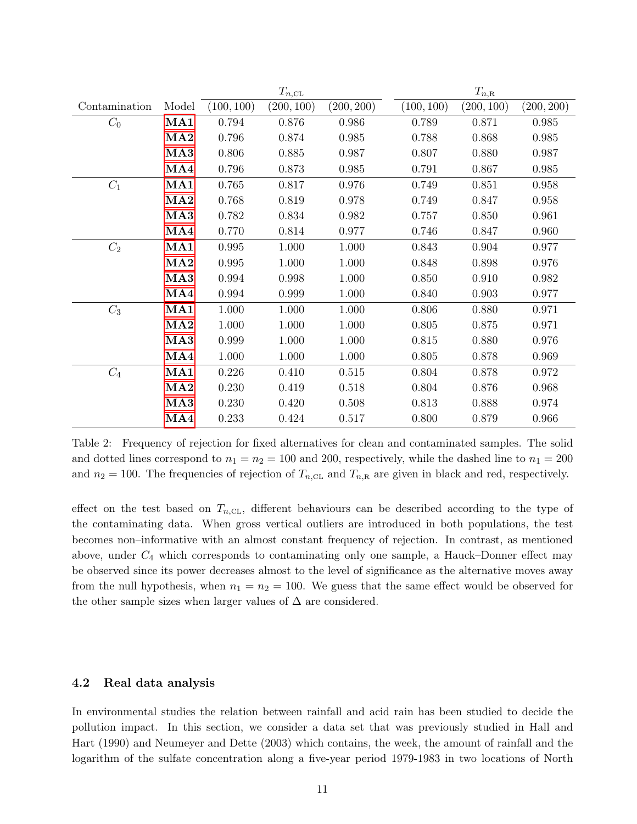|               |                 | $T_{n,\text{CL}}$ |            |            | $T_{n,\mathrm{R}}$ |            |            |
|---------------|-----------------|-------------------|------------|------------|--------------------|------------|------------|
| Contamination | Model           | (100, 100)        | (200, 100) | (200, 200) | (100, 100)         | (200, 100) | (200, 200) |
| $C_0$         | MA1             | 0.794             | 0.876      | 0.986      | 0.789              | 0.871      | 0.985      |
|               | MA2             | 0.796             | 0.874      | 0.985      | 0.788              | 0.868      | 0.985      |
|               | MA3             | 0.806             | 0.885      | 0.987      | 0.807              | 0.880      | 0.987      |
|               | MA4             | 0.796             | 0.873      | 0.985      | 0.791              | 0.867      | 0.985      |
| $C_1$         | MA1             | 0.765             | 0.817      | 0.976      | 0.749              | 0.851      | 0.958      |
|               | MA2             | 0.768             | 0.819      | 0.978      | 0.749              | 0.847      | 0.958      |
|               | MA <sub>3</sub> | 0.782             | 0.834      | 0.982      | 0.757              | 0.850      | 0.961      |
|               | MA4             | 0.770             | 0.814      | 0.977      | 0.746              | 0.847      | 0.960      |
| $C_2$         | MA1             | 0.995             | 1.000      | 1.000      | 0.843              | 0.904      | 0.977      |
|               | MA2             | 0.995             | 1.000      | 1.000      | 0.848              | 0.898      | 0.976      |
|               | MA3             | 0.994             | 0.998      | 1.000      | 0.850              | 0.910      | 0.982      |
|               | MA4             | 0.994             | 0.999      | 1.000      | 0.840              | 0.903      | 0.977      |
| $C_3$         | MA1             | 1.000             | 1.000      | 1.000      | 0.806              | 0.880      | 0.971      |
|               | MA2             | $1.000\,$         | $1.000\,$  | 1.000      | 0.805              | 0.875      | 0.971      |
|               | MA <sub>3</sub> | 0.999             | 1.000      | 1.000      | 0.815              | 0.880      | 0.976      |
|               | MA4             | 1.000             | 1.000      | 1.000      | 0.805              | 0.878      | 0.969      |
| $C_4$         | MA1             | 0.226             | 0.410      | 0.515      | 0.804              | 0.878      | 0.972      |
|               | MA2             | 0.230             | 0.419      | 0.518      | 0.804              | 0.876      | 0.968      |
|               | MA <sub>3</sub> | 0.230             | 0.420      | 0.508      | 0.813              | 0.888      | 0.974      |
|               | MA4             | 0.233             | 0.424      | 0.517      | 0.800              | 0.879      | 0.966      |

<span id="page-10-1"></span>Table 2: Frequency of rejection for fixed alternatives for clean and contaminated samples. The solid and dotted lines correspond to  $n_1 = n_2 = 100$  and 200, respectively, while the dashed line to  $n_1 = 200$ and  $n_2 = 100$ . The frequencies of rejection of  $T_{n,\text{CL}}$  and  $T_{n,\text{R}}$  are given in black and red, respectively.

effect on the test based on  $T_{n,\text{CL}}$ , different behaviours can be described according to the type of the contaminating data. When gross vertical outliers are introduced in both populations, the test becomes non–informative with an almost constant frequency of rejection. In contrast, as mentioned above, under  $C_4$  which corresponds to contaminating only one sample, a Hauck–Donner effect may be observed since its power decreases almost to the level of significance as the alternative moves away from the null hypothesis, when  $n_1 = n_2 = 100$ . We guess that the same effect would be observed for the other sample sizes when larger values of  $\Delta$  are considered.

#### <span id="page-10-0"></span>4.2 Real data analysis

In environmental studies the relation between rainfall and acid rain has been studied to decide the pollution impact. In this section, we consider a data set that was previously studied in Hall and Hart (1990) and Neumeyer and Dette (2003) which contains, the week, the amount of rainfall and the logarithm of the sulfate concentration along a five-year period 1979-1983 in two locations of North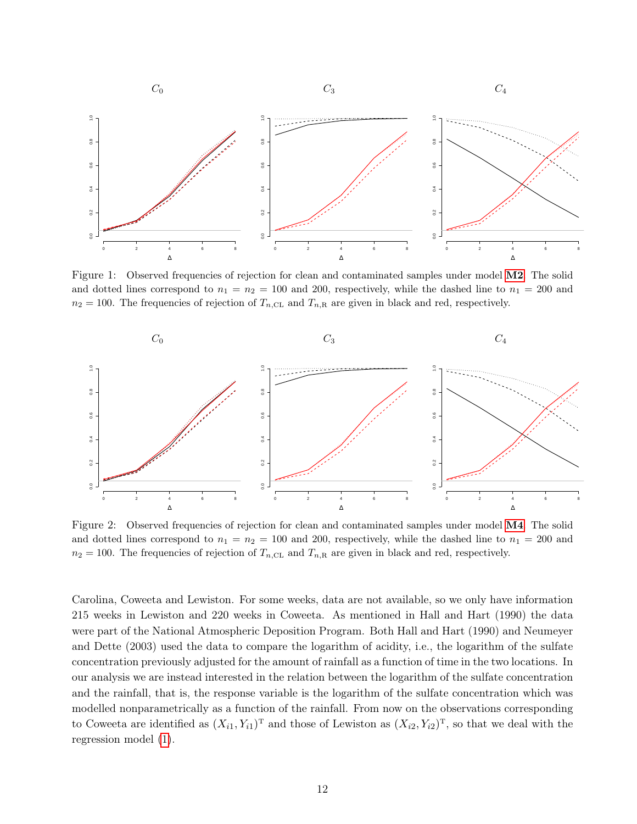

<span id="page-11-0"></span>Figure 1: Observed frequencies of rejection for clean and contaminated samples under model [M2](#page-7-3). The solid and dotted lines correspond to  $n_1 = n_2 = 100$  and 200, respectively, while the dashed line to  $n_1 = 200$  and  $n_2 = 100$ . The frequencies of rejection of  $T_{n,\text{CL}}$  and  $T_{n,\text{R}}$  are given in black and red, respectively.



<span id="page-11-1"></span>Figure 2: Observed frequencies of rejection for clean and contaminated samples under model [M4](#page-7-4). The solid and dotted lines correspond to  $n_1 = n_2 = 100$  and 200, respectively, while the dashed line to  $n_1 = 200$  and  $n_2 = 100$ . The frequencies of rejection of  $T_{n,\text{CL}}$  and  $T_{n,\text{R}}$  are given in black and red, respectively.

Carolina, Coweeta and Lewiston. For some weeks, data are not available, so we only have information 215 weeks in Lewiston and 220 weeks in Coweeta. As mentioned in Hall and Hart (1990) the data were part of the National Atmospheric Deposition Program. Both Hall and Hart (1990) and Neumeyer and Dette (2003) used the data to compare the logarithm of acidity, i.e., the logarithm of the sulfate concentration previously adjusted for the amount of rainfall as a function of time in the two locations. In our analysis we are instead interested in the relation between the logarithm of the sulfate concentration and the rainfall, that is, the response variable is the logarithm of the sulfate concentration which was modelled nonparametrically as a function of the rainfall. From now on the observations corresponding to Coweeta are identified as  $(X_{i1}, Y_{i1})^T$  and those of Lewiston as  $(X_{i2}, Y_{i2})^T$ , so that we deal with the regression model [\(1\)](#page-1-0).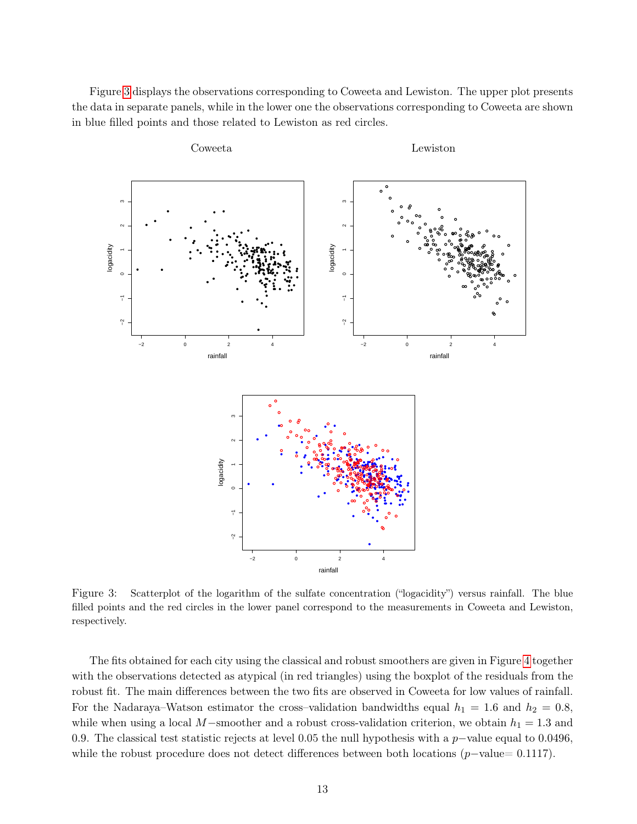Figure [3](#page-12-0) displays the observations corresponding to Coweeta and Lewiston. The upper plot presents the data in separate panels, while in the lower one the observations corresponding to Coweeta are shown in blue filled points and those related to Lewiston as red circles.



<span id="page-12-0"></span>Figure 3: Scatterplot of the logarithm of the sulfate concentration ("logacidity") versus rainfall. The blue filled points and the red circles in the lower panel correspond to the measurements in Coweeta and Lewiston, respectively.

The fits obtained for each city using the classical and robust smoothers are given in Figure [4](#page-13-1) together with the observations detected as atypical (in red triangles) using the boxplot of the residuals from the robust fit. The main differences between the two fits are observed in Coweeta for low values of rainfall. For the Nadaraya–Watson estimator the cross–validation bandwidths equal  $h_1 = 1.6$  and  $h_2 = 0.8$ , while when using a local M−smoother and a robust cross-validation criterion, we obtain  $h_1 = 1.3$  and 0.9. The classical test statistic rejects at level 0.05 the null hypothesis with a p–value equal to 0.0496, while the robust procedure does not detect differences between both locations  $(p-value= 0.1117)$ .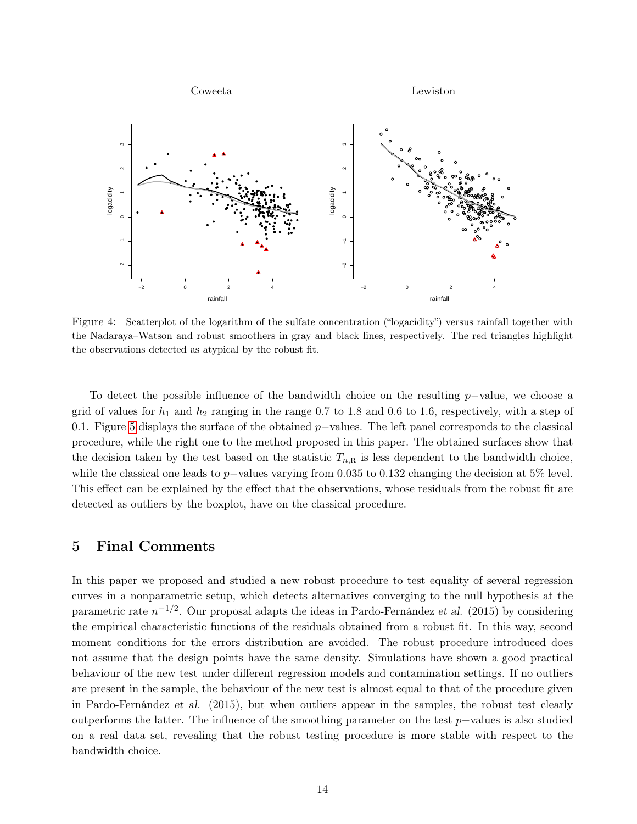

<span id="page-13-1"></span>Figure 4: Scatterplot of the logarithm of the sulfate concentration ("logacidity") versus rainfall together with the Nadaraya–Watson and robust smoothers in gray and black lines, respectively. The red triangles highlight the observations detected as atypical by the robust fit.

To detect the possible influence of the bandwidth choice on the resulting p−value, we choose a grid of values for  $h_1$  and  $h_2$  ranging in the range 0.7 to 1.8 and 0.6 to 1.6, respectively, with a step of 0.1. Figure [5](#page-14-0) displays the surface of the obtained  $p$ −values. The left panel corresponds to the classical procedure, while the right one to the method proposed in this paper. The obtained surfaces show that the decision taken by the test based on the statistic  $T_{n,\mathbb{R}}$  is less dependent to the bandwidth choice, while the classical one leads to p−values varying from 0.035 to 0.132 changing the decision at 5% level. This effect can be explained by the effect that the observations, whose residuals from the robust fit are detected as outliers by the boxplot, have on the classical procedure.

### <span id="page-13-0"></span>5 Final Comments

In this paper we proposed and studied a new robust procedure to test equality of several regression curves in a nonparametric setup, which detects alternatives converging to the null hypothesis at the parametric rate  $n^{-1/2}$ . Our proposal adapts the ideas in Pardo-Fernández et al. (2015) by considering the empirical characteristic functions of the residuals obtained from a robust fit. In this way, second moment conditions for the errors distribution are avoided. The robust procedure introduced does not assume that the design points have the same density. Simulations have shown a good practical behaviour of the new test under different regression models and contamination settings. If no outliers are present in the sample, the behaviour of the new test is almost equal to that of the procedure given in Pardo-Fernández et al. (2015), but when outliers appear in the samples, the robust test clearly outperforms the latter. The influence of the smoothing parameter on the test  $p$ –values is also studied on a real data set, revealing that the robust testing procedure is more stable with respect to the bandwidth choice.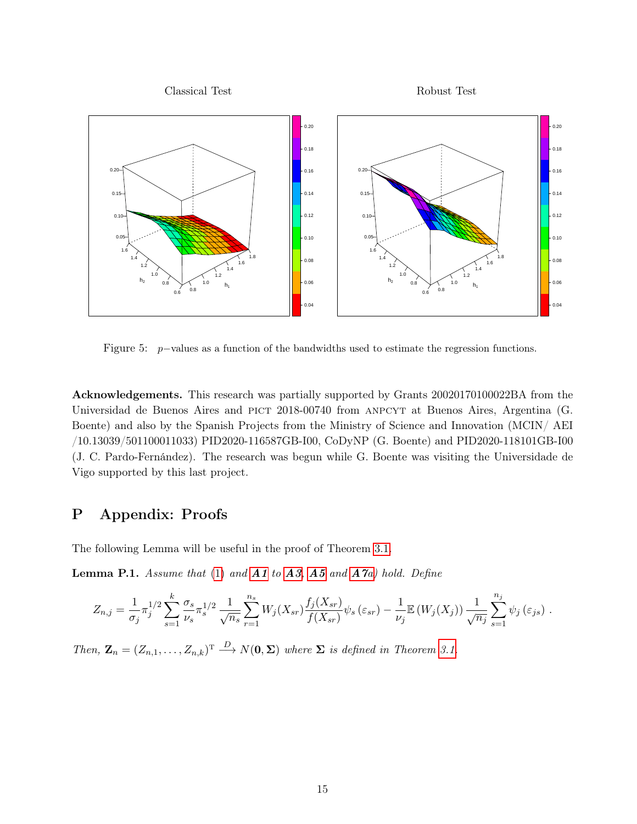

<span id="page-14-0"></span>Figure 5: p−values as a function of the bandwidths used to estimate the regression functions.

Acknowledgements. This research was partially supported by Grants 20020170100022BA from the Universidad de Buenos Aires and PICT 2018-00740 from ANPCYT at Buenos Aires, Argentina (G. Boente) and also by the Spanish Projects from the Ministry of Science and Innovation (MCIN/ AEI /10.13039/501100011033) PID2020-116587GB-I00, CoDyNP (G. Boente) and PID2020-118101GB-I00 (J. C. Pardo-Fernández). The research was begun while G. Boente was visiting the Universidade de Vigo supported by this last project.

# P Appendix: Proofs

The following Lemma will be useful in the proof of Theorem [3.1.](#page-6-1)

<span id="page-14-1"></span>**Lemma P.1.** Assume that [\(1\)](#page-1-0) and  $A1$  to  $A3$ ,  $A5$  and  $A7a$  $A7a$ ) hold. Define

$$
Z_{n,j} = \frac{1}{\sigma_j} \pi_j^{1/2} \sum_{s=1}^k \frac{\sigma_s}{\nu_s} \pi_s^{1/2} \frac{1}{\sqrt{n_s}} \sum_{r=1}^{n_s} W_j(X_{sr}) \frac{f_j(X_{sr})}{f(X_{sr})} \psi_s(\varepsilon_{sr}) - \frac{1}{\nu_j} \mathbb{E} (W_j(X_j)) \frac{1}{\sqrt{n_j}} \sum_{s=1}^{n_j} \psi_j(\varepsilon_{js}) .
$$

Then,  $\mathbf{Z}_n = (Z_{n,1}, \ldots, Z_{n,k})^T \stackrel{D}{\longrightarrow} N(\mathbf{0}, \Sigma)$  where  $\Sigma$  is defined in Theorem [3.1.](#page-6-1)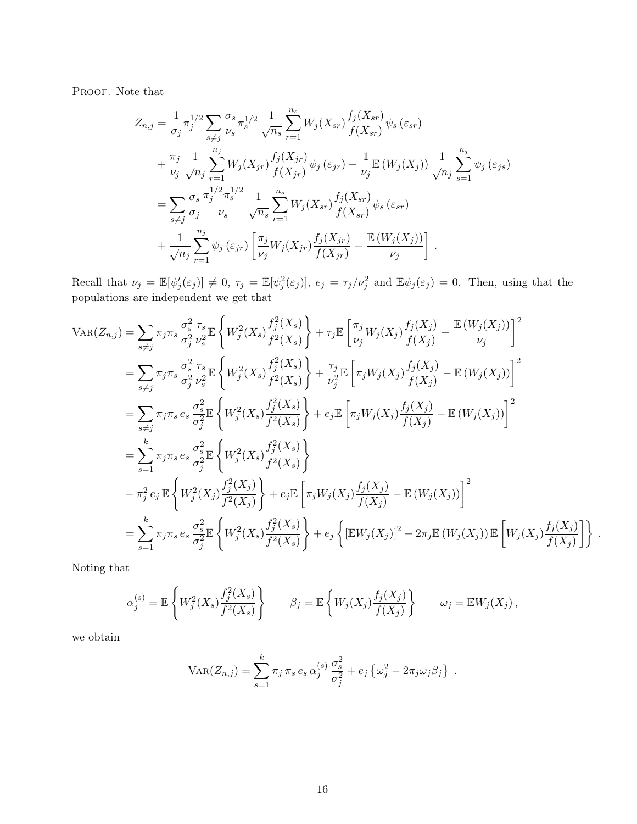PROOF. Note that

$$
Z_{n,j} = \frac{1}{\sigma_j} \pi_j^{1/2} \sum_{s \neq j} \frac{\sigma_s}{\nu_s} \pi_s^{1/2} \frac{1}{\sqrt{n_s}} \sum_{r=1}^{n_s} W_j(X_{sr}) \frac{f_j(X_{sr})}{f(X_{sr})} \psi_s(\varepsilon_{sr}) + \frac{\pi_j}{\nu_j} \frac{1}{\sqrt{n_j}} \sum_{r=1}^{n_j} W_j(X_{jr}) \frac{f_j(X_{jr})}{f(X_{jr})} \psi_j(\varepsilon_{jr}) - \frac{1}{\nu_j} \mathbb{E}(W_j(X_j)) \frac{1}{\sqrt{n_j}} \sum_{s=1}^{n_j} \psi_j(\varepsilon_{js}) = \sum_{s \neq j} \frac{\sigma_s}{\sigma_j} \frac{\pi_j^{1/2} \pi_s^{1/2}}{\nu_s} \frac{1}{\sqrt{n_s}} \sum_{r=1}^{n_s} W_j(X_{sr}) \frac{f_j(X_{sr})}{f(X_{sr})} \psi_s(\varepsilon_{sr}) + \frac{1}{\sqrt{n_j}} \sum_{r=1}^{n_j} \psi_j(\varepsilon_{jr}) \left[ \frac{\pi_j}{\nu_j} W_j(X_{jr}) \frac{f_j(X_{jr})}{f(X_{jr})} - \frac{\mathbb{E}(W_j(X_j))}{\nu_j} \right] .
$$

Recall that  $\nu_j = \mathbb{E}[\psi'_j(\varepsilon_j)] \neq 0$ ,  $\tau_j = \mathbb{E}[\psi_j^2(\varepsilon_j)]$ ,  $e_j = \tau_j/\nu_j^2$  and  $\mathbb{E}\psi_j(\varepsilon_j) = 0$ . Then, using that the populations are independent we get that

$$
VAR(Z_{n,j}) = \sum_{s \neq j} \pi_{j} \pi_{s} \frac{\sigma_{s}^{2}}{\sigma_{j}^{2}} \frac{\pi_{s}}{\nu_{s}^{2}} \mathbb{E} \left\{ W_{j}^{2}(X_{s}) \frac{f_{j}^{2}(X_{s})}{f^{2}(X_{s})} \right\} + \tau_{j} \mathbb{E} \left[ \frac{\pi_{j}}{\nu_{j}} W_{j}(X_{j}) \frac{f_{j}(X_{j})}{f(X_{j})} - \frac{\mathbb{E} (W_{j}(X_{j}))}{\nu_{j}} \right]^{2}
$$
\n
$$
= \sum_{s \neq j} \pi_{j} \pi_{s} \frac{\sigma_{s}^{2}}{\sigma_{j}^{2}} \frac{\pi_{s}}{\nu_{s}^{2}} \mathbb{E} \left\{ W_{j}^{2}(X_{s}) \frac{f_{j}^{2}(X_{s})}{f^{2}(X_{s})} \right\} + \frac{\tau_{j}}{\nu_{j}^{2}} \mathbb{E} \left[ \pi_{j} W_{j}(X_{j}) \frac{f_{j}(X_{j})}{f(X_{j})} - \mathbb{E} (W_{j}(X_{j})) \right]^{2}
$$
\n
$$
= \sum_{s \neq j} \pi_{j} \pi_{s} e_{s} \frac{\sigma_{s}^{2}}{\sigma_{j}^{2}} \mathbb{E} \left\{ W_{j}^{2}(X_{s}) \frac{f_{j}^{2}(X_{s})}{f^{2}(X_{s})} \right\} + e_{j} \mathbb{E} \left[ \pi_{j} W_{j}(X_{j}) \frac{f_{j}(X_{j})}{f(X_{j})} - \mathbb{E} (W_{j}(X_{j})) \right]^{2}
$$
\n
$$
= \sum_{s=1}^{k} \pi_{j} \pi_{s} e_{s} \frac{\sigma_{s}^{2}}{\sigma_{j}^{2}} \mathbb{E} \left\{ W_{j}^{2}(X_{j}) \frac{f_{j}^{2}(X_{s})}{f^{2}(X_{j})} \right\} + e_{j} \mathbb{E} \left[ \pi_{j} W_{j}(X_{j}) \frac{f_{j}(X_{j})}{f(X_{j})} - \mathbb{E} (W_{j}(X_{j})) \right]^{2}
$$
\n
$$
= \sum_{s=1}^{k} \pi_{j} \pi_{s} e_{s} \frac{\sigma_{s}^{2}}
$$

Noting that

$$
\alpha_j^{(s)} = \mathbb{E}\left\{W_j^2(X_s)\frac{f_j^2(X_s)}{f^2(X_s)}\right\} \qquad \beta_j = \mathbb{E}\left\{W_j(X_j)\frac{f_j(X_j)}{f(X_j)}\right\} \qquad \omega_j = \mathbb{E}W_j(X_j),
$$

we obtain

$$
VAR(Z_{n,j}) = \sum_{s=1}^{k} \pi_j \pi_s e_s \alpha_j^{(s)} \frac{\sigma_s^2}{\sigma_j^2} + e_j \left\{ \omega_j^2 - 2\pi_j \omega_j \beta_j \right\}.
$$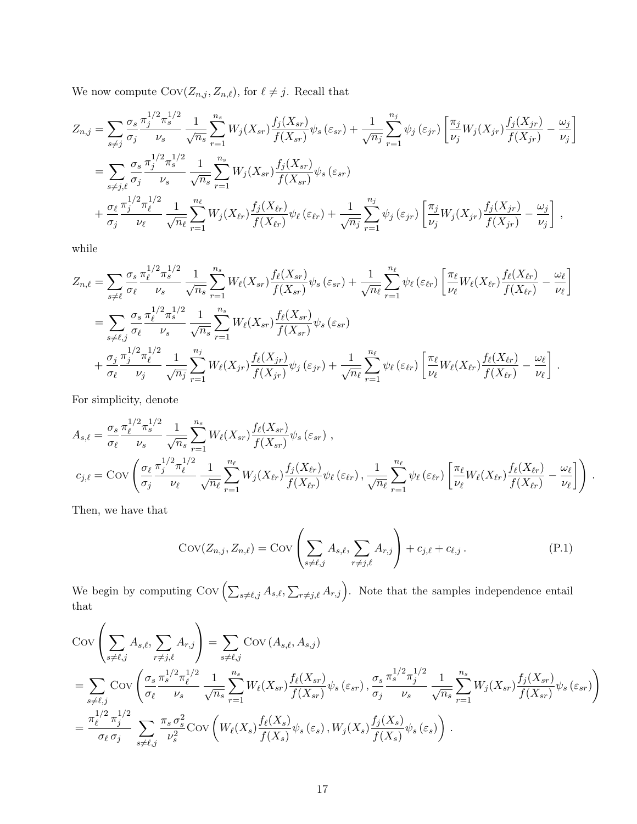We now compute  $\mathrm{Cov}(Z_{n,j}, Z_{n,\ell}),$  for  $\ell \neq j.$  Recall that

$$
Z_{n,j} = \sum_{s \neq j} \frac{\sigma_s}{\sigma_j} \frac{\pi_j^{1/2} \pi_s^{1/2}}{\nu_s} \frac{1}{\sqrt{n_s}} \sum_{r=1}^{n_s} W_j(X_{sr}) \frac{f_j(X_{sr})}{f(X_{sr})} \psi_s(\varepsilon_{sr}) + \frac{1}{\sqrt{n_j}} \sum_{r=1}^{n_j} \psi_j(\varepsilon_{jr}) \left[ \frac{\pi_j}{\nu_j} W_j(X_{jr}) \frac{f_j(X_{jr})}{f(X_{jr})} - \frac{\omega_j}{\nu_j} \right]
$$
  
\n
$$
= \sum_{s \neq j, \ell} \frac{\sigma_s}{\sigma_j} \frac{\pi_j^{1/2} \pi_s^{1/2}}{\nu_s} \frac{1}{\sqrt{n_s}} \sum_{r=1}^{n_s} W_j(X_{sr}) \frac{f_j(X_{sr})}{f(X_{sr})} \psi_s(\varepsilon_{sr}) + \frac{\sigma_\ell}{\sigma_j} \frac{\pi_j^{1/2} \pi_\ell^{1/2}}{\nu_\ell} \frac{1}{\sqrt{n_\ell}} \sum_{r=1}^{n_\ell} W_j(X_{\ell r}) \frac{f_j(X_{\ell r})}{f(X_{\ell r})} \psi_\ell(\varepsilon_{\ell r}) + \frac{1}{\sqrt{n_j}} \sum_{r=1}^{n_j} \psi_j(\varepsilon_{jr}) \left[ \frac{\pi_j}{\nu_j} W_j(X_{jr}) \frac{f_j(X_{jr})}{f(X_{jr})} - \frac{\omega_j}{\nu_j} \right],
$$

while

$$
Z_{n,\ell} = \sum_{s \neq \ell} \frac{\sigma_s}{\sigma_\ell} \frac{\pi_\ell^{1/2} \pi_s^{1/2}}{\nu_s} \frac{1}{\sqrt{n_s}} \sum_{r=1}^{n_s} W_\ell(X_{sr}) \frac{f_\ell(X_{sr})}{f(X_{sr})} \psi_s(\varepsilon_{sr}) + \frac{1}{\sqrt{n_\ell}} \sum_{r=1}^{n_\ell} \psi_\ell(\varepsilon_{\ell r}) \left[ \frac{\pi_\ell}{\nu_\ell} W_\ell(X_{\ell r}) \frac{f_\ell(X_{\ell r})}{f(X_{\ell r})} - \frac{\omega_\ell}{\nu_\ell} \right]
$$
  
\n
$$
= \sum_{s \neq \ell,j} \frac{\sigma_s}{\sigma_\ell} \frac{\pi_\ell^{1/2} \pi_s^{1/2}}{\nu_s} \frac{1}{\sqrt{n_s}} \sum_{r=1}^{n_s} W_\ell(X_{sr}) \frac{f_\ell(X_{sr})}{f(X_{sr})} \psi_s(\varepsilon_{sr})
$$
  
\n
$$
+ \frac{\sigma_j}{\sigma_\ell} \frac{\pi_j^{1/2} \pi_\ell^{1/2}}{\nu_j} \frac{1}{\sqrt{n_j}} \sum_{r=1}^{n_j} W_\ell(X_{jr}) \frac{f_\ell(X_{jr})}{f(X_{jr})} \psi_j(\varepsilon_{jr}) + \frac{1}{\sqrt{n_\ell}} \sum_{r=1}^{n_\ell} \psi_\ell(\varepsilon_{\ell r}) \left[ \frac{\pi_\ell}{\nu_\ell} W_\ell(X_{\ell r}) \frac{f_\ell(X_{\ell r})}{f(X_{\ell r})} - \frac{\omega_\ell}{\nu_\ell} \right].
$$

For simplicity, denote

$$
A_{s,\ell} = \frac{\sigma_s}{\sigma_\ell} \frac{\pi_\ell^{1/2} \pi_s^{1/2}}{\nu_s} \frac{1}{\sqrt{n_s}} \sum_{r=1}^{n_s} W_\ell(X_{sr}) \frac{f_\ell(X_{sr})}{f(X_{sr})} \psi_s(\varepsilon_{sr}) ,
$$
  

$$
c_{j,\ell} = \text{Cov}\left(\frac{\sigma_\ell}{\sigma_j} \frac{\pi_j^{1/2} \pi_\ell^{1/2}}{\nu_\ell} \frac{1}{\sqrt{n_\ell}} \sum_{r=1}^{n_\ell} W_j(X_{\ell r}) \frac{f_j(X_{\ell r})}{f(X_{\ell r})} \psi_\ell(\varepsilon_{\ell r}), \frac{1}{\sqrt{n_\ell}} \sum_{r=1}^{n_\ell} \psi_\ell(\varepsilon_{\ell r}) \left[ \frac{\pi_\ell}{\nu_\ell} W_\ell(X_{\ell r}) \frac{f_\ell(X_{\ell r})}{f(X_{\ell r})} - \frac{\omega_\ell}{\nu_\ell} \right] \right) .
$$

Then, we have that

<span id="page-16-0"></span>
$$
Cov(Z_{n,j}, Z_{n,\ell}) = Cov\left(\sum_{s \neq \ell,j} A_{s,\ell}, \sum_{r \neq j,\ell} A_{r,j}\right) + c_{j,\ell} + c_{\ell,j}.
$$
 (P.1)

We begin by computing  $Cov \left( \sum_{s \neq \ell,j} A_{s,\ell}, \sum_{r \neq j,\ell} A_{r,j} \right)$ . Note that the samples independence entail that

$$
\begin{split}\n&\text{Cov}\left(\sum_{s\neq\ell,j}A_{s,\ell},\sum_{r\neq j,\ell}A_{r,j}\right) = \sum_{s\neq\ell,j}\text{Cov}\left(A_{s,\ell},A_{s,j}\right) \\
&= \sum_{s\neq\ell,j}\text{Cov}\left(\frac{\sigma_s}{\sigma_\ell}\frac{\pi_s^{1/2}\pi_\ell^{1/2}}{\nu_s}\frac{1}{\sqrt{n_s}}\sum_{r=1}^{n_s}W_\ell(X_{sr})\frac{f_\ell(X_{sr})}{f(X_{sr})}\psi_s\left(\varepsilon_{sr}\right),\frac{\sigma_s}{\sigma_j}\frac{\pi_s^{1/2}\pi_j^{1/2}}{\nu_s}\frac{1}{\sqrt{n_s}}\sum_{r=1}^{n_s}W_j(X_{sr})\frac{f_j(X_{sr})}{f(X_{sr})}\psi_s\left(\varepsilon_{sr}\right)\right) \\
&= \frac{\pi_\ell^{1/2}\pi_j^{1/2}}{\sigma_\ell\sigma_j}\sum_{s\neq\ell,j}\frac{\pi_s\sigma_s^2}{\nu_s^2}\text{Cov}\left(W_\ell(X_s)\frac{f_\ell(X_s)}{f(X_s)}\psi_s\left(\varepsilon_s\right),W_j(X_s)\frac{f_j(X_s)}{f(X_s)}\psi_s\left(\varepsilon_s\right)\right).\n\end{split}
$$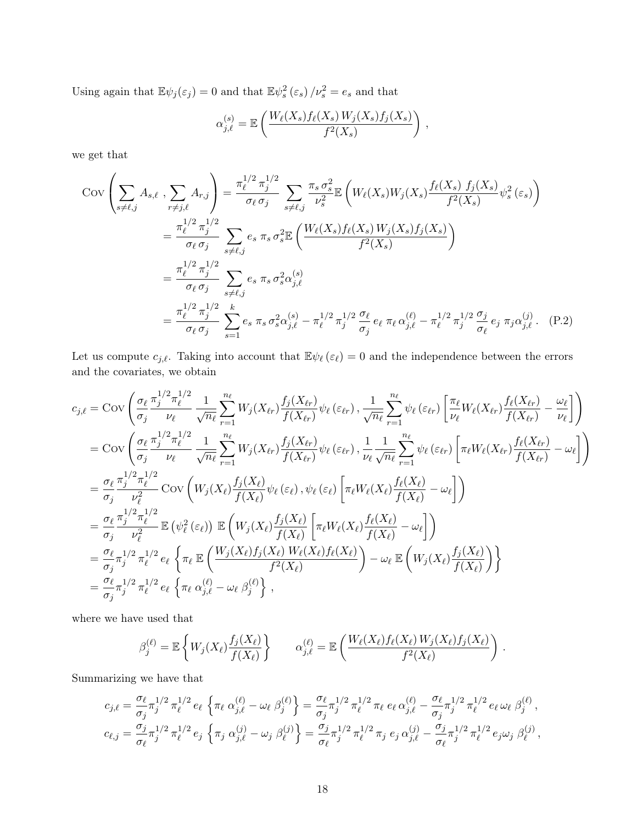Using again that  $\mathbb{E}\psi_j(\varepsilon_j) = 0$  and that  $\mathbb{E}\psi_s^2(\varepsilon_s)/\nu_s^2 = e_s$  and that

<span id="page-17-0"></span>
$$
\alpha_{j,\ell}^{(s)} = \mathbb{E}\left(\frac{W_{\ell}(X_s)f_{\ell}(X_s)W_j(X_s)f_j(X_s)}{f^2(X_s)}\right),
$$

we get that

$$
\text{Cov}\left(\sum_{s\neq\ell,j}A_{s,\ell},\sum_{r\neq j,\ell}A_{r,j}\right) = \frac{\pi_{\ell}^{1/2}\pi_{j}^{1/2}}{\sigma_{\ell}\sigma_{j}}\sum_{s\neq\ell,j}\frac{\pi_{s}\sigma_{s}^{2}}{\nu_{s}^{2}}\mathbb{E}\left(W_{\ell}(X_{s})W_{j}(X_{s})\frac{f_{\ell}(X_{s})f_{j}(X_{s})}{f^{2}(X_{s})}\psi_{s}^{2}(\varepsilon_{s})\right)
$$

$$
=\frac{\pi_{\ell}^{1/2}\pi_{j}^{1/2}}{\sigma_{\ell}\sigma_{j}}\sum_{s\neq\ell,j}e_{s}\pi_{s}\sigma_{s}^{2}\mathbb{E}\left(\frac{W_{\ell}(X_{s})f_{\ell}(X_{s})W_{j}(X_{s})f_{j}(X_{s})}{f^{2}(X_{s})}\right)
$$

$$
=\frac{\pi_{\ell}^{1/2}\pi_{j}^{1/2}}{\sigma_{\ell}\sigma_{j}}\sum_{s\neq\ell,j}e_{s}\pi_{s}\sigma_{s}^{2}\alpha_{j,\ell}^{(s)}
$$

$$
=\frac{\pi_{\ell}^{1/2}\pi_{j}^{1/2}}{\sigma_{\ell}\sigma_{j}}\sum_{s=1}^{k}e_{s}\pi_{s}\sigma_{s}^{2}\alpha_{j,\ell}^{(s)}-\pi_{\ell}^{1/2}\pi_{j}^{1/2}\frac{\sigma_{\ell}}{\sigma_{j}}e_{\ell}\pi_{\ell}\alpha_{j,\ell}^{(\ell)}-\pi_{\ell}^{1/2}\pi_{j}^{1/2}\frac{\sigma_{j}}{\sigma_{\ell}}e_{j}\pi_{j}\alpha_{j,\ell}^{(j)}.\tag{P.2}
$$

Let us compute  $c_{j,\ell}$ . Taking into account that  $\mathbb{E}\psi_{\ell}(\varepsilon_{\ell}) = 0$  and the independence between the errors and the covariates, we obtain

$$
c_{j,\ell} = \text{Cov}\left(\frac{\sigma_{\ell}}{\sigma_{j}} \frac{\pi_{j}^{1/2} \pi_{\ell}^{1/2}}{\nu_{\ell}} \frac{1}{\sqrt{n_{\ell}}} \sum_{r=1}^{n_{\ell}} W_{j}(X_{\ell r}) \frac{f_{j}(X_{\ell r})}{f(X_{\ell r})} \psi_{\ell}(\varepsilon_{\ell r}), \frac{1}{\sqrt{n_{\ell}}} \sum_{r=1}^{n_{\ell}} \psi_{\ell}(\varepsilon_{\ell r}) \left[ \frac{\pi_{\ell}}{\nu_{\ell}} W_{\ell}(X_{\ell r}) \frac{f_{\ell}(X_{\ell r})}{f(X_{\ell r})} - \frac{\omega_{\ell}}{\nu_{\ell}} \right] \right) = \text{Cov}\left(\frac{\sigma_{\ell}}{\sigma_{j}} \frac{\pi_{j}^{1/2} \pi_{\ell}^{1/2}}{\nu_{\ell}} \frac{1}{\sqrt{n_{\ell}}} \sum_{r=1}^{n_{\ell}} W_{j}(X_{\ell r}) \frac{f_{j}(X_{\ell r})}{f(X_{\ell r})} \psi_{\ell}(\varepsilon_{\ell r}), \frac{1}{\nu_{\ell}} \frac{1}{\sqrt{n_{\ell}}} \sum_{r=1}^{n_{\ell}} \psi_{\ell}(\varepsilon_{\ell r}) \left[ \pi_{\ell} W_{\ell}(X_{\ell r}) \frac{f_{\ell}(X_{\ell r})}{f(X_{\ell r})} - \omega_{\ell} \right] \right) = \frac{\sigma_{\ell}}{\sigma_{j}} \frac{\pi_{j}^{1/2} \pi_{\ell}^{1/2}}{\nu_{\ell}^{2}} \text{Cov}\left(W_{j}(X_{\ell}) \frac{f_{j}(X_{\ell})}{f(X_{\ell})} \psi_{\ell}(\varepsilon_{\ell}) , \psi_{\ell}(\varepsilon_{\ell}) \left[ \pi_{\ell} W_{\ell}(X_{\ell}) \frac{f_{\ell}(X_{\ell})}{f(X_{\ell})} - \omega_{\ell} \right] \right) = \frac{\sigma_{\ell}}{\sigma_{j}} \frac{\pi_{j}^{1/2} \pi_{\ell}^{1/2}}{\nu_{\ell}^{2}} \mathbb{E}(\psi_{\ell}^{2}(\varepsilon_{\ell})) \mathbb{E}\left(W_{j}(X_{\ell}) \frac{f_{j}(X_{\ell})}{f(X_{\ell})} \left[ \pi_{\ell} W_{\ell}(X
$$

where we have used that

$$
\beta_j^{(\ell)} = \mathbb{E}\left\{W_j(X_{\ell})\frac{f_j(X_{\ell})}{f(X_{\ell})}\right\} \qquad \alpha_{j,\ell}^{(\ell)} = \mathbb{E}\left(\frac{W_{\ell}(X_{\ell})f_{\ell}(X_{\ell})W_j(X_{\ell})f_j(X_{\ell})}{f^2(X_{\ell})}\right).
$$

Summarizing we have that

$$
c_{j,\ell} = \frac{\sigma_{\ell}}{\sigma_j} \pi_j^{1/2} \pi_{\ell}^{1/2} e_{\ell} \left\{ \pi_{\ell} \alpha_{j,\ell}^{(\ell)} - \omega_{\ell} \beta_j^{(\ell)} \right\} = \frac{\sigma_{\ell}}{\sigma_j} \pi_j^{1/2} \pi_{\ell}^{1/2} \pi_{\ell} e_{\ell} \alpha_{j,\ell}^{(\ell)} - \frac{\sigma_{\ell}}{\sigma_j} \pi_j^{1/2} \pi_{\ell}^{1/2} e_{\ell} \omega_{\ell} \beta_j^{(\ell)},
$$
  

$$
c_{\ell,j} = \frac{\sigma_j}{\sigma_{\ell}} \pi_j^{1/2} \pi_{\ell}^{1/2} e_j \left\{ \pi_j \alpha_{j,\ell}^{(j)} - \omega_j \beta_{\ell}^{(j)} \right\} = \frac{\sigma_j}{\sigma_{\ell}} \pi_j^{1/2} \pi_{\ell}^{1/2} \pi_j e_j \alpha_{j,\ell}^{(j)} - \frac{\sigma_j}{\sigma_{\ell}} \pi_j^{1/2} \pi_{\ell}^{1/2} e_j \omega_j \beta_{\ell}^{(j)},
$$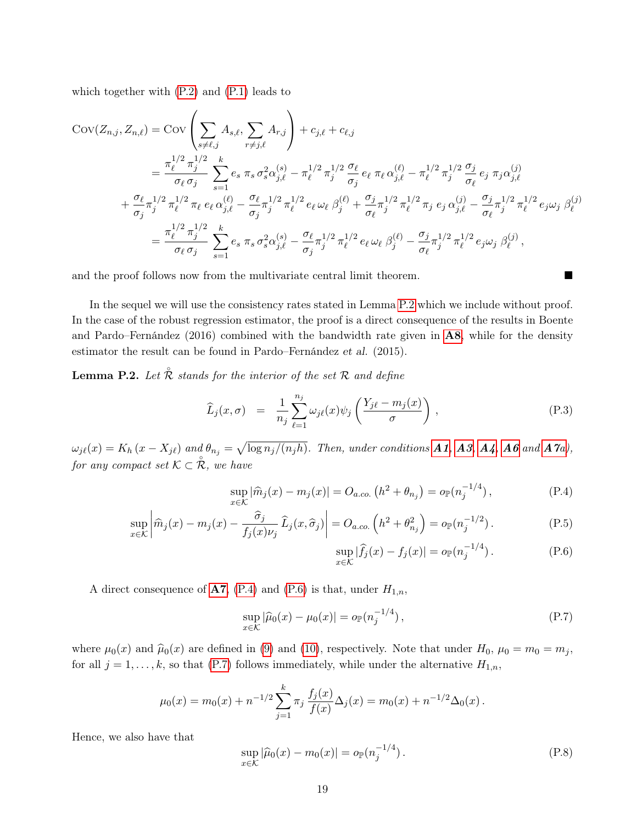which together with [\(P.2\)](#page-17-0) and [\(P.1\)](#page-16-0) leads to

$$
\begin{split} \text{Cov}(Z_{n,j}, Z_{n,\ell}) &= \text{Cov}\left(\sum_{s \neq \ell,j} A_{s,\ell}, \sum_{r \neq j,\ell} A_{r,j}\right) + c_{j,\ell} + c_{\ell,j} \\ &= \frac{\pi_{\ell}^{1/2} \pi_j^{1/2}}{\sigma_{\ell} \sigma_j} \sum_{s=1}^k e_s \ \pi_s \ \sigma_s^2 \alpha_{j,\ell}^{(s)} - \pi_{\ell}^{1/2} \pi_j^{1/2} \frac{\sigma_{\ell}}{\sigma_j} \ e_{\ell} \ \pi_{\ell} \alpha_{j,\ell}^{(\ell)} - \pi_{\ell}^{1/2} \pi_j^{1/2} \frac{\sigma_j}{\sigma_{\ell}} \ e_j \ \pi_j \alpha_{j,\ell}^{(j)} \\ &+ \frac{\sigma_{\ell}}{\sigma_j} \pi_j^{1/2} \pi_{\ell}^{1/2} \pi_{\ell} \ e_{\ell} \ \alpha_{j,\ell}^{(\ell)} - \frac{\sigma_{\ell}}{\sigma_j} \pi_j^{1/2} \pi_{\ell}^{1/2} \ e_{\ell} \ \omega_{\ell} \ \beta_j^{(\ell)} + \frac{\sigma_j}{\sigma_{\ell}} \pi_j^{1/2} \pi_{\ell}^{1/2} \pi_j \ e_j \ \alpha_{j,\ell}^{(j)} - \frac{\sigma_j}{\sigma_{\ell}} \pi_j^{1/2} \pi_{\ell}^{1/2} \ e_j \omega_j \ \beta_{\ell}^{(j)} \\ &= \frac{\pi_{\ell}^{1/2} \pi_j^{1/2}}{\sigma_{\ell} \sigma_j} \sum_{s=1}^k e_s \ \pi_s \ \sigma_s^2 \alpha_{j,\ell}^{(s)} - \frac{\sigma_{\ell}}{\sigma_j} \pi_j^{1/2} \pi_{\ell}^{1/2} \ e_{\ell} \ \omega_{\ell} \ \beta_j^{(\ell)} - \frac{\sigma_j}{\sigma_{\ell}} \pi_j^{1/2} \pi_{\ell}^{1/2} \ e_j \omega_j \ \beta_{\ell}^{(j)}, \end{split}
$$

and the proof follows now from the multivariate central limit theorem.

In the sequel we will use the consistency rates stated in Lemma [P.2](#page-18-0) which we include without proof. In the case of the robust regression estimator, the proof is a direct consequence of the results in Boente and Pardo–Fernández  $(2016)$  combined with the bandwidth rate given in  $\mathbf{A8}$  $\mathbf{A8}$  $\mathbf{A8}$ , while for the density estimator the result can be found in Pardo–Fernández et al. (2015).

<span id="page-18-0"></span>**Lemma P.2.** Let  $\mathring{\mathcal{R}}$  stands for the interior of the set  $\mathcal{R}$  and define

<span id="page-18-4"></span>
$$
\widehat{L}_j(x,\sigma) = \frac{1}{n_j} \sum_{\ell=1}^{n_j} \omega_{j\ell}(x) \psi_j \left( \frac{Y_{j\ell} - m_j(x)}{\sigma} \right), \tag{P.3}
$$

 $\omega_{j\ell}(x) = K_h(x - X_{j\ell})$  and  $\theta_{n_j} = \sqrt{\log n_j/(n_j h)}$ . Then, under conditions **[A1](#page-5-3), [A3](#page-5-4), [A4](#page-5-1), [A6](#page-5-5)** and **[A7](#page-5-6)**a), for any compact set  $\mathcal{K} \subset \overset{\circ}{\mathcal{R}}$ , we have

<span id="page-18-1"></span>
$$
\sup_{x \in \mathcal{K}} |\widehat{m}_j(x) - m_j(x)| = O_{a.co.} (h^2 + \theta_{n_j}) = o_{\mathbb{P}}(n_j^{-1/4}),
$$
\n(P.4)

$$
\sup_{x \in \mathcal{K}} \left| \widehat{m}_j(x) - m_j(x) - \frac{\widehat{\sigma}_j}{f_j(x)\nu_j} \widehat{L}_j(x, \widehat{\sigma}_j) \right| = O_{a.co.} \left( h^2 + \theta_{n_j}^2 \right) = o_{\mathbb{P}}(n_j^{-1/2}). \tag{P.5}
$$

$$
\sup_{x \in \mathcal{K}} |\widehat{f}_j(x) - f_j(x)| = o_{\mathbb{P}}(n_j^{-1/4}).
$$
 (P.6)

A direct consequence of  $A7$ , [\(P.4\)](#page-18-1) and [\(P.6\)](#page-18-1) is that, under  $H_{1,n}$ ,

<span id="page-18-2"></span>
$$
\sup_{x \in \mathcal{K}} |\widehat{\mu}_0(x) - \mu_0(x)| = o_{\mathbb{P}}(n_j^{-1/4}),
$$
\n(P.7)

where  $\mu_0(x)$  and  $\hat{\mu}_0(x)$  are defined in [\(9\)](#page-4-1) and [\(10\)](#page-4-2), respectively. Note that under  $H_0$ ,  $\mu_0 = m_0 = m_j$ , for all  $j = 1, ..., k$ , so that [\(P.7\)](#page-18-2) follows immediately, while under the alternative  $H_{1,n}$ ,

$$
\mu_0(x) = m_0(x) + n^{-1/2} \sum_{j=1}^k \pi_j \frac{f_j(x)}{f(x)} \Delta_j(x) = m_0(x) + n^{-1/2} \Delta_0(x).
$$

Hence, we also have that

<span id="page-18-3"></span>
$$
\sup_{x \in \mathcal{K}} |\widehat{\mu}_0(x) - m_0(x)| = o_{\mathbb{P}}(n_j^{-1/4}).
$$
\n(P.8)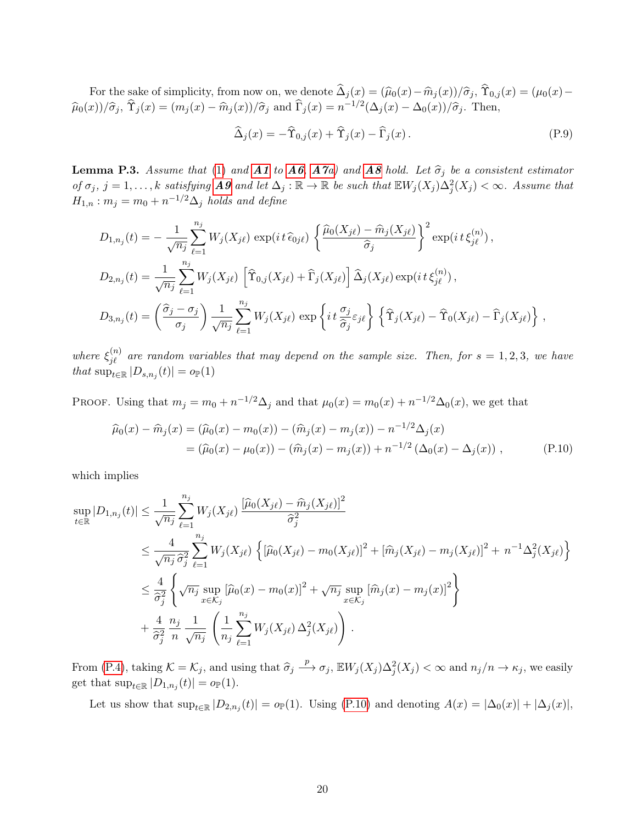For the sake of simplicity, from now on, we denote  $\hat{\Delta}_j (x) = (\hat{\mu}_0(x) - \hat{m}_j(x))/\hat{\sigma}_j$ ,  $\hat{\Upsilon}_{0,j}(x) = (\mu_0(x) - \hat{m}_j(x))/\hat{\sigma}_j$  $\widehat{\mu}_0(x)/\widehat{\sigma}_j$ ,  $\widehat{\Upsilon}_j(x) = (m_j(x) - \widehat{m}_j(x))/\widehat{\sigma}_j$  and  $\widehat{\Gamma}_j(x) = n^{-1/2}(\Delta_j(x) - \Delta_0(x))/\widehat{\sigma}_j$ . Then,

<span id="page-19-2"></span>
$$
\widehat{\Delta}_j(x) = -\widehat{\Upsilon}_{0,j}(x) + \widehat{\Upsilon}_j(x) - \widehat{\Gamma}_j(x). \tag{P.9}
$$

<span id="page-19-1"></span>**Lemma P.3.** Assume that [\(1\)](#page-1-0) and **[A1](#page-5-3)** to **[A6](#page-5-5)**, **[A7](#page-5-6)**a) and **[A8](#page-5-2)** hold. Let  $\hat{\sigma}_j$  be a consistent estimator of  $\sigma_j$ ,  $j = 1, \ldots, k$  satisfying **[A9](#page-5-7)** and let  $\Delta_j : \mathbb{R} \to \mathbb{R}$  be such that  $\mathbb{E} W_j(X_j) \Delta_j^2(X_j) < \infty$ . Assume that  $H_{1,n}$ :  $m_j = m_0 + n^{-1/2} \Delta_j$  holds and define

$$
D_{1,n_j}(t) = -\frac{1}{\sqrt{n_j}} \sum_{\ell=1}^{n_j} W_j(X_{j\ell}) \exp\left(it\,\widehat{\epsilon}_{0j\ell}\right) \left\{ \frac{\widehat{\mu}_0(X_{j\ell}) - \widehat{m}_j(X_{j\ell})}{\widehat{\sigma}_j} \right\}^2 \exp\left(it\,\xi_{j\ell}^{(n)}\right),
$$
  
\n
$$
D_{2,n_j}(t) = \frac{1}{\sqrt{n_j}} \sum_{\ell=1}^{n_j} W_j(X_{j\ell}) \left[\widehat{\Upsilon}_{0,j}(X_{j\ell}) + \widehat{\Gamma}_j(X_{j\ell})\right] \widehat{\Delta}_j(X_{j\ell}) \exp\left(it\,\xi_{j\ell}^{(n)}\right),
$$
  
\n
$$
D_{3,n_j}(t) = \left(\frac{\widehat{\sigma}_j - \sigma_j}{\sigma_j}\right) \frac{1}{\sqrt{n_j}} \sum_{\ell=1}^{n_j} W_j(X_{j\ell}) \exp\left\{it\frac{\sigma_j}{\widehat{\sigma}_j}\varepsilon_{j\ell}\right\} \left\{\widehat{\Upsilon}_j(X_{j\ell}) - \widehat{\Upsilon}_0(X_{j\ell}) - \widehat{\Gamma}_j(X_{j\ell})\right\},
$$

where  $\xi_{j\ell}^{(n)}$  are random variables that may depend on the sample size. Then, for  $s = 1, 2, 3$ , we have that  $\sup_{t\in\mathbb{R}}|D_{s,n_j}(t)|=o_{\mathbb{P}}(1)$ 

PROOF. Using that  $m_j = m_0 + n^{-1/2} \Delta_j$  and that  $\mu_0(x) = m_0(x) + n^{-1/2} \Delta_0(x)$ , we get that

<span id="page-19-0"></span>
$$
\widehat{\mu}_0(x) - \widehat{m}_j(x) = (\widehat{\mu}_0(x) - m_0(x)) - (\widehat{m}_j(x) - m_j(x)) - n^{-1/2} \Delta_j(x)
$$
  
= 
$$
(\widehat{\mu}_0(x) - \mu_0(x)) - (\widehat{m}_j(x) - m_j(x)) + n^{-1/2} (\Delta_0(x) - \Delta_j(x)),
$$
 (P.10)

which implies

$$
\sup_{t \in \mathbb{R}} |D_{1,n_j}(t)| \leq \frac{1}{\sqrt{n_j}} \sum_{\ell=1}^{n_j} W_j(X_{j\ell}) \frac{[\widehat{\mu}_0(X_{j\ell}) - \widehat{m}_j(X_{j\ell})]^2}{\widehat{\sigma}_j^2}
$$
\n
$$
\leq \frac{4}{\sqrt{n_j} \widehat{\sigma}_j^2} \sum_{\ell=1}^{n_j} W_j(X_{j\ell}) \left\{ [\widehat{\mu}_0(X_{j\ell}) - m_0(X_{j\ell})]^2 + [\widehat{m}_j(X_{j\ell}) - m_j(X_{j\ell})]^2 + n^{-1} \Delta_j^2(X_{j\ell}) \right\}
$$
\n
$$
\leq \frac{4}{\widehat{\sigma}_j^2} \left\{ \sqrt{n_j} \sup_{x \in \mathcal{K}_j} [\widehat{\mu}_0(x) - m_0(x)]^2 + \sqrt{n_j} \sup_{x \in \mathcal{K}_j} [\widehat{m}_j(x) - m_j(x)]^2 \right\}
$$
\n
$$
+ \frac{4}{\widehat{\sigma}_j^2} \frac{n_j}{n} \frac{1}{\sqrt{n_j}} \left( \frac{1}{n_j} \sum_{\ell=1}^{n_j} W_j(X_{j\ell}) \Delta_j^2(X_{j\ell}) \right).
$$

From [\(P.4\)](#page-18-1), taking  $\mathcal{K} = \mathcal{K}_j$ , and using that  $\hat{\sigma}_j \stackrel{p}{\longrightarrow} \sigma_j$ ,  $\mathbb{E} W_j(X_j) \Delta_j^2(X_j) < \infty$  and  $n_j/n \to \kappa_j$ , we easily get that  $\sup_{t\in\mathbb{R}}|D_{1,n_j}(t)|=o_{\mathbb{P}}(1)$ .

Let us show that  $\sup_{t\in\mathbb{R}}|D_{2,n_j}(t)|=o_{\mathbb{P}}(1)$ . Using [\(P.10\)](#page-19-0) and denoting  $A(x)=|\Delta_0(x)|+|\Delta_j(x)|$ ,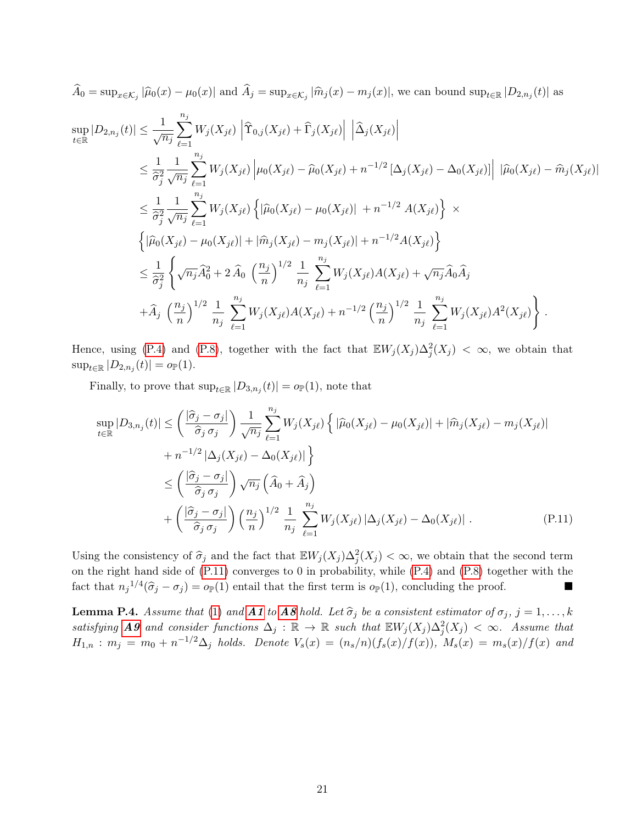$A_0 = \sup_{x \in \mathcal{K}_j} |\widehat{\mu}_0(x) - \mu_0(x)|$  and  $A_j = \sup_{x \in \mathcal{K}_j} |\widehat{m}_j(x) - m_j(x)|$ , we can bound  $\sup_{t \in \mathbb{R}} |D_{2,n_j}(t)|$  as

$$
\sup_{t \in \mathbb{R}} |D_{2,n_j}(t)| \leq \frac{1}{\sqrt{n_j}} \sum_{\ell=1}^{n_j} W_j(X_{j\ell}) \left| \hat{\Upsilon}_{0,j}(X_{j\ell}) + \hat{\Upsilon}_j(X_{j\ell}) \right| \left| \hat{\Delta}_j(X_{j\ell}) \right| \n\leq \frac{1}{\hat{\sigma}_j^2} \frac{1}{\sqrt{n_j}} \sum_{\ell=1}^{n_j} W_j(X_{j\ell}) \left| \mu_0(X_{j\ell}) - \hat{\mu}_0(X_{j\ell}) + n^{-1/2} \left[ \Delta_j(X_{j\ell}) - \Delta_0(X_{j\ell}) \right] \right| |\hat{\mu}_0(X_{j\ell}) - \hat{m}_j(X_{j\ell})| \n\leq \frac{1}{\hat{\sigma}_j^2} \frac{1}{\sqrt{n_j}} \sum_{\ell=1}^{n_j} W_j(X_{j\ell}) \left\{ |\hat{\mu}_0(X_{j\ell}) - \mu_0(X_{j\ell})| + n^{-1/2} A(X_{j\ell}) \right\} \times \n\left\{ |\hat{\mu}_0(X_{j\ell}) - \mu_0(X_{j\ell})| + |\hat{m}_j(X_{j\ell}) - m_j(X_{j\ell})| + n^{-1/2} A(X_{j\ell}) \right\} \n\leq \frac{1}{\hat{\sigma}_j^2} \left\{ \sqrt{n_j} \hat{A}_0^2 + 2 \hat{A}_0 \left( \frac{n_j}{n} \right)^{1/2} \frac{1}{n_j} \sum_{\ell=1}^{n_j} W_j(X_{j\ell}) A(X_{j\ell}) + \sqrt{n_j} \hat{A}_0 \hat{A}_j \right. \n+ \hat{A}_j \left( \frac{n_j}{n} \right)^{1/2} \frac{1}{n_j} \sum_{\ell=1}^{n_j} W_j(X_{j\ell}) A(X_{j\ell}) + n^{-1/2} \left( \frac{n_j}{n} \right)^{1/2} \frac{1}{n_j} \sum_{\ell=1}^{n_j} W_j(X_{j\ell}) A^2(X_{j\ell}) \right\} .
$$

Hence, using [\(P.4\)](#page-18-1) and [\(P.8\)](#page-18-3), together with the fact that  $E W_j(X_j) \Delta_j^2(X_j) < \infty$ , we obtain that  $\sup_{t \in \mathbb{R}} |D_{2,n_j}(t)| = o_{\mathbb{P}}(1).$ 

Finally, to prove that  $\sup_{t\in\mathbb{R}}|D_{3,n_j}(t)|=o_{\mathbb{P}}(1)$ , note that

<span id="page-20-0"></span>
$$
\sup_{t \in \mathbb{R}} |D_{3,n_j}(t)| \leq \left(\frac{|\hat{\sigma}_j - \sigma_j|}{\hat{\sigma}_j \sigma_j}\right) \frac{1}{\sqrt{n_j}} \sum_{\ell=1}^{n_j} W_j(X_{j\ell}) \left\{ |\hat{\mu}_0(X_{j\ell}) - \mu_0(X_{j\ell})| + |\hat{m}_j(X_{j\ell}) - m_j(X_{j\ell})| + n^{-1/2} |\Delta_j(X_{j\ell}) - \Delta_0(X_{j\ell})| \right\}
$$
  

$$
\leq \left(\frac{|\hat{\sigma}_j - \sigma_j|}{\hat{\sigma}_j \sigma_j}\right) \sqrt{n_j} \left(\hat{A}_0 + \hat{A}_j\right)
$$
  

$$
+ \left(\frac{|\hat{\sigma}_j - \sigma_j|}{\hat{\sigma}_j \sigma_j}\right) \left(\frac{n_j}{n}\right)^{1/2} \frac{1}{n_j} \sum_{\ell=1}^{n_j} W_j(X_{j\ell}) |\Delta_j(X_{j\ell}) - \Delta_0(X_{j\ell})| .
$$
 (P.11)

Using the consistency of  $\hat{\sigma}_j$  and the fact that  $\mathbb{E}W_j(X_j) \Delta_j^2(X_j) < \infty$ , we obtain that the second term on the right hand side of [\(P.11\)](#page-20-0) converges to 0 in probability, while [\(P.4\)](#page-18-1) and [\(P.8\)](#page-18-3) together with the fact that  $n_j^{1/4}(\hat{\sigma}_j - \sigma_j) = o_{\mathbb{P}}(1)$  entail that the first term is  $o_{\mathbb{P}}(1)$ , concluding the proof.

<span id="page-20-1"></span>**Lemma P.4.** Assume that [\(1\)](#page-1-0) and **[A1](#page-5-3)** to **[A8](#page-5-2)** hold. Let  $\hat{\sigma}_j$  be a consistent estimator of  $\sigma_j$ ,  $j = 1, ..., k$ satisfying **[A9](#page-5-7)** and consider functions  $\Delta_j : \mathbb{R} \to \mathbb{R}$  such that  $\mathbb{E} W_j(X_j) \Delta_j^2(X_j) < \infty$ . Assume that  $H_{1,n} : m_j = m_0 + n^{-1/2} \Delta_j$  holds. Denote  $V_s(x) = (n_s/n)(f_s(x)/f(x))$ ,  $M_s(x) = m_s(x)/f(x)$  and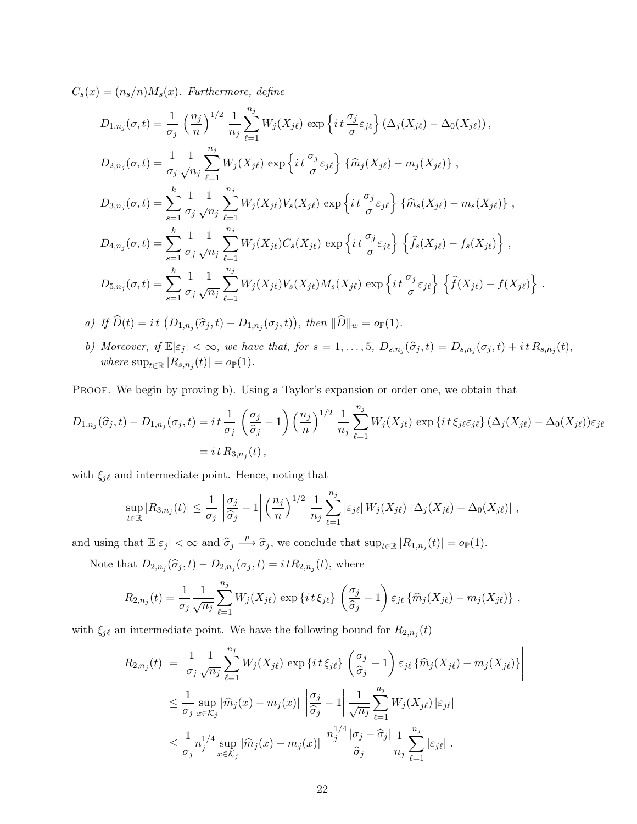$C_s(x) = (n_s/n)M_s(x)$ . Furthermore, define

$$
D_{1,n_j}(\sigma, t) = \frac{1}{\sigma_j} \left(\frac{n_j}{n}\right)^{1/2} \frac{1}{n_j} \sum_{\ell=1}^{n_j} W_j(X_{j\ell}) \exp\left\{it\left(\frac{\sigma_j}{\sigma}\varepsilon_{j\ell}\right) (\Delta_j(X_{j\ell}) - \Delta_0(X_{j\ell}))\right\},
$$
  
\n
$$
D_{2,n_j}(\sigma, t) = \frac{1}{\sigma_j} \frac{1}{\sqrt{n_j}} \sum_{\ell=1}^{n_j} W_j(X_{j\ell}) \exp\left\{it\left(\frac{\sigma_j}{\sigma}\varepsilon_{j\ell}\right) \{\widehat{m}_j(X_{j\ell}) - m_j(X_{j\ell})\}\right\},
$$
  
\n
$$
D_{3,n_j}(\sigma, t) = \sum_{s=1}^k \frac{1}{\sigma_j} \frac{1}{\sqrt{n_j}} \sum_{\ell=1}^{n_j} W_j(X_{j\ell}) V_s(X_{j\ell}) \exp\left\{it\left(\frac{\sigma_j}{\sigma}\varepsilon_{j\ell}\right) \{\widehat{m}_s(X_{j\ell}) - m_s(X_{j\ell})\}\right\},
$$
  
\n
$$
D_{4,n_j}(\sigma, t) = \sum_{s=1}^k \frac{1}{\sigma_j} \frac{1}{\sqrt{n_j}} \sum_{\ell=1}^{n_j} W_j(X_{j\ell}) C_s(X_{j\ell}) \exp\left\{it\left(\frac{\sigma_j}{\sigma}\varepsilon_{j\ell}\right) \{\widehat{f}_s(X_{j\ell}) - f_s(X_{j\ell})\}\right\},
$$
  
\n
$$
D_{5,n_j}(\sigma, t) = \sum_{s=1}^k \frac{1}{\sigma_j} \frac{1}{\sqrt{n_j}} \sum_{\ell=1}^{n_j} W_j(X_{j\ell}) V_s(X_{j\ell}) M_s(X_{j\ell}) \exp\left\{it\left(\frac{\sigma_j}{\sigma}\varepsilon_{j\ell}\right) \{\widehat{f}(X_{j\ell}) - f(X_{j\ell})\}\right\}.
$$

a) If 
$$
\widehat{D}(t) = it \left( D_{1,n_j}(\widehat{\sigma}_j,t) - D_{1,n_j}(\sigma_j,t) \right)
$$
, then  $\|\widehat{D}\|_w = o_{\mathbb{P}}(1)$ .

b) Moreover, if  $\mathbb{E}|\varepsilon_j| < \infty$ , we have that, for  $s = 1, \ldots, 5$ ,  $D_{s,n_j}(\hat{\sigma}_j, t) = D_{s,n_j}(\sigma_j, t) + it R_{s,n_j}(t)$ , where  $\sup_{t\in\mathbb{R}}|R_{s,n_j}(t)|=o_{\mathbb{P}}(1)$ .

PROOF. We begin by proving b). Using a Taylor's expansion or order one, we obtain that

$$
D_{1,n_j}(\hat{\sigma}_j, t) - D_{1,n_j}(\sigma_j, t) = i t \frac{1}{\sigma_j} \left(\frac{\sigma_j}{\hat{\sigma}_j} - 1\right) \left(\frac{n_j}{n}\right)^{1/2} \frac{1}{n_j} \sum_{\ell=1}^{n_j} W_j(X_{j\ell}) \exp\left\{i t \xi_{j\ell} \varepsilon_{j\ell}\right\} (\Delta_j(X_{j\ell}) - \Delta_0(X_{j\ell})) \varepsilon_{j\ell}
$$
  
=  $i t R_{3,n_j}(t)$ ,

with  $\xi_{j\ell}$  and intermediate point. Hence, noting that

$$
\sup_{t\in\mathbb{R}}|R_{3,n_j}(t)|\leq \frac{1}{\sigma_j}\left|\frac{\sigma_j}{\hat{\sigma}_j}-1\right|\left(\frac{n_j}{n}\right)^{1/2}\frac{1}{n_j}\sum_{\ell=1}^{n_j}|\varepsilon_{j\ell}|W_j(X_{j\ell})|\Delta_j(X_{j\ell})-\Delta_0(X_{j\ell})|,
$$

and using that  $\mathbb{E}|\varepsilon_j| < \infty$  and  $\hat{\sigma}_j \stackrel{p}{\longrightarrow} \hat{\sigma}_j$ , we conclude that  $\sup_{t \in \mathbb{R}} |R_{1,n_j}(t)| = o_{\mathbb{P}}(1)$ .

Note that  $D_{2,n_j}(\hat{\sigma}_j, t) - D_{2,n_j}(\sigma_j, t) = i \, tR_{2,n_j}(t)$ , where

$$
R_{2,n_j}(t) = \frac{1}{\sigma_j} \frac{1}{\sqrt{n_j}} \sum_{\ell=1}^{n_j} W_j(X_{j\ell}) \exp\left\{i\,t\,\xi_{j\ell}\right\} \left(\frac{\sigma_j}{\hat{\sigma}_j} - 1\right) \varepsilon_{j\ell} \left\{\hat{m}_j(X_{j\ell}) - m_j(X_{j\ell})\right\} \,,
$$

with  $\xi_{j\ell}$  an intermediate point. We have the following bound for  $R_{2,n_j}(t)$ 

$$
|R_{2,n_j}(t)| = \left| \frac{1}{\sigma_j} \frac{1}{\sqrt{n_j}} \sum_{\ell=1}^{n_j} W_j(X_{j\ell}) \exp\left\{it \xi_{j\ell}\right\} \left(\frac{\sigma_j}{\hat{\sigma}_j} - 1\right) \varepsilon_{j\ell} \left\{\widehat{m}_j(X_{j\ell}) - m_j(X_{j\ell})\right\} \right|
$$
  

$$
\leq \frac{1}{\sigma_j} \sup_{x \in \mathcal{K}_j} |\widehat{m}_j(x) - m_j(x)| \left|\frac{\sigma_j}{\hat{\sigma}_j} - 1\right| \frac{1}{\sqrt{n_j}} \sum_{\ell=1}^{n_j} W_j(X_{j\ell}) |\varepsilon_{j\ell}|
$$
  

$$
\leq \frac{1}{\sigma_j} n_j^{1/4} \sup_{x \in \mathcal{K}_j} |\widehat{m}_j(x) - m_j(x)| \frac{n_j^{1/4} |\sigma_j - \widehat{\sigma}_j|}{\widehat{\sigma}_j} \frac{1}{n_j} \sum_{\ell=1}^{n_j} |\varepsilon_{j\ell}|.
$$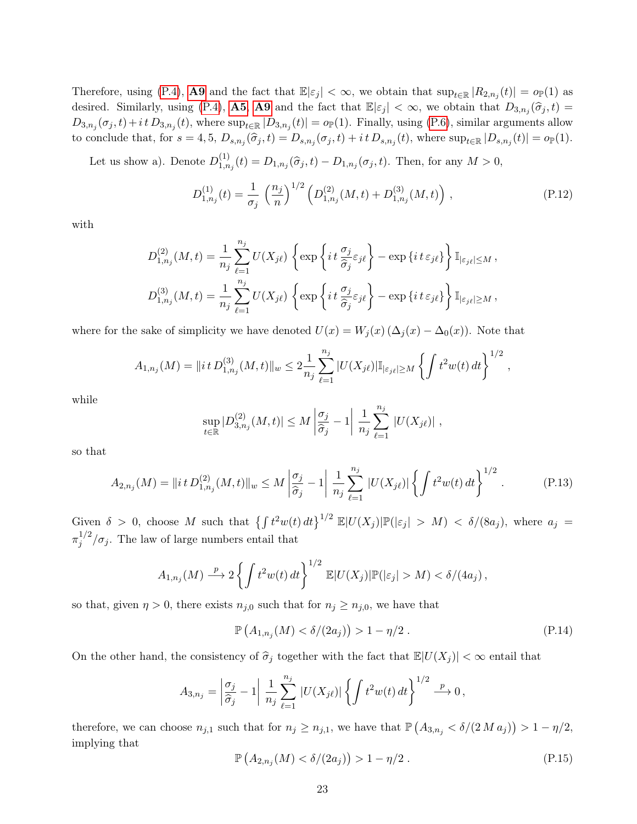Therefore, using [\(P.4\)](#page-18-1), **[A9](#page-5-7)** and the fact that  $\mathbb{E}|\varepsilon_j| < \infty$ , we obtain that  $\sup_{t \in \mathbb{R}} |R_{2,n_j}(t)| = o_{\mathbb{P}}(1)$  as desired. Similarly, using [\(P.4\)](#page-18-1), **[A5](#page-5-8), [A9](#page-5-7)** and the fact that  $\mathbb{E}|\varepsilon_j| < \infty$ , we obtain that  $D_{3,n_j}(\hat{\sigma}_j,t) =$  $D_{3,n_j}(\sigma_j,t)+i\,t\,D_{3,n_j}(t)$ , where  $\sup_{t\in\mathbb{R}}|D_{3,n_j}(t)|=o_\mathbb{P}(1)$ . Finally, using [\(P.6\)](#page-18-1), similar arguments allow to conclude that, for  $s = 4, 5, D_{s,n_j}(\hat{\sigma}_j, t) = D_{s,n_j}(\sigma_j, t) + it D_{s,n_j}(t)$ , where  $\sup_{t \in \mathbb{R}} |D_{s,n_j}(t)| = o_{\mathbb{P}}(1)$ .

Let us show a). Denote  $D_{1,n}^{(1)}$  $1_{1,n_j}(t) = D_{1,n_j}(\hat{\sigma}_j,t) - D_{1,n_j}(\sigma_j,t)$ . Then, for any  $M > 0$ ,

<span id="page-22-0"></span>
$$
D_{1,n_j}^{(1)}(t) = \frac{1}{\sigma_j} \left(\frac{n_j}{n}\right)^{1/2} \left(D_{1,n_j}^{(2)}(M,t) + D_{1,n_j}^{(3)}(M,t)\right),\tag{P.12}
$$

with

$$
D_{1,n_j}^{(2)}(M,t) = \frac{1}{n_j} \sum_{\ell=1}^{n_j} U(X_{j\ell}) \left\{ \exp\left\{ i t \frac{\sigma_j}{\hat{\sigma}_j} \varepsilon_{j\ell} \right\} - \exp\left\{ i t \varepsilon_{j\ell} \right\} \right\} \mathbb{I}_{|\varepsilon_{j\ell}| \leq M},
$$
  

$$
D_{1,n_j}^{(3)}(M,t) = \frac{1}{n_j} \sum_{\ell=1}^{n_j} U(X_{j\ell}) \left\{ \exp\left\{ i t \frac{\sigma_j}{\hat{\sigma}_j} \varepsilon_{j\ell} \right\} - \exp\left\{ i t \varepsilon_{j\ell} \right\} \right\} \mathbb{I}_{|\varepsilon_{j\ell}| \geq M},
$$

where for the sake of simplicity we have denoted  $U(x) = W_j(x) (\Delta_j(x) - \Delta_0(x))$ . Note that

$$
A_{1,n_j}(M) = \|it D_{1,n_j}^{(3)}(M,t)\|_{w} \leq 2 \frac{1}{n_j} \sum_{\ell=1}^{n_j} |U(X_{j\ell})| \mathbb{I}_{|\varepsilon_{j\ell}| \geq M} \left\{ \int t^2 w(t) dt \right\}^{1/2},
$$

while

$$
\sup_{t\in\mathbb{R}}|D_{3,n_j}^{(2)}(M,t)|\leq M\left|\frac{\sigma_j}{\hat{\sigma}_j}-1\right|\frac{1}{n_j}\sum_{\ell=1}^{n_j}|U(X_{j\ell})|,
$$

so that

<span id="page-22-1"></span>
$$
A_{2,n_j}(M) = \|it \, D_{1,n_j}^{(2)}(M,t)\|_w \le M \left| \frac{\sigma_j}{\hat{\sigma}_j} - 1 \right| \frac{1}{n_j} \sum_{\ell=1}^{n_j} |U(X_{j\ell})| \left\{ \int t^2 w(t) \, dt \right\}^{1/2} . \tag{P.13}
$$

Given  $\delta > 0$ , choose M such that  $\left\{ \int t^2 w(t) dt \right\}^{1/2} \mathbb{E} |U(X_j)| \mathbb{P}(|\varepsilon_j| > M) < \delta/(8a_j)$ , where  $a_j =$  $\pi_i^{1/2}$  $j^{1/2}/\sigma_j$ . The law of large numbers entail that

$$
A_{1,n_j}(M) \xrightarrow{p} 2 \left\{ \int t^2 w(t) dt \right\}^{1/2} \mathbb{E}|U(X_j)| \mathbb{P}(|\varepsilon_j| > M) < \delta/(4a_j),
$$

so that, given  $\eta > 0$ , there exists  $n_{j,0}$  such that for  $n_j \geq n_{j,0}$ , we have that

<span id="page-22-2"></span>
$$
\mathbb{P}\left(A_{1,n_j}(M) < \delta/(2a_j)\right) > 1 - \eta/2\,. \tag{P.14}
$$

On the other hand, the consistency of  $\hat{\sigma}_j$  together with the fact that  $\mathbb{E}|U(X_j)| < \infty$  entail that

$$
A_{3,n_j} = \left| \frac{\sigma_j}{\hat{\sigma}_j} - 1 \right| \frac{1}{n_j} \sum_{\ell=1}^{n_j} |U(X_{j\ell})| \left\{ \int t^2 w(t) dt \right\}^{1/2} \stackrel{p}{\longrightarrow} 0,
$$

therefore, we can choose  $n_{j,1}$  such that for  $n_j \ge n_{j,1}$ , we have that  $\mathbb{P}\left(A_{3,n_j} \lt \delta/(2\Delta a_j)\right) > 1 - \eta/2$ , implying that

<span id="page-22-3"></span>
$$
\mathbb{P}\left(A_{2,n_j}(M) < \delta/(2a_j)\right) > 1 - \eta/2\,. \tag{P.15}
$$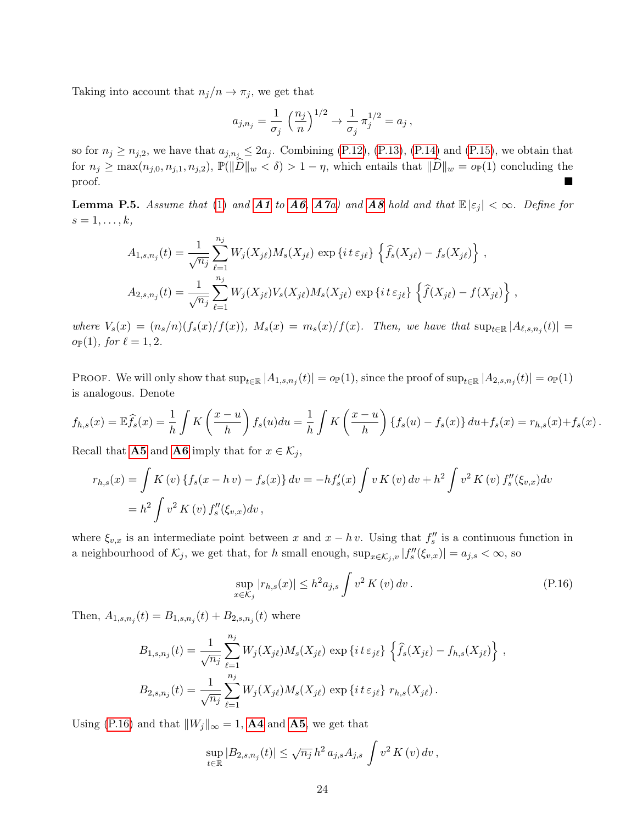Taking into account that  $n_j/n \to \pi_j$ , we get that

$$
a_{j,n_j} = \frac{1}{\sigma_j} \left(\frac{n_j}{n}\right)^{1/2} \to \frac{1}{\sigma_j} \pi_j^{1/2} = a_j,
$$

so for  $n_j \geq n_{j,2}$ , we have that  $a_{j,n_j} \leq 2a_j$ . Combining [\(P.12\)](#page-22-0), [\(P.13\)](#page-22-1), [\(P.14\)](#page-22-2) and [\(P.15\)](#page-22-3), we obtain that for  $n_j \ge \max(n_{j,0}, n_{j,1}, n_{j,2})$ ,  $\mathbb{P}(\|\widehat{D}\|_w < \delta) > 1 - \eta$ , which entails that  $\|\widehat{D}\|_w = o_{\mathbb{P}}(1)$  concluding the proof. proof.

<span id="page-23-1"></span>**Lemma P.5.** Assume that [\(1\)](#page-1-0) and **[A1](#page-5-3)** to **[A6](#page-5-5)**, **[A7](#page-5-6)**a) and **[A8](#page-5-2)** hold and that  $\mathbb{E}|\varepsilon_j| < \infty$ . Define for  $s=1,\ldots,k,$ 

$$
A_{1,s,n_j}(t) = \frac{1}{\sqrt{n_j}} \sum_{\ell=1}^{n_j} W_j(X_{j\ell}) M_s(X_{j\ell}) \exp \{ i t \varepsilon_{j\ell} \} \left\{ \hat{f}_s(X_{j\ell}) - f_s(X_{j\ell}) \right\},
$$
  

$$
A_{2,s,n_j}(t) = \frac{1}{\sqrt{n_j}} \sum_{\ell=1}^{n_j} W_j(X_{j\ell}) V_s(X_{j\ell}) M_s(X_{j\ell}) \exp \{ i t \varepsilon_{j\ell} \} \left\{ \hat{f}(X_{j\ell}) - f(X_{j\ell}) \right\},
$$

where  $V_s(x) = (n_s/n)(f_s(x)/f(x))$ ,  $M_s(x) = m_s(x)/f(x)$ . Then, we have that  $\sup_{t \in \mathbb{R}} |A_{\ell,s,n_j}(t)| =$  $o_{\mathbb{P}}(1)$ , for  $\ell = 1, 2$ .

PROOF. We will only show that  $\sup_{t\in\mathbb{R}}|A_{1,s,n_j}(t)|=o_{\mathbb{P}}(1)$ , since the proof of  $\sup_{t\in\mathbb{R}}|A_{2,s,n_j}(t)|=o_{\mathbb{P}}(1)$ is analogous. Denote

$$
f_{h,s}(x) = \mathbb{E}\widehat{f}_s(x) = \frac{1}{h} \int K\left(\frac{x-u}{h}\right) f_s(u) du = \frac{1}{h} \int K\left(\frac{x-u}{h}\right) \{f_s(u) - f_s(x)\} du + f_s(x) = r_{h,s}(x) + f_s(x).
$$

Recall that **[A5](#page-5-8)** and **[A6](#page-5-5)** imply that for  $x \in \mathcal{K}_j$ ,

$$
r_{h,s}(x) = \int K(v) \{ f_s(x - h v) - f_s(x) \} dv = -h f'_s(x) \int v K(v) dv + h^2 \int v^2 K(v) f''_s(\xi_{v,x}) dv
$$
  
=  $h^2 \int v^2 K(v) f''_s(\xi_{v,x}) dv$ ,

where  $\xi_{v,x}$  is an intermediate point between x and  $x - h v$ . Using that  $f''_s$  is a continuous function in a neighbourhood of  $\mathcal{K}_j$ , we get that, for h small enough,  $\sup_{x \in \mathcal{K}_j, v} |f''_s(\xi_{v,x})| = a_{j,s} < \infty$ , so

<span id="page-23-0"></span>
$$
\sup_{x \in \mathcal{K}_j} |r_{h,s}(x)| \le h^2 a_{j,s} \int v^2 K(v) \, dv \,. \tag{P.16}
$$

Then,  $A_{1,s,n_j}(t) = B_{1,s,n_j}(t) + B_{2,s,n_j}(t)$  where

$$
B_{1,s,n_j}(t) = \frac{1}{\sqrt{n_j}} \sum_{\ell=1}^{n_j} W_j(X_{j\ell}) M_s(X_{j\ell}) \exp \{ i t \varepsilon_{j\ell} \} \left\{ \widehat{f}_s(X_{j\ell}) - f_{h,s}(X_{j\ell}) \right\},
$$
  

$$
B_{2,s,n_j}(t) = \frac{1}{\sqrt{n_j}} \sum_{\ell=1}^{n_j} W_j(X_{j\ell}) M_s(X_{j\ell}) \exp \{ i t \varepsilon_{j\ell} \} r_{h,s}(X_{j\ell}).
$$

Using [\(P.16\)](#page-23-0) and that  $||W_j||_{\infty} = 1$ , **[A4](#page-5-1)** and **[A5](#page-5-8)**, we get that

$$
\sup_{t \in \mathbb{R}} |B_{2,s,n_j}(t)| \leq \sqrt{n_j} h^2 a_{j,s} A_{j,s} \int v^2 K(v) dv,
$$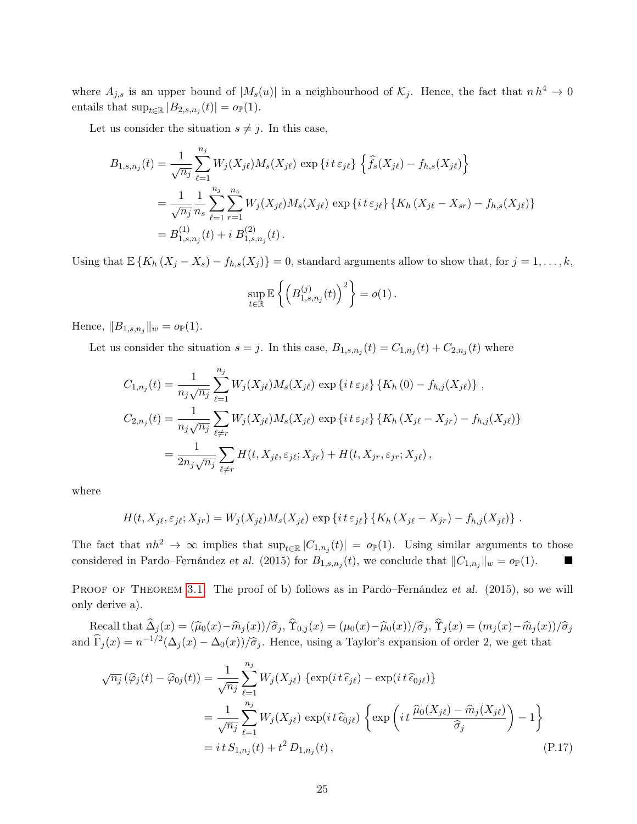where  $A_{j,s}$  is an upper bound of  $|M_s(u)|$  in a neighbourhood of  $\mathcal{K}_j$ . Hence, the fact that  $n h^4 \to 0$ entails that  $\sup_{t\in\mathbb{R}} |B_{2,s,n_j}(t)| = o_{\mathbb{P}}(1)$ .

Let us consider the situation  $s \neq j$ . In this case,

$$
B_{1,s,n_j}(t) = \frac{1}{\sqrt{n_j}} \sum_{\ell=1}^{n_j} W_j(X_{j\ell}) M_s(X_{j\ell}) \exp\{it \varepsilon_{j\ell}\} \left\{ \hat{f}_s(X_{j\ell}) - f_{h,s}(X_{j\ell}) \right\}
$$
  
= 
$$
\frac{1}{\sqrt{n_j}} \frac{1}{n_s} \sum_{\ell=1}^{n_j} \sum_{r=1}^{n_s} W_j(X_{j\ell}) M_s(X_{j\ell}) \exp\{it \varepsilon_{j\ell}\} \{K_h(X_{j\ell} - X_{sr}) - f_{h,s}(X_{j\ell})\}
$$
  
= 
$$
B_{1,s,n_j}^{(1)}(t) + i B_{1,s,n_j}^{(2)}(t).
$$

Using that  $\mathbb{E} \{K_h (X_j - X_s) - f_{h,s}(X_j)\} = 0$ , standard arguments allow to show that, for  $j = 1, ..., k$ ,

$$
\sup_{t\in\mathbb{R}}\mathbb{E}\left\{\left(B^{(j)}_{1,s,n_j}(t)\right)^2\right\}=o(1).
$$

Hence,  $||B_{1,s,n_j}||_w = o_{\mathbb{P}}(1)$ .

Let us consider the situation  $s = j$ . In this case,  $B_{1,s,n_j}(t) = C_{1,n_j}(t) + C_{2,n_j}(t)$  where

$$
C_{1,n_j}(t) = \frac{1}{n_j \sqrt{n_j}} \sum_{\ell=1}^{n_j} W_j(X_{j\ell}) M_s(X_{j\ell}) \exp \{i t \varepsilon_{j\ell} \} \{ K_h(0) - f_{h,j}(X_{j\ell}) \},
$$
  
\n
$$
C_{2,n_j}(t) = \frac{1}{n_j \sqrt{n_j}} \sum_{\ell \neq r} W_j(X_{j\ell}) M_s(X_{j\ell}) \exp \{i t \varepsilon_{j\ell} \} \{ K_h(X_{j\ell} - X_{jr}) - f_{h,j}(X_{j\ell}) \}
$$
  
\n
$$
= \frac{1}{2n_j \sqrt{n_j}} \sum_{\ell \neq r} H(t, X_{j\ell}, \varepsilon_{j\ell}; X_{jr}) + H(t, X_{jr}, \varepsilon_{jr}; X_{j\ell}),
$$

where

$$
H(t, X_{j\ell}, \varepsilon_{j\ell}; X_{jr}) = W_j(X_{j\ell})M_s(X_{j\ell}) \exp\left\{i\,t\,\varepsilon_{j\ell}\right\} \left\{K_h\left(X_{j\ell} - X_{jr}\right) - f_{h,j}(X_{j\ell})\right\}.
$$

The fact that  $nh^2 \to \infty$  implies that  $\sup_{t \in \mathbb{R}} |C_{1,n_j}(t)| = o_{\mathbb{P}}(1)$ . Using similar arguments to those considered in Pardo–Fernández et al. (2015) for  $B_{1,s,n_j}(t)$ , we conclude that  $||C_{1,n_j}||_w = o_{\mathbb{P}}(1)$ .

PROOF OF THEOREM [3.1.](#page-6-1) The proof of b) follows as in Pardo–Fernández et al. (2015), so we will only derive a).

Recall that  $\Delta_j (x) = (\widehat{\mu}_0(x) - \widehat{m}_j(x))/\widehat{\sigma}_j$ ,  $\Upsilon_{0,j}(x) = (\mu_0(x) - \widehat{\mu}_0(x))/\widehat{\sigma}_j$ ,  $\Upsilon_j (x) = (m_j(x) - \widehat{m}_j(x))/\widehat{\sigma}_j$ and  $\hat{\Gamma}_j(x) = n^{-1/2} (\Delta_j(x) - \Delta_0(x))/\hat{\sigma}_j$ . Hence, using a Taylor's expansion of order 2, we get that

<span id="page-24-0"></span>
$$
\sqrt{n_j}(\widehat{\varphi}_j(t) - \widehat{\varphi}_{0j}(t)) = \frac{1}{\sqrt{n_j}} \sum_{\ell=1}^{n_j} W_j(X_{j\ell}) \left\{ \exp(it\,\widehat{\epsilon}_{j\ell}) - \exp(it\,\widehat{\epsilon}_{0j\ell}) \right\}
$$
  
\n
$$
= \frac{1}{\sqrt{n_j}} \sum_{\ell=1}^{n_j} W_j(X_{j\ell}) \exp(it\,\widehat{\epsilon}_{0j\ell}) \left\{ \exp\left(it\,\frac{\widehat{\mu}_0(X_{j\ell}) - \widehat{m}_j(X_{j\ell})}{\widehat{\sigma}_j}\right) - 1 \right\}
$$
  
\n
$$
= it\,S_{1,n_j}(t) + t^2\,D_{1,n_j}(t), \tag{P.17}
$$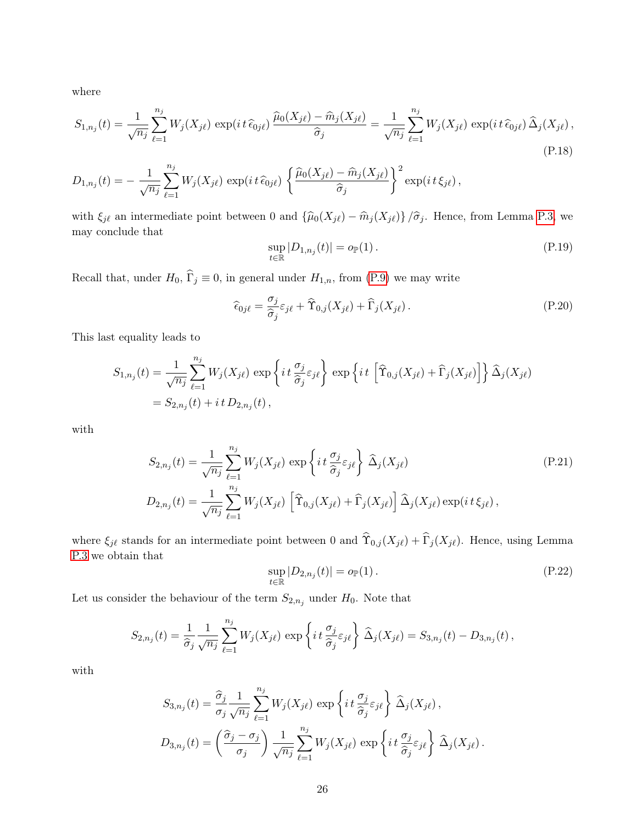where

$$
S_{1,n_j}(t) = \frac{1}{\sqrt{n_j}} \sum_{\ell=1}^{n_j} W_j(X_{j\ell}) \exp(it\,\widehat{\epsilon}_{0j\ell}) \frac{\widehat{\mu}_0(X_{j\ell}) - \widehat{m}_j(X_{j\ell})}{\widehat{\sigma}_j} = \frac{1}{\sqrt{n_j}} \sum_{\ell=1}^{n_j} W_j(X_{j\ell}) \exp(it\,\widehat{\epsilon}_{0j\ell}) \widehat{\Delta}_j(X_{j\ell}),
$$
\n(P.18)

$$
D_{1,n_j}(t) = -\frac{1}{\sqrt{n_j}} \sum_{\ell=1}^{n_j} W_j(X_{j\ell}) \exp(it\,\widehat{\epsilon}_{0j\ell}) \left\{ \frac{\widehat{\mu}_0(X_{j\ell}) - \widehat{m}_j(X_{j\ell})}{\widehat{\sigma}_j} \right\}^2 \exp(it\,\xi_{j\ell}),
$$

with  $\xi_{j\ell}$  an intermediate point between 0 and  $\{\widehat{\mu}_0(X_{j\ell}) - \widehat{m}_j(X_{j\ell})\}/\widehat{\sigma}_j$ . Hence, from Lemma [P.3,](#page-19-1) we may conclude that

<span id="page-25-2"></span><span id="page-25-0"></span>
$$
\sup_{t \in \mathbb{R}} |D_{1,n_j}(t)| = o_{\mathbb{P}}(1).
$$
\n(P.19)

Recall that, under  $H_0$ ,  $\widehat{\Gamma}_j \equiv 0$ , in general under  $H_{1,n}$ , from [\(P.9\)](#page-19-2) we may write

<span id="page-25-3"></span>
$$
\widehat{\epsilon}_{0j\ell} = \frac{\sigma_j}{\widehat{\sigma}_j} \varepsilon_{j\ell} + \widehat{\Upsilon}_{0,j}(X_{j\ell}) + \widehat{\Gamma}_j(X_{j\ell}).
$$
\n(P.20)

This last equality leads to

$$
S_{1,n_j}(t) = \frac{1}{\sqrt{n_j}} \sum_{\ell=1}^{n_j} W_j(X_{j\ell}) \exp\left\{it \frac{\sigma_j}{\hat{\sigma}_j} \varepsilon_{j\ell}\right\} \exp\left\{it \left[\hat{T}_{0,j}(X_{j\ell}) + \hat{\Gamma}_j(X_{j\ell})\right]\right\} \hat{\Delta}_j(X_{j\ell})
$$
  
=  $S_{2,n_j}(t) + it D_{2,n_j}(t)$ ,

with

$$
S_{2,n_j}(t) = \frac{1}{\sqrt{n_j}} \sum_{\ell=1}^{n_j} W_j(X_{j\ell}) \exp\left\{it \frac{\sigma_j}{\hat{\sigma}_j} \varepsilon_{j\ell}\right\} \widehat{\Delta}_j(X_{j\ell})
$$
\n
$$
D_{2,n_j}(t) = \frac{1}{\sqrt{n_j}} \sum_{\ell=1}^{n_j} W_j(X_{j\ell}) \left[ \widehat{\Upsilon}_{0,j}(X_{j\ell}) + \widehat{\Gamma}_j(X_{j\ell}) \right] \widehat{\Delta}_j(X_{j\ell}) \exp(it \xi_{j\ell}),
$$
\n(P.21)

where  $\xi_{j\ell}$  stands for an intermediate point between 0 and  $\hat{\Upsilon}_{0,j} (X_{j\ell}) + \hat{\Gamma}_j (X_{j\ell})$ . Hence, using Lemma [P.3](#page-19-1) we obtain that

<span id="page-25-4"></span><span id="page-25-1"></span>
$$
\sup_{t \in \mathbb{R}} |D_{2,n_j}(t)| = o_{\mathbb{P}}(1).
$$
 (P.22)

Let us consider the behaviour of the term  $S_{2,n_j}$  under  $H_0$ . Note that

$$
S_{2,n_j}(t) = \frac{1}{\hat{\sigma}_j} \frac{1}{\sqrt{n_j}} \sum_{\ell=1}^{n_j} W_j(X_{j\ell}) \exp\left\{ i t \frac{\sigma_j}{\hat{\sigma}_j} \varepsilon_{j\ell} \right\} \widehat{\Delta}_j(X_{j\ell}) = S_{3,n_j}(t) - D_{3,n_j}(t) ,
$$

with

$$
S_{3,n_j}(t) = \frac{\hat{\sigma}_j}{\sigma_j} \frac{1}{\sqrt{n_j}} \sum_{\ell=1}^{n_j} W_j(X_{j\ell}) \exp\left\{it \frac{\sigma_j}{\hat{\sigma}_j} \varepsilon_{j\ell}\right\} \hat{\Delta}_j(X_{j\ell}),
$$
  

$$
D_{3,n_j}(t) = \left(\frac{\hat{\sigma}_j - \sigma_j}{\sigma_j}\right) \frac{1}{\sqrt{n_j}} \sum_{\ell=1}^{n_j} W_j(X_{j\ell}) \exp\left\{it \frac{\sigma_j}{\hat{\sigma}_j} \varepsilon_{j\ell}\right\} \hat{\Delta}_j(X_{j\ell}).
$$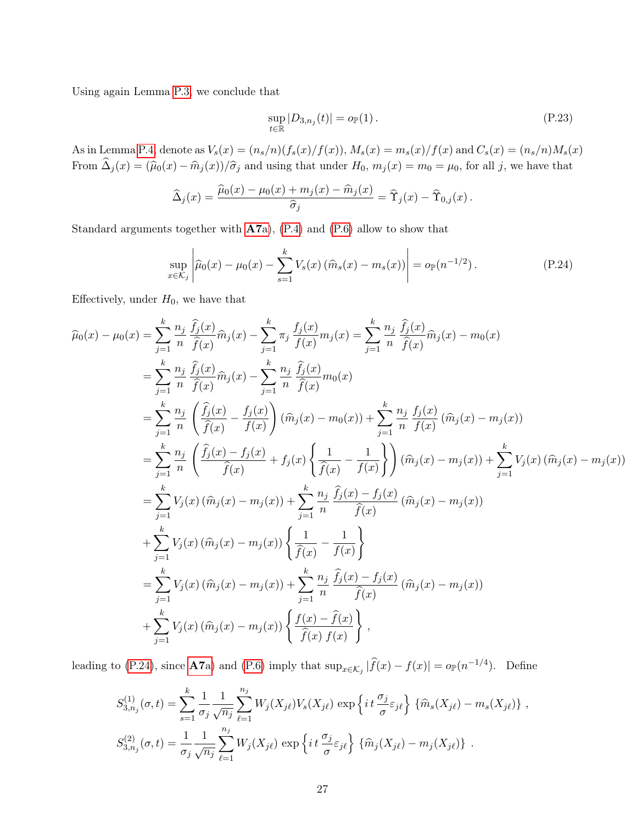Using again Lemma [P.3,](#page-19-1) we conclude that

<span id="page-26-1"></span><span id="page-26-0"></span>
$$
\sup_{t \in \mathbb{R}} |D_{3,n_j}(t)| = o_{\mathbb{P}}(1).
$$
\n
$$
(P.23)
$$

As in Lemma [P.4,](#page-20-1) denote as  $V_s(x) = (n_s/n)(f_s(x)/f(x))$ ,  $M_s(x) = m_s(x)/f(x)$  and  $C_s(x) = (n_s/n)M_s(x)$ From  $\hat{\Delta}_j (x) = (\hat{\mu}_0(x) - \hat{m}_j(x))/\hat{\sigma}_j$  and using that under  $H_0$ ,  $m_j(x) = m_0 = \mu_0$ , for all j, we have that

$$
\widehat{\Delta}_j(x) = \frac{\widehat{\mu}_0(x) - \mu_0(x) + m_j(x) - \widehat{m}_j(x)}{\widehat{\sigma}_j} = \widehat{\Upsilon}_j(x) - \widehat{\Upsilon}_{0,j}(x).
$$

Standard arguments together with [A7](#page-5-6)a), [\(P.4\)](#page-18-1) and [\(P.6\)](#page-18-1) allow to show that

$$
\sup_{x \in \mathcal{K}_j} \left| \widehat{\mu}_0(x) - \mu_0(x) - \sum_{s=1}^k V_s(x) \left( \widehat{m}_s(x) - m_s(x) \right) \right| = o_{\mathbb{P}}(n^{-1/2}). \tag{P.24}
$$

Effectively, under  $H_0$ , we have that

$$
\hat{\mu}_{0}(x) - \mu_{0}(x) = \sum_{j=1}^{k} \frac{n_{j}}{n} \frac{\hat{f}_{j}(x)}{\hat{f}(x)} \hat{m}_{j}(x) - \sum_{j=1}^{k} \pi_{j} \frac{f_{j}(x)}{f(x)} m_{j}(x) = \sum_{j=1}^{k} \frac{n_{j}}{n} \frac{\hat{f}_{j}(x)}{\hat{f}(x)} \hat{m}_{j}(x) - m_{0}(x)
$$
\n
$$
= \sum_{j=1}^{k} \frac{n_{j}}{n} \frac{\hat{f}_{j}(x)}{\hat{f}(x)} \hat{m}_{j}(x) - \sum_{j=1}^{k} \frac{n_{j}}{n} \frac{\hat{f}_{j}(x)}{\hat{f}(x)} m_{0}(x)
$$
\n
$$
= \sum_{j=1}^{k} \frac{n_{j}}{n} \left( \frac{\hat{f}_{j}(x)}{\hat{f}(x)} - \frac{f_{j}(x)}{f(x)} \right) (\hat{m}_{j}(x) - m_{0}(x)) + \sum_{j=1}^{k} \frac{n_{j}}{n} \frac{f_{j}(x)}{f(x)} (\hat{m}_{j}(x) - m_{j}(x))
$$
\n
$$
= \sum_{j=1}^{k} \frac{n_{j}}{n} \left( \frac{\hat{f}_{j}(x) - f_{j}(x)}{\hat{f}(x)} + f_{j}(x) \left\{ \frac{1}{\hat{f}(x)} - \frac{1}{f(x)} \right\} \right) (\hat{m}_{j}(x) - m_{j}(x)) + \sum_{j=1}^{k} V_{j}(x) (\hat{m}_{j}(x) - m_{j}(x))
$$
\n
$$
= \sum_{j=1}^{k} V_{j}(x) (\hat{m}_{j}(x) - m_{j}(x)) + \sum_{j=1}^{k} \frac{n_{j}}{n} \frac{\hat{f}_{j}(x) - f_{j}(x)}{\hat{f}(x)} (\hat{m}_{j}(x) - m_{j}(x))
$$
\n
$$
+ \sum_{j=1}^{k} V_{j}(x) (\hat{m}_{j}(x) - m_{j}(x)) + \sum_{j=1}^{k} \frac{n_{j}}{n} \frac{\hat{f}_{j}(x) - f_{j}(x)}{\hat{f}(x)} (\hat{m}_{j}(x) - m_{j}(x))
$$
\n
$$
+ \sum_{j=1}^{k}
$$

leading to [\(P.24\)](#page-26-0), since **[A7](#page-5-6)a**) and [\(P.6\)](#page-18-1) imply that  $\sup_{x \in \mathcal{K}_j} |\widehat{f}(x) - f(x)| = o_{\mathbb{P}}(n^{-1/4})$ . Define

$$
S_{3,n_j}^{(1)}(\sigma,t) = \sum_{s=1}^k \frac{1}{\sigma_j} \frac{1}{\sqrt{n_j}} \sum_{\ell=1}^{n_j} W_j(X_{j\ell}) V_s(X_{j\ell}) \exp\left\{it\frac{\sigma_j}{\sigma} \varepsilon_{j\ell}\right\} \{\widehat{m}_s(X_{j\ell}) - m_s(X_{j\ell})\},
$$
  

$$
S_{3,n_j}^{(2)}(\sigma,t) = \frac{1}{\sigma_j} \frac{1}{\sqrt{n_j}} \sum_{\ell=1}^{n_j} W_j(X_{j\ell}) \exp\left\{it\frac{\sigma_j}{\sigma} \varepsilon_{j\ell}\right\} \{\widehat{m}_j(X_{j\ell}) - m_j(X_{j\ell})\}.
$$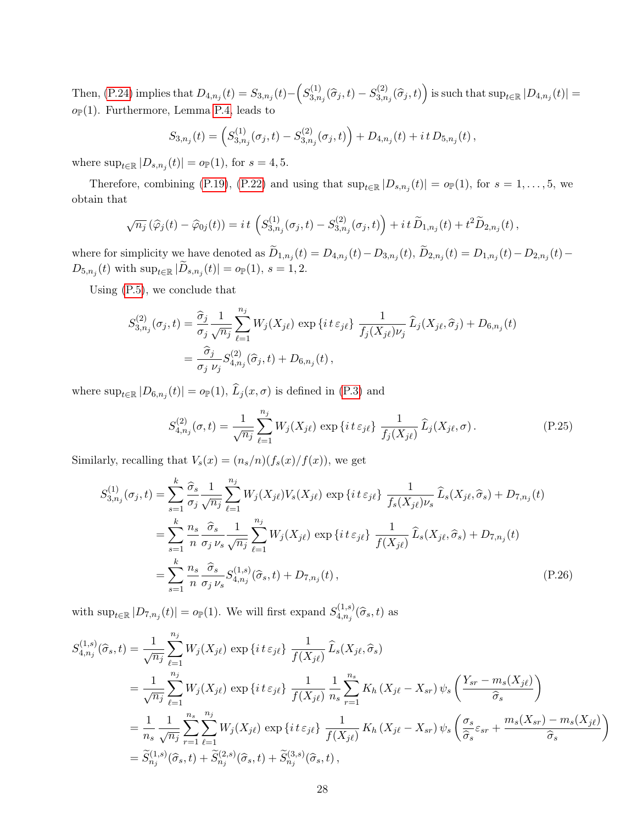Then, [\(P.24\)](#page-26-0) implies that  $D_{4,n_j}(t) = S_{3,n_j}(t) - \left(S_{3,n_j}(t) - S_{3,n_j}(t)\right)$  $S^{(1)}_{3,n_j}(\widehat\sigma_j,t)-S^{(2)}_{3,n_j}$  $\binom{(2)}{3,n_j}(\widehat{\sigma}_j,t)$  is such that  $\sup_{t\in\mathbb{R}}|D_{4,n_j}(t)|=$  $o_{\mathbb{P}}(1)$ . Furthermore, Lemma [P.4,](#page-20-1) leads to

$$
S_{3,n_j}(t) = \left(S_{3,n_j}^{(1)}(\sigma_j,t) - S_{3,n_j}^{(2)}(\sigma_j,t)\right) + D_{4,n_j}(t) + it D_{5,n_j}(t),
$$

where  $\sup_{t\in\mathbb{R}}|D_{s,n_j}(t)|=o_{\mathbb{P}}(1)$ , for  $s=4,5$ .

Therefore, combining [\(P.19\)](#page-25-0), [\(P.22\)](#page-25-1) and using that  $\sup_{t\in\mathbb{R}}|D_{s,n_j}(t)|=o_{\mathbb{P}}(1)$ , for  $s=1,\ldots,5$ , we obtain that

$$
\sqrt{n_j} \left( \widehat{\varphi}_j(t) - \widehat{\varphi}_{0j}(t) \right) = it \left( S_{3,n_j}^{(1)}(\sigma_j,t) - S_{3,n_j}^{(2)}(\sigma_j,t) \right) + it \, \widetilde{D}_{1,n_j}(t) + t^2 \widetilde{D}_{2,n_j}(t) \,,
$$

where for simplicity we have denoted as  $D_{1,n_j}(t) = D_{4,n_j}(t) - D_{3,n_j}(t)$ ,  $D_{2,n_j}(t) = D_{1,n_j}(t) - D_{2,n_j}(t) - D_{3,n_j}(t)$  $D_{5,n_j}(t)$  with  $\sup_{t \in \mathbb{R}} |D_{s,n_j}(t)| = o_{\mathbb{P}}(1), s = 1,2.$ 

Using [\(P.5\)](#page-18-1), we conclude that

$$
S_{3,n_j}^{(2)}(\sigma_j, t) = \frac{\hat{\sigma}_j}{\sigma_j} \frac{1}{\sqrt{n_j}} \sum_{\ell=1}^{n_j} W_j(X_{j\ell}) \exp\{it \epsilon_{j\ell}\} \frac{1}{f_j(X_{j\ell})\nu_j} \hat{L}_j(X_{j\ell}, \hat{\sigma}_j) + D_{6,n_j}(t) = \frac{\hat{\sigma}_j}{\sigma_j \nu_j} S_{4,n_j}^{(2)}(\hat{\sigma}_j, t) + D_{6,n_j}(t),
$$

where  $\sup_{t\in\mathbb{R}}|D_{6,n_j}(t)|=o_{\mathbb{P}}(1), L_j(x,\sigma)$  is defined in [\(P.3\)](#page-18-4) and

<span id="page-27-1"></span><span id="page-27-0"></span>
$$
S_{4,n_j}^{(2)}(\sigma, t) = \frac{1}{\sqrt{n_j}} \sum_{\ell=1}^{n_j} W_j(X_{j\ell}) \exp\{it \epsilon_{j\ell}\} \frac{1}{f_j(X_{j\ell})} \hat{L}_j(X_{j\ell}, \sigma).
$$
 (P.25)

Similarly, recalling that  $V_s(x) = (n_s/n)(f_s(x)/f(x))$ , we get

$$
S_{3,n_j}^{(1)}(\sigma_j, t) = \sum_{s=1}^k \frac{\hat{\sigma}_s}{\sigma_j} \frac{1}{\sqrt{n_j}} \sum_{\ell=1}^{n_j} W_j(X_{j\ell}) V_s(X_{j\ell}) \exp\left\{it \varepsilon_{j\ell}\right\} \frac{1}{f_s(X_{j\ell}) \nu_s} \widehat{L}_s(X_{j\ell}, \widehat{\sigma}_s) + D_{7,n_j}(t)
$$
  
\n
$$
= \sum_{s=1}^k \frac{n_s}{n} \frac{\hat{\sigma}_s}{\sigma_j \nu_s} \frac{1}{\sqrt{n_j}} \sum_{\ell=1}^{n_j} W_j(X_{j\ell}) \exp\left\{it \varepsilon_{j\ell}\right\} \frac{1}{f(X_{j\ell})} \widehat{L}_s(X_{j\ell}, \widehat{\sigma}_s) + D_{7,n_j}(t)
$$
  
\n
$$
= \sum_{s=1}^k \frac{n_s}{n} \frac{\hat{\sigma}_s}{\sigma_j \nu_s} S_{4,n_j}^{(1,s)}(\widehat{\sigma}_s, t) + D_{7,n_j}(t), \tag{P.26}
$$

with  $\sup_{t\in\mathbb{R}}|D_{7,n_j}(t)|=o_{\mathbb{P}}(1)$ . We will first expand  $S_{4,n_j}^{(1,s)}$  $a_{4,n_j}^{(1,s)}(\widehat{\sigma}_s,t)$  as

$$
S_{4,n_j}^{(1,s)}(\hat{\sigma}_s,t) = \frac{1}{\sqrt{n_j}} \sum_{\ell=1}^{n_j} W_j(X_{j\ell}) \exp\left\{it \epsilon_{j\ell}\right\} \frac{1}{f(X_{j\ell})} \hat{L}_s(X_{j\ell},\hat{\sigma}_s)
$$
  
\n
$$
= \frac{1}{\sqrt{n_j}} \sum_{\ell=1}^{n_j} W_j(X_{j\ell}) \exp\left\{it \epsilon_{j\ell}\right\} \frac{1}{f(X_{j\ell})} \frac{1}{n_s} \sum_{r=1}^{n_s} K_h(X_{j\ell} - X_{sr}) \psi_s\left(\frac{Y_{sr} - m_s(X_{j\ell})}{\hat{\sigma}_s}\right)
$$
  
\n
$$
= \frac{1}{n_s} \frac{1}{\sqrt{n_j}} \sum_{r=1}^{n_s} \sum_{\ell=1}^{n_j} W_j(X_{j\ell}) \exp\left\{it \epsilon_{j\ell}\right\} \frac{1}{f(X_{j\ell})} K_h(X_{j\ell} - X_{sr}) \psi_s\left(\frac{\sigma_s}{\hat{\sigma}_s} \varepsilon_{sr} + \frac{m_s(X_{sr}) - m_s(X_{j\ell})}{\hat{\sigma}_s}\right)
$$
  
\n
$$
= \widetilde{S}_{n_j}^{(1,s)}(\hat{\sigma}_s,t) + \widetilde{S}_{n_j}^{(2,s)}(\hat{\sigma}_s,t) + \widetilde{S}_{n_j}^{(3,s)}(\hat{\sigma}_s,t),
$$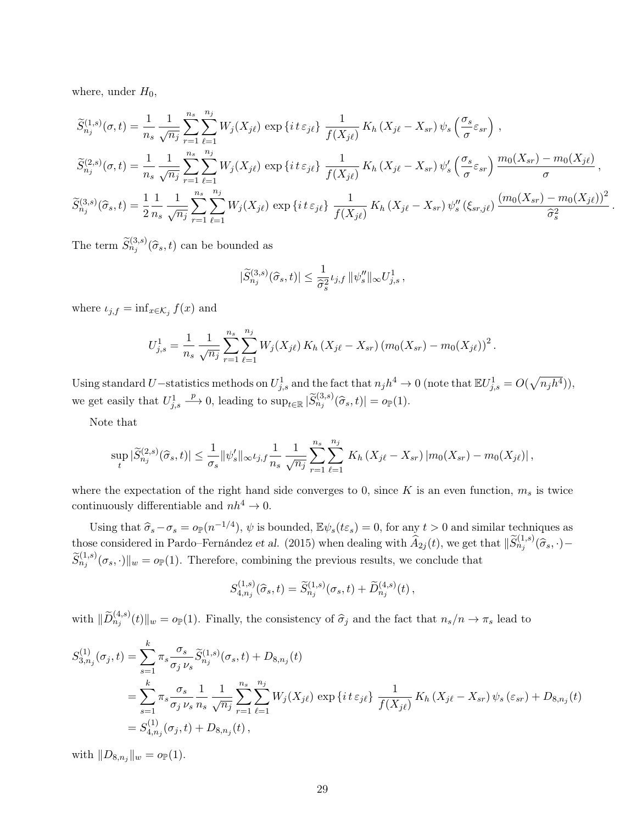where, under  $H_0$ ,

$$
\widetilde{S}_{n_{j}}^{(1,s)}(\sigma,t) = \frac{1}{n_{s}} \frac{1}{\sqrt{n_{j}}} \sum_{r=1}^{n_{s}} \sum_{\ell=1}^{n_{j}} W_{j}(X_{j\ell}) \exp\left\{i\,t\,\varepsilon_{j\ell}\right\} \frac{1}{f(X_{j\ell})} K_{h}\left(X_{j\ell} - X_{sr}\right) \psi_{s}\left(\frac{\sigma_{s}}{\sigma}\varepsilon_{sr}\right) ,
$$
\n
$$
\widetilde{S}_{n_{j}}^{(2,s)}(\sigma,t) = \frac{1}{n_{s}} \frac{1}{\sqrt{n_{j}}} \sum_{r=1}^{n_{s}} \sum_{\ell=1}^{n_{j}} W_{j}(X_{j\ell}) \exp\left\{i\,t\,\varepsilon_{j\ell}\right\} \frac{1}{f(X_{j\ell})} K_{h}\left(X_{j\ell} - X_{sr}\right) \psi_{s}'\left(\frac{\sigma_{s}}{\sigma}\varepsilon_{sr}\right) \frac{m_{0}(X_{sr}) - m_{0}(X_{j\ell})}{\sigma},
$$
\n
$$
\widetilde{S}_{n_{j}}^{(3,s)}(\widehat{\sigma}_{s},t) = \frac{1}{2} \frac{1}{n_{s}} \frac{1}{\sqrt{n_{j}}} \sum_{r=1}^{n_{s}} \sum_{\ell=1}^{n_{j}} W_{j}(X_{j\ell}) \exp\left\{i\,t\,\varepsilon_{j\ell}\right\} \frac{1}{f(X_{j\ell})} K_{h}\left(X_{j\ell} - X_{sr}\right) \psi_{s}''\left(\xi_{sr,j\ell}\right) \frac{\left(m_{0}(X_{sr}) - m_{0}(X_{j\ell})\right)^{2}}{\widehat{\sigma}_{s}^{2}}.
$$

The term  $\widetilde{S}_{n_j}^{(3,s)}(\widehat{\sigma}_s,t)$  can be bounded as

$$
|\widetilde{S}_{n_j}^{(3,s)}(\widehat{\sigma}_s,t)| \leq \frac{1}{\widehat{\sigma}_s^2} \iota_{j,f} ||\psi_s''||_{\infty} U_{j,s}^1,
$$

where  $\iota_{j,f} = \inf_{x \in \mathcal{K}_j} f(x)$  and

$$
U_{j,s}^1 = \frac{1}{n_s} \frac{1}{\sqrt{n_j}} \sum_{r=1}^{n_s} \sum_{\ell=1}^{n_j} W_j(X_{j\ell}) K_h(X_{j\ell} - X_{sr}) (m_0(X_{sr}) - m_0(X_{j\ell}))^2.
$$

Using standard U–statistics methods on  $U_{j,s}^1$  and the fact that  $n_j h^4 \to 0$  (note that  $\mathbb{E} U_{j,s}^1 = O(\sqrt{n_j h^4})$ ), we get easily that  $U_{j,s}^1$  $\longrightarrow$  0, leading to  $\sup_{t\in\mathbb{R}}|\widetilde{S}_{n_j}^{(3,s)}(\widehat{\sigma}_s,t)|=o_{\mathbb{P}}(1).$ 

Note that

$$
\sup_{t} |\widetilde{S}_{n_j}^{(2,s)}(\widehat{\sigma}_s,t)| \leq \frac{1}{\sigma_s} ||\psi_s'||_{\infty} \iota_{j,f} \frac{1}{n_s} \frac{1}{\sqrt{n_j}} \sum_{r=1}^{n_s} \sum_{\ell=1}^{n_j} K_h(X_{j\ell} - X_{sr}) |m_0(X_{sr}) - m_0(X_{j\ell})|,
$$

where the expectation of the right hand side converges to 0, since  $K$  is an even function,  $m_s$  is twice continuously differentiable and  $nh^4 \rightarrow 0$ .

Using that  $\hat{\sigma}_s - \sigma_s = o_P(n^{-1/4}), \psi$  is bounded,  $\mathbb{E}\psi_s(t\varepsilon_s) = 0$ , for any  $t > 0$  and similar techniques as those considered in Pardo–Fernández et al. (2015) when dealing with  $\widehat{A}_{2j}(t)$ , we get that  $\|\widetilde{S}_{n_j}^{(1,s)}(\widehat{\sigma}_s, \cdot) - \widetilde{A}_{2j}(t)\|$  $\tilde{S}_{n_j}^{(1,s)}(\sigma_s, \cdot) \|_{w} = o_{\mathbb{P}}(1)$ . Therefore, combining the previous results, we conclude that

$$
S_{4,n_j}^{(1,s)}(\hat{\sigma}_s,t) = \widetilde{S}_{n_j}^{(1,s)}(\sigma_s,t) + \widetilde{D}_{n_j}^{(4,s)}(t),
$$

with  $\|\widetilde{D}_{n_j}^{(4,s)}(t)\|_{w} = o_{\mathbb{P}}(1)$ . Finally, the consistency of  $\widehat{\sigma}_j$  and the fact that  $n_s/n \to \pi_s$  lead to

$$
S_{3,n_j}^{(1)}(\sigma_j, t) = \sum_{s=1}^k \pi_s \frac{\sigma_s}{\sigma_j \nu_s} \widetilde{S}_{n_j}^{(1,s)}(\sigma_s, t) + D_{8,n_j}(t)
$$
  
= 
$$
\sum_{s=1}^k \pi_s \frac{\sigma_s}{\sigma_j \nu_s} \frac{1}{n_s} \frac{1}{\sqrt{n_j}} \sum_{r=1}^{n_s} \sum_{\ell=1}^{n_j} W_j(X_{j\ell}) \exp\left\{i t \varepsilon_{j\ell}\right\} \frac{1}{f(X_{j\ell})} K_h(X_{j\ell} - X_{sr}) \psi_s(\varepsilon_{sr}) + D_{8,n_j}(t)
$$
  
= 
$$
S_{4,n_j}^{(1)}(\sigma_j, t) + D_{8,n_j}(t),
$$

with  $||D_{8,n_j}||_w = o_{\mathbb{P}}(1)$ .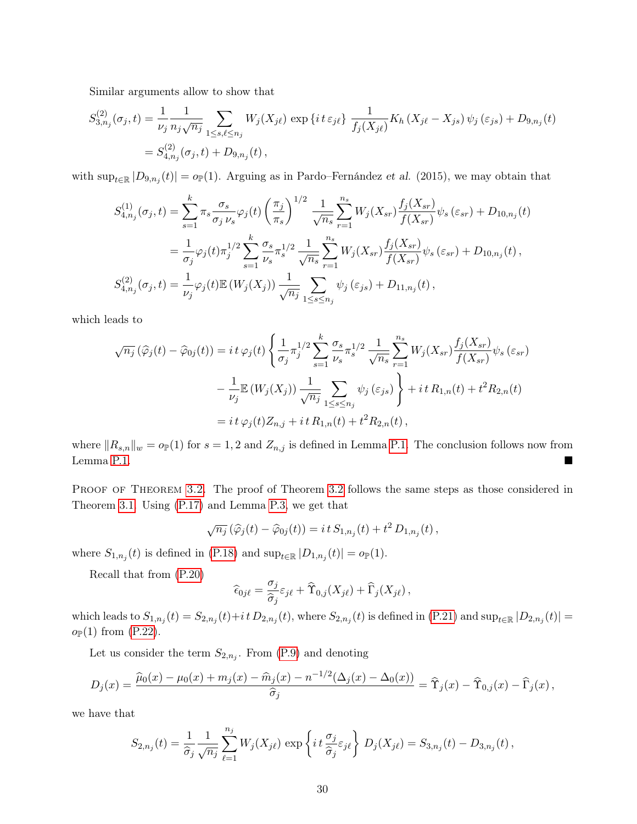Similar arguments allow to show that

$$
S_{3,n_j}^{(2)}(\sigma_j, t) = \frac{1}{\nu_j} \frac{1}{n_j \sqrt{n_j}} \sum_{1 \le s, \ell \le n_j} W_j(X_{j\ell}) \exp\left\{it \epsilon_{j\ell}\right\} \frac{1}{f_j(X_{j\ell})} K_h(X_{j\ell} - X_{js}) \psi_j(\epsilon_{js}) + D_{9,n_j}(t)
$$
  
=  $S_{4,n_j}^{(2)}(\sigma_j, t) + D_{9,n_j}(t)$ ,

with sup<sub>t∈R</sub>  $|D_{9,n_j}(t)| = o_{\mathbb{P}}(1)$ . Arguing as in Pardo–Fernández et al. (2015), we may obtain that

$$
S_{4,n_j}^{(1)}(\sigma_j, t) = \sum_{s=1}^k \pi_s \frac{\sigma_s}{\sigma_j \nu_s} \varphi_j(t) \left(\frac{\pi_j}{\pi_s}\right)^{1/2} \frac{1}{\sqrt{n_s}} \sum_{r=1}^{n_s} W_j(X_{sr}) \frac{f_j(X_{sr})}{f(X_{sr})} \psi_s(\varepsilon_{sr}) + D_{10,n_j}(t)
$$
  

$$
= \frac{1}{\sigma_j} \varphi_j(t) \pi_j^{1/2} \sum_{s=1}^k \frac{\sigma_s}{\nu_s} \pi_s^{1/2} \frac{1}{\sqrt{n_s}} \sum_{r=1}^{n_s} W_j(X_{sr}) \frac{f_j(X_{sr})}{f(X_{sr})} \psi_s(\varepsilon_{sr}) + D_{10,n_j}(t),
$$
  

$$
S_{4,n_j}^{(2)}(\sigma_j, t) = \frac{1}{\nu_j} \varphi_j(t) \mathbb{E}\left(W_j(X_j)\right) \frac{1}{\sqrt{n_j}} \sum_{1 \le s \le n_j} \psi_j(\varepsilon_{js}) + D_{11,n_j}(t),
$$

which leads to

$$
\sqrt{n_j}(\hat{\varphi}_j(t) - \hat{\varphi}_{0j}(t)) = i t \varphi_j(t) \left\{ \frac{1}{\sigma_j} \pi_j^{1/2} \sum_{s=1}^k \frac{\sigma_s}{\nu_s} \pi_s^{1/2} \frac{1}{\sqrt{n_s}} \sum_{r=1}^{n_s} W_j(X_{sr}) \frac{f_j(X_{sr})}{f(X_{sr})} \psi_s(\varepsilon_{sr}) - \frac{1}{\nu_j} \mathbb{E} (W_j(X_j)) \frac{1}{\sqrt{n_j}} \sum_{1 \le s \le n_j} \psi_j(\varepsilon_{js}) \right\} + i t R_{1,n}(t) + t^2 R_{2,n}(t)
$$
  
=  $i t \varphi_j(t) Z_{n,j} + i t R_{1,n}(t) + t^2 R_{2,n}(t),$ 

where  $||R_{s,n}||_w = o_P(1)$  for  $s = 1, 2$  and  $Z_{n,j}$  is defined in Lemma [P.1.](#page-14-1) The conclusion follows now from Lemma [P.1.](#page-14-1)

PROOF OF THEOREM [3.2.](#page-6-0) The proof of Theorem [3.2](#page-6-0) follows the same steps as those considered in Theorem [3.1.](#page-6-1) Using [\(P.17\)](#page-24-0) and Lemma [P.3,](#page-19-1) we get that

$$
\sqrt{n_j} \left( \widehat{\varphi}_j(t) - \widehat{\varphi}_{0j}(t) \right) = i t S_{1,n_j}(t) + t^2 D_{1,n_j}(t) ,
$$

where  $S_{1,n_j}(t)$  is defined in [\(P.18\)](#page-25-2) and  $\sup_{t\in\mathbb{R}}|D_{1,n_j}(t)|=o_{\mathbb{P}}(1)$ .

Recall that from [\(P.20\)](#page-25-3)

$$
\widehat{\epsilon}_{0j\ell} = \frac{\sigma_j}{\widehat{\sigma}_j} \varepsilon_{j\ell} + \widehat{\Upsilon}_{0,j}(X_{j\ell}) + \widehat{\Gamma}_j(X_{j\ell}),
$$

which leads to  $S_{1,n_j}(t) = S_{2,n_j}(t) + i t D_{2,n_j}(t)$ , where  $S_{2,n_j}(t)$  is defined in  $(P.21)$  and  $\sup_{t \in \mathbb{R}} |D_{2,n_j}(t)| =$  $o_{\mathbb{P}}(1)$  from [\(P.22\)](#page-25-1).

Let us consider the term  $S_{2,n_j}$ . From [\(P.9\)](#page-19-2) and denoting

$$
D_j(x) = \frac{\widehat{\mu}_0(x) - \mu_0(x) + m_j(x) - \widehat{m}_j(x) - n^{-1/2}(\Delta_j(x) - \Delta_0(x))}{\widehat{\sigma}_j} = \widehat{\Upsilon}_j(x) - \widehat{\Upsilon}_{0,j}(x) - \widehat{\Upsilon}_j(x),
$$

we have that

$$
S_{2,n_j}(t) = \frac{1}{\hat{\sigma}_j} \frac{1}{\sqrt{n_j}} \sum_{\ell=1}^{n_j} W_j(X_{j\ell}) \exp\left\{ i t \frac{\sigma_j}{\hat{\sigma}_j} \varepsilon_{j\ell} \right\} D_j(X_{j\ell}) = S_{3,n_j}(t) - D_{3,n_j}(t) ,
$$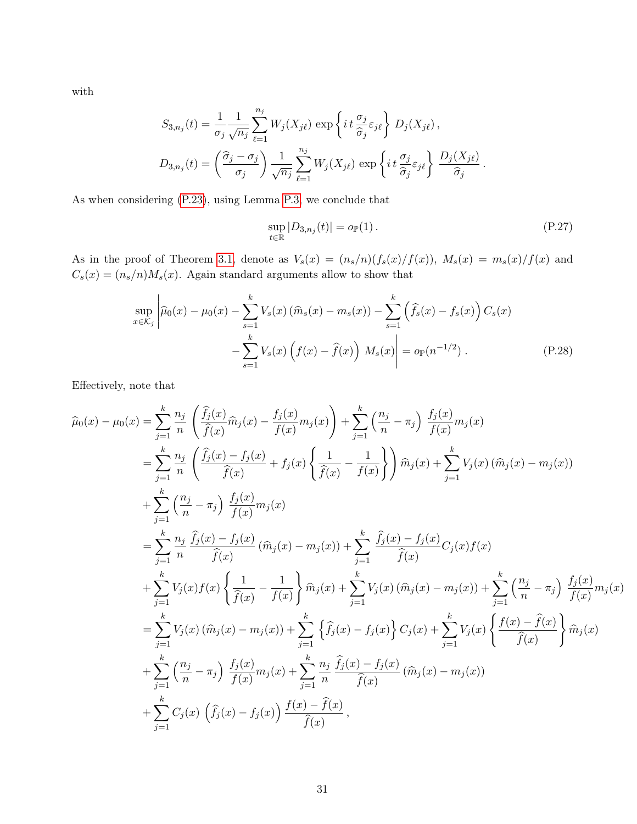with

$$
S_{3,n_j}(t) = \frac{1}{\sigma_j} \frac{1}{\sqrt{n_j}} \sum_{\ell=1}^{n_j} W_j(X_{j\ell}) \exp\left\{ i t \frac{\sigma_j}{\hat{\sigma}_j} \varepsilon_{j\ell} \right\} D_j(X_{j\ell}),
$$
  

$$
D_{3,n_j}(t) = \left( \frac{\hat{\sigma}_j - \sigma_j}{\sigma_j} \right) \frac{1}{\sqrt{n_j}} \sum_{\ell=1}^{n_j} W_j(X_{j\ell}) \exp\left\{ i t \frac{\sigma_j}{\hat{\sigma}_j} \varepsilon_{j\ell} \right\} \frac{D_j(X_{j\ell})}{\hat{\sigma}_j}.
$$

As when considering [\(P.23\)](#page-26-1), using Lemma [P.3,](#page-19-1) we conclude that

<span id="page-30-0"></span>
$$
\sup_{t \in \mathbb{R}} |D_{3,n_j}(t)| = o_{\mathbb{P}}(1).
$$
 (P.27)

As in the proof of Theorem [3.1,](#page-6-1) denote as  $V_s(x) = (n_s/n)(f_s(x)/f(x))$ ,  $M_s(x) = m_s(x)/f(x)$  and  $C_s(x) = (n_s/n)M_s(x)$  . Again standard arguments allow to show that

$$
\sup_{x \in \mathcal{K}_j} \left| \widehat{\mu}_0(x) - \mu_0(x) - \sum_{s=1}^k V_s(x) \left( \widehat{m}_s(x) - m_s(x) \right) - \sum_{s=1}^k \left( \widehat{f}_s(x) - f_s(x) \right) C_s(x) - \sum_{s=1}^k V_s(x) \left( f(x) - \widehat{f}(x) \right) M_s(x) \right| = o_{\mathbb{P}}(n^{-1/2}).
$$
\n(P.28)

Effectively, note that

$$
\hat{\mu}_{0}(x) - \mu_{0}(x) = \sum_{j=1}^{k} \frac{n_{j}}{n} \left( \frac{\hat{f}_{j}(x)}{\hat{f}(x)} \hat{m}_{j}(x) - \frac{f_{j}(x)}{f(x)} m_{j}(x) \right) + \sum_{j=1}^{k} \left( \frac{n_{j}}{n} - \pi_{j} \right) \frac{f_{j}(x)}{f(x)} m_{j}(x)
$$
\n
$$
= \sum_{j=1}^{k} \frac{n_{j}}{n} \left( \frac{\hat{f}_{j}(x) - f_{j}(x)}{\hat{f}(x)} + f_{j}(x) \left\{ \frac{1}{\hat{f}(x)} - \frac{1}{f(x)} \right\} \right) \hat{m}_{j}(x) + \sum_{j=1}^{k} V_{j}(x) \left( \hat{m}_{j}(x) - m_{j}(x) \right)
$$
\n
$$
+ \sum_{j=1}^{k} \left( \frac{n_{j}}{n} - \pi_{j} \right) \frac{f_{j}(x)}{f(x)} m_{j}(x)
$$
\n
$$
= \sum_{j=1}^{k} \frac{n_{j}}{n} \frac{\hat{f}_{j}(x) - f_{j}(x)}{\hat{f}(x)} \left( \hat{m}_{j}(x) - m_{j}(x) \right) + \sum_{j=1}^{k} \frac{\hat{f}_{j}(x) - f_{j}(x)}{\hat{f}(x)} C_{j}(x) f(x)
$$
\n
$$
+ \sum_{j=1}^{k} V_{j}(x) f(x) \left\{ \frac{1}{\hat{f}(x)} - \frac{1}{f(x)} \right\} \hat{m}_{j}(x) + \sum_{j=1}^{k} V_{j}(x) \left( \hat{m}_{j}(x) - m_{j}(x) \right) + \sum_{j=1}^{k} \left( \frac{n_{j}}{n} - \pi_{j} \right) \frac{f_{j}(x)}{f(x)} m_{j}(x)
$$
\n
$$
= \sum_{j=1}^{k} V_{j}(x) \left( \hat{m}_{j}(x) - m_{j}(x) \right) + \sum_{j=1}^{k} \left\{ \hat{f}_{j}(x) - f_{j}(x) \right\} C_{j}(x) + \sum_{j=1}^{k} V_{j}(x) \left\{ \frac{f(x) - \hat{f}(x)}{\hat{f}(x)} \right\} \hat
$$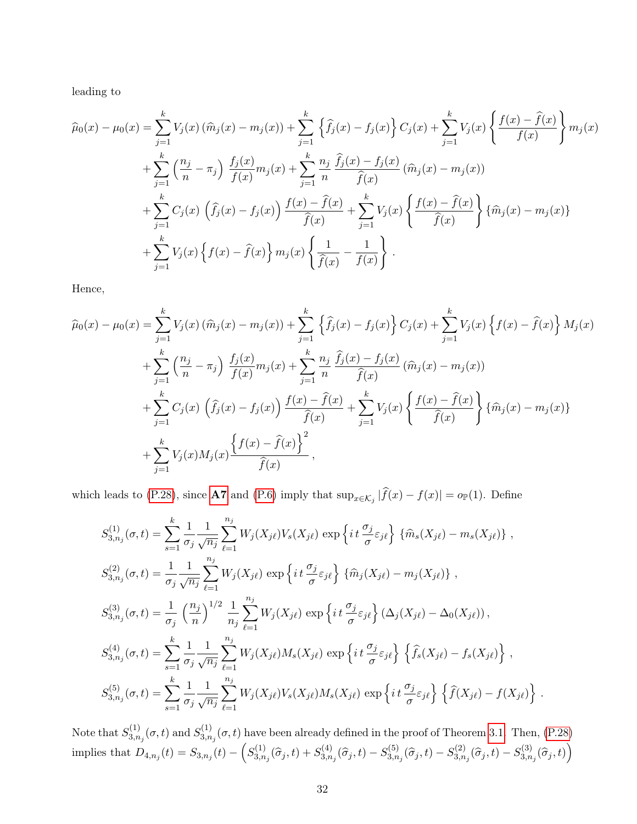leading to

$$
\widehat{\mu}_{0}(x) - \mu_{0}(x) = \sum_{j=1}^{k} V_{j}(x) (\widehat{m}_{j}(x) - m_{j}(x)) + \sum_{j=1}^{k} \left\{ \widehat{f}_{j}(x) - f_{j}(x) \right\} C_{j}(x) + \sum_{j=1}^{k} V_{j}(x) \left\{ \frac{f(x) - \widehat{f}(x)}{f(x)} \right\} m_{j}(x) \n+ \sum_{j=1}^{k} \left( \frac{n_{j}}{n} - \pi_{j} \right) \frac{f_{j}(x)}{f(x)} m_{j}(x) + \sum_{j=1}^{k} \frac{n_{j}}{n} \frac{\widehat{f}_{j}(x) - f_{j}(x)}{\widehat{f}(x)} (\widehat{m}_{j}(x) - m_{j}(x)) \n+ \sum_{j=1}^{k} C_{j}(x) \left( \widehat{f}_{j}(x) - f_{j}(x) \right) \frac{f(x) - \widehat{f}(x)}{\widehat{f}(x)} + \sum_{j=1}^{k} V_{j}(x) \left\{ \frac{f(x) - \widehat{f}(x)}{\widehat{f}(x)} \right\} {\widehat{m}_{j}(x) - m_{j}(x)} \n+ \sum_{j=1}^{k} V_{j}(x) \left\{ f(x) - \widehat{f}(x) \right\} m_{j}(x) \left\{ \frac{1}{\widehat{f}(x)} - \frac{1}{f(x)} \right\}.
$$

Hence,

$$
\widehat{\mu}_{0}(x) - \mu_{0}(x) = \sum_{j=1}^{k} V_{j}(x) (\widehat{m}_{j}(x) - m_{j}(x)) + \sum_{j=1}^{k} \left\{ \widehat{f}_{j}(x) - f_{j}(x) \right\} C_{j}(x) + \sum_{j=1}^{k} V_{j}(x) \left\{ f(x) - \widehat{f}(x) \right\} M_{j}(x) \n+ \sum_{j=1}^{k} \left( \frac{n_{j}}{n} - \pi_{j} \right) \frac{f_{j}(x)}{f(x)} m_{j}(x) + \sum_{j=1}^{k} \frac{n_{j}}{n} \frac{\widehat{f}_{j}(x) - f_{j}(x)}{\widehat{f}(x)} (\widehat{m}_{j}(x) - m_{j}(x)) \n+ \sum_{j=1}^{k} C_{j}(x) \left( \widehat{f}_{j}(x) - f_{j}(x) \right) \frac{f(x) - \widehat{f}(x)}{\widehat{f}(x)} + \sum_{j=1}^{k} V_{j}(x) \left\{ \frac{f(x) - \widehat{f}(x)}{\widehat{f}(x)} \right\} {\widehat{m}_{j}(x) - m_{j}(x)} \n+ \sum_{j=1}^{k} V_{j}(x) M_{j}(x) \frac{\left\{ f(x) - \widehat{f}(x) \right\}^{2}}{\widehat{f}(x)},
$$

which leads to [\(P.28\)](#page-30-0), since **[A7](#page-5-9)** and [\(P.6\)](#page-18-1) imply that  $\sup_{x \in \mathcal{K}_j} |f(x) - f(x)| = o_{\mathbb{P}}(1)$ . Define

$$
S_{3,n_j}^{(1)}(\sigma,t) = \sum_{s=1}^{k} \frac{1}{\sigma_j} \frac{1}{\sqrt{n_j}} \sum_{\ell=1}^{n_j} W_j(X_{j\ell}) V_s(X_{j\ell}) \exp\left\{it\frac{\sigma_j}{\sigma} \varepsilon_{j\ell}\right\} \{\widehat{m}_s(X_{j\ell}) - m_s(X_{j\ell})\},
$$
  
\n
$$
S_{3,n_j}^{(2)}(\sigma,t) = \frac{1}{\sigma_j} \frac{1}{\sqrt{n_j}} \sum_{\ell=1}^{n_j} W_j(X_{j\ell}) \exp\left\{it\frac{\sigma_j}{\sigma} \varepsilon_{j\ell}\right\} \{\widehat{m}_j(X_{j\ell}) - m_j(X_{j\ell})\},
$$
  
\n
$$
S_{3,n_j}^{(3)}(\sigma,t) = \frac{1}{\sigma_j} \left(\frac{n_j}{n}\right)^{1/2} \frac{1}{n_j} \sum_{\ell=1}^{n_j} W_j(X_{j\ell}) \exp\left\{it\frac{\sigma_j}{\sigma} \varepsilon_{j\ell}\right\} (\Delta_j(X_{j\ell}) - \Delta_0(X_{j\ell})),
$$
  
\n
$$
S_{3,n_j}^{(4)}(\sigma,t) = \sum_{s=1}^{k} \frac{1}{\sigma_j} \frac{1}{\sqrt{n_j}} \sum_{\ell=1}^{n_j} W_j(X_{j\ell}) M_s(X_{j\ell}) \exp\left\{it\frac{\sigma_j}{\sigma} \varepsilon_{j\ell}\right\} \left\{\widehat{f}_s(X_{j\ell}) - f_s(X_{j\ell})\right\},
$$
  
\n
$$
S_{3,n_j}^{(5)}(\sigma,t) = \sum_{s=1}^{k} \frac{1}{\sigma_j} \frac{1}{\sqrt{n_j}} \sum_{\ell=1}^{n_j} W_j(X_{j\ell}) V_s(X_{j\ell}) M_s(X_{j\ell}) \exp\left\{it\frac{\sigma_j}{\sigma} \varepsilon_{j\ell}\right\} \left\{\widehat{f}(X_{j\ell}) - f(X_{j\ell})\right\}.
$$

Note that  $S_{3,n}^{(1)}$  $S^{(1)}_{3,n_j}(\sigma,t)$  and  $S^{(1)}_{3,n}$  $\mathcal{L}_{3,n_j}^{(1)}(\sigma, t)$  have been already defined in the proof of Theorem [3.1.](#page-6-1) Then, [\(P.28\)](#page-30-0) implies that  $D_{4,n_j}(t) = S_{3,n_j}(t) - \left(S_{3,n_j}(t) - S_{3,n_j}(t)\right)$  $S^{(1)}_{3,n_j}(\widehat\sigma_j,t) + S^{(4)}_{3,n_j}$  $S^{(4)}_{3,n_j}(\widehat{\sigma}_j,t) - S^{(5)}_{3,n}$  $S^{(5)}_{3,n_j}(\widehat{\sigma}_{j},t)-S^{(2)}_{3,n}$  $S_{3,n_j}^{(2)}(\widehat{\sigma}_{j},t)-S_{3,n}^{(3)}$  $J_{3,n_j}^{(3)}(\widehat{\sigma}_{j},t)\Big)$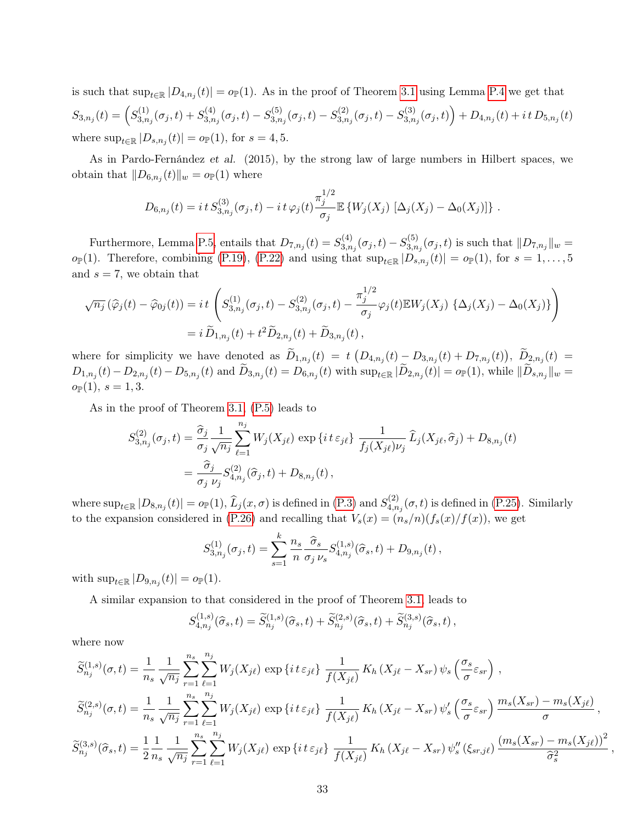is such that  $\sup_{t\in\mathbb{R}}|D_{4,n_j}(t)|=o_{\mathbb{P}}(1)$ . As in the proof of Theorem [3.1](#page-6-1) using Lemma [P.4](#page-20-1) we get that  $S_{3,n_j}(t) = \left( S_{3,n}^{(1)} \right)$  $S^{(1)}_{3,n_j}(\sigma_j,t)+S^{(4)}_{3,n_j}$  $S^{(4)}_{3,n_j}(\sigma_j,t) - S^{(5)}_{3,n}$  $S_{3,n_j}^{(5)}(\sigma_j,t)-S_{3,n}^{(2)}$  $S_{3,n_j}^{(2)}(\sigma_j,t) - S_{3,n}^{(3)}$  $\left( \begin{matrix} (3) \ 3,n_j(\sigma_j,t) \end{matrix} \right) + D_{4,n_j}(t) + i t D_{5,n_j}(t)$ where  $\sup_{t \in \mathbb{R}} |D_{s,n_j}(t)| = o_{\mathbb{P}}(1)$ , for  $s = 4, 5$ .

As in Pardo-Fernández et al. (2015), by the strong law of large numbers in Hilbert spaces, we obtain that  $||D_{6,n_j}(t)||_w = o_{\mathbb{P}}(1)$  where

$$
D_{6,n_j}(t) = i t S_{3,n_j}^{(3)}(\sigma_j,t) - i t \varphi_j(t) \frac{\pi_j^{1/2}}{\sigma_j} \mathbb{E} \left\{ W_j(X_j) \left[ \Delta_j(X_j) - \Delta_0(X_j) \right] \right\}.
$$

Furthermore, Lemma [P.5,](#page-23-1) entails that  $D_{7,n_j}(t) = S_{3,n_j}^{(4)}$  $S_{3,n_j}^{(4)}(\sigma_j,t)-S_{3,n}^{(5)}$  $\lim_{3,n_j}(\sigma_j,t)$  is such that  $||D_{7,n_j}||_w =$  $o_{\mathbb{P}}(1)$ . Therefore, combining [\(P.19\)](#page-25-0), [\(P.22\)](#page-25-1) and using that  $\sup_{t\in\mathbb{R}}|D_{s,n_j}(t)|=o_{\mathbb{P}}(1)$ , for  $s=1,\ldots,5$ and  $s = 7$ , we obtain that

$$
\sqrt{n_j}(\hat{\varphi}_j(t) - \hat{\varphi}_{0j}(t)) = it \left( S_{3,n_j}^{(1)}(\sigma_j, t) - S_{3,n_j}^{(2)}(\sigma_j, t) - \frac{\pi_j^{1/2}}{\sigma_j} \varphi_j(t) \mathbb{E} W_j(X_j) \{ \Delta_j(X_j) - \Delta_0(X_j) \} \right)
$$
  
=  $i \tilde{D}_{1,n_j}(t) + t^2 \tilde{D}_{2,n_j}(t) + \tilde{D}_{3,n_j}(t),$ 

where for simplicity we have denoted as  $D_{1,n_j}(t) = t \left( D_{4,n_j}(t) - D_{3,n_j}(t) + D_{7,n_j}(t) \right), D_{2,n_j}(t) =$  $D_{1,n_j}(t) - D_{2,n_j}(t) - D_{5,n_j}(t)$  and  $D_{3,n_j}(t) = D_{6,n_j}(t)$  with  $\sup_{t \in \mathbb{R}} |D_{2,n_j}(t)| = o_{\mathbb{P}}(1)$ , while  $||D_{s,n_j}||_w =$  $o_{\mathbb{P}}(1), s = 1, 3.$ 

As in the proof of Theorem [3.1,](#page-6-1) [\(P.5\)](#page-18-1) leads to

$$
S_{3,n_j}^{(2)}(\sigma_j, t) = \frac{\hat{\sigma}_j}{\sigma_j} \frac{1}{\sqrt{n_j}} \sum_{\ell=1}^{n_j} W_j(X_{j\ell}) \exp\{it \epsilon_{j\ell}\} \frac{1}{f_j(X_{j\ell})\nu_j} \widehat{L}_j(X_{j\ell}, \hat{\sigma}_j) + D_{8,n_j}(t) = \frac{\hat{\sigma}_j}{\sigma_j \nu_j} S_{4,n_j}^{(2)}(\hat{\sigma}_j, t) + D_{8,n_j}(t) ,
$$

where  $\sup_{t\in\mathbb{R}}|D_{8,n_j}(t)| = o_{\mathbb{P}}(1), \hat{L}_j(x,\sigma)$  is defined in [\(P.3\)](#page-18-4) and  $S_{4,n}^{(2)}$  $A_{4,n_j}^{(2)}(\sigma,t)$  is defined in [\(P.25\)](#page-27-0). Similarly to the expansion considered in [\(P.26\)](#page-27-1) and recalling that  $V_s(x) = (n_s/n)(f_s(x)/f(x))$ , we get

$$
S_{3,n_j}^{(1)}(\sigma_j,t) = \sum_{s=1}^k \frac{n_s}{n} \frac{\widehat{\sigma}_s}{\sigma_j \nu_s} S_{4,n_j}^{(1,s)}(\widehat{\sigma}_s,t) + D_{9,n_j}(t),
$$

with  $\sup_{t\in\mathbb{R}}|D_{9,n_j}(t)|=o_{\mathbb{P}}(1).$ 

A similar expansion to that considered in the proof of Theorem [3.1,](#page-6-1) leads to

$$
S_{4,n_j}^{(1,s)}(\hat{\sigma}_s,t) = \widetilde{S}_{n_j}^{(1,s)}(\hat{\sigma}_s,t) + \widetilde{S}_{n_j}^{(2,s)}(\hat{\sigma}_s,t) + \widetilde{S}_{n_j}^{(3,s)}(\hat{\sigma}_s,t),
$$

where now

$$
\widetilde{S}_{n_j}^{(1,s)}(\sigma,t) = \frac{1}{n_s} \frac{1}{\sqrt{n_j}} \sum_{r=1}^{n_s} \sum_{\ell=1}^{n_j} W_j(X_{j\ell}) \exp\left\{it \varepsilon_{j\ell}\right\} \frac{1}{f(X_{j\ell})} K_h(X_{j\ell} - X_{sr}) \psi_s\left(\frac{\sigma_s}{\sigma} \varepsilon_{sr}\right),
$$
\n
$$
\widetilde{S}_{n_j}^{(2,s)}(\sigma,t) = \frac{1}{n_s} \frac{1}{\sqrt{n_j}} \sum_{r=1}^{n_s} \sum_{\ell=1}^{n_j} W_j(X_{j\ell}) \exp\left\{it \varepsilon_{j\ell}\right\} \frac{1}{f(X_{j\ell})} K_h(X_{j\ell} - X_{sr}) \psi_s'\left(\frac{\sigma_s}{\sigma} \varepsilon_{sr}\right) \frac{m_s(X_{sr}) - m_s(X_{j\ell})}{\sigma},
$$
\n
$$
\widetilde{S}_{n_j}^{(3,s)}(\widehat{\sigma}_s,t) = \frac{1}{2} \frac{1}{n_s} \frac{1}{\sqrt{n_j}} \sum_{r=1}^{n_s} \sum_{\ell=1}^{n_j} W_j(X_{j\ell}) \exp\left\{it \varepsilon_{j\ell}\right\} \frac{1}{f(X_{j\ell})} K_h(X_{j\ell} - X_{sr}) \psi_s''(\xi_{sr,j\ell}) \frac{(m_s(X_{sr}) - m_s(X_{j\ell}))^2}{\widehat{\sigma}_s^2},
$$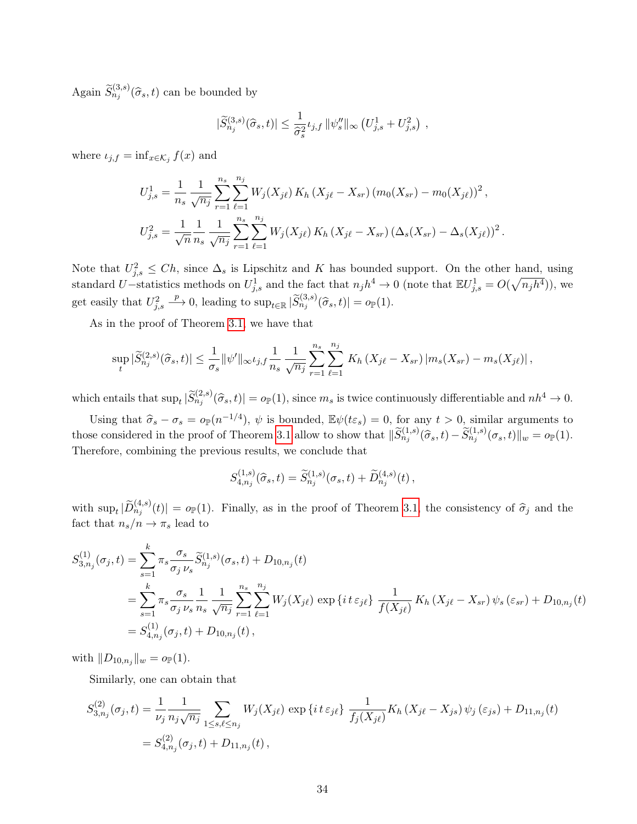Again  $\widetilde{S}_{n_j}^{(3,s)}(\widehat{\sigma}_s,t)$  can be bounded by

$$
|\widetilde{S}_{n_j}^{(3,s)}(\widehat{\sigma}_s,t)| \leq \frac{1}{\widehat{\sigma}_s^2} \iota_{j,f} ||\psi''_s||_{\infty} (U_{j,s}^1 + U_{j,s}^2),
$$

where  $\iota_{j,f} = \inf_{x \in \mathcal{K}_j} f(x)$  and

$$
U_{j,s}^1 = \frac{1}{n_s} \frac{1}{\sqrt{n_j}} \sum_{r=1}^{n_s} \sum_{\ell=1}^{n_j} W_j(X_{j\ell}) K_h(X_{j\ell} - X_{sr}) (m_0(X_{sr}) - m_0(X_{j\ell}))^2,
$$
  

$$
U_{j,s}^2 = \frac{1}{\sqrt{n}} \frac{1}{n_s} \frac{1}{\sqrt{n_j}} \sum_{r=1}^{n_s} \sum_{\ell=1}^{n_j} W_j(X_{j\ell}) K_h(X_{j\ell} - X_{sr}) (\Delta_s(X_{sr}) - \Delta_s(X_{j\ell}))^2.
$$

Note that  $U_{j,s}^2 \leq Ch$ , since  $\Delta_s$  is Lipschitz and K has bounded support. On the other hand, using standard U–statistics methods on  $U_{j,s}^1$  and the fact that  $n_j h^4 \to 0$  (note that  $\mathbb{E} U_{j,s}^1 = O(\sqrt{n_j h^4})$ ), we get easily that  $U_{j,s}^2$  $\longrightarrow$  0, leading to  $\sup_{t\in\mathbb{R}}|\widetilde{S}_{n_j}^{(3,s)}(\widehat{\sigma}_s,t)|=o_{\mathbb{P}}(1).$ 

As in the proof of Theorem [3.1,](#page-6-1) we have that

$$
\sup_{t} |\widetilde{S}_{n_j}^{(2,s)}(\widehat{\sigma}_s,t)| \leq \frac{1}{\sigma_s} ||\psi'||_{\infty} \iota_{j,f} \frac{1}{n_s} \frac{1}{\sqrt{n_j}} \sum_{r=1}^{n_s} \sum_{\ell=1}^{n_j} K_h(X_{j\ell} - X_{sr}) |m_s(X_{sr}) - m_s(X_{j\ell})|,
$$

which entails that  $\sup_t |\widetilde{S}_{n_j}^{(2,s)}(\widehat{\sigma}_s,t)| = o_{\mathbb{P}}(1)$ , since  $m_s$  is twice continuously differentiable and  $nh^4 \to 0$ .

Using that  $\hat{\sigma}_s - \sigma_s = o_\mathbb{P}(n^{-1/4}), \psi$  is bounded,  $\mathbb{E}\psi(t\varepsilon_s) = 0$ , for any  $t > 0$ , similar arguments to those considered in the proof of Theorem [3.1](#page-6-1) allow to show that  $\|\widetilde{S}_{n_j}^{(1,s)}(\widehat{\sigma}_s,t) - \widetilde{S}_{n_j}^{(1,s)}(\sigma_s,t)\|_{w} = o_{\mathbb{P}}(1)$ . Therefore, combining the previous results, we conclude that

$$
S_{4,n_j}^{(1,s)}(\hat{\sigma}_s,t) = \tilde{S}_{n_j}^{(1,s)}(\sigma_s,t) + \tilde{D}_{n_j}^{(4,s)}(t),
$$

with  $\sup_t |\widetilde{D}_{n_j}^{(4,s)}(t)| = o_{\mathbb{P}}(1)$ . Finally, as in the proof of Theorem [3.1,](#page-6-1) the consistency of  $\widehat{\sigma}_j$  and the fact that  $n_s/n \to \pi_s$  lead to

$$
S_{3,n_j}^{(1)}(\sigma_j, t) = \sum_{s=1}^k \pi_s \frac{\sigma_s}{\sigma_j \nu_s} \widetilde{S}_{n_j}^{(1,s)}(\sigma_s, t) + D_{10,n_j}(t)
$$
  
= 
$$
\sum_{s=1}^k \pi_s \frac{\sigma_s}{\sigma_j \nu_s} \frac{1}{n_s} \frac{1}{\sqrt{n_j}} \sum_{r=1}^{n_s} \sum_{\ell=1}^{n_j} W_j(X_{j\ell}) \exp\left\{i t \varepsilon_{j\ell}\right\} \frac{1}{f(X_{j\ell})} K_h(X_{j\ell} - X_{sr}) \psi_s(\varepsilon_{sr}) + D_{10,n_j}(t)
$$
  
= 
$$
S_{4,n_j}^{(1)}(\sigma_j, t) + D_{10,n_j}(t),
$$

with  $||D_{10,n_j}||_w = o_{\mathbb{P}}(1)$ .

Similarly, one can obtain that

$$
S_{3,n_j}^{(2)}(\sigma_j, t) = \frac{1}{\nu_j} \frac{1}{n_j \sqrt{n_j}} \sum_{1 \le s, \ell \le n_j} W_j(X_{j\ell}) \exp\left\{it \epsilon_{j\ell}\right\} \frac{1}{f_j(X_{j\ell})} K_h(X_{j\ell} - X_{j\ell}) \psi_j(\epsilon_{js}) + D_{11,n_j}(t)
$$
  
= 
$$
S_{4,n_j}^{(2)}(\sigma_j, t) + D_{11,n_j}(t),
$$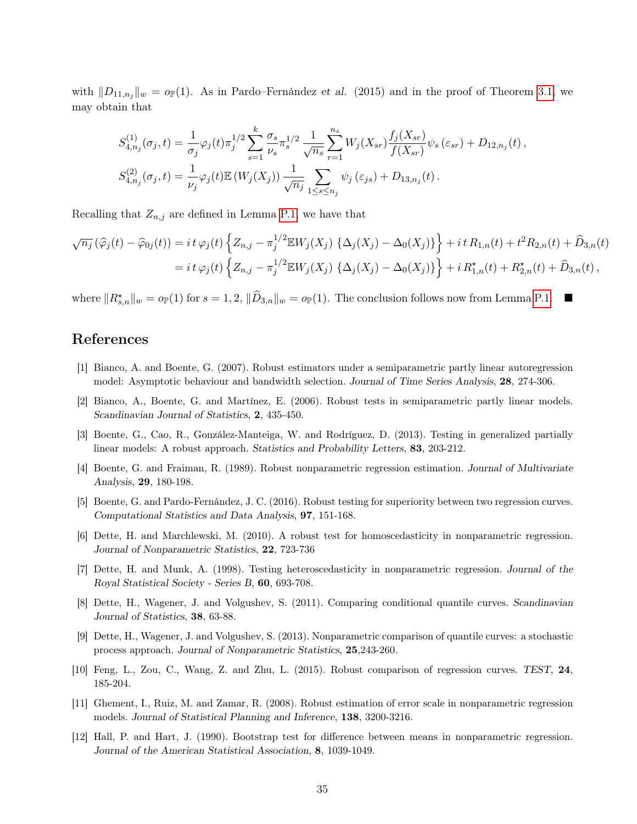with  $||D_{11,n_j}||_{w} = o_{\mathbb{P}}(1)$ . As in Pardo–Fernández et al. (2015) and in the proof of Theorem [3.1,](#page-6-1) we may obtain that

$$
S_{4,n_j}^{(1)}(\sigma_j, t) = \frac{1}{\sigma_j} \varphi_j(t) \pi_j^{1/2} \sum_{s=1}^k \frac{\sigma_s}{\nu_s} \pi_s^{1/2} \frac{1}{\sqrt{n_s}} \sum_{r=1}^{n_s} W_j(X_{sr}) \frac{f_j(X_{sr})}{f(X_{sr})} \psi_s(\varepsilon_{sr}) + D_{12,n_j}(t),
$$
  

$$
S_{4,n_j}^{(2)}(\sigma_j, t) = \frac{1}{\nu_j} \varphi_j(t) \mathbb{E}\left(W_j(X_j)\right) \frac{1}{\sqrt{n_j}} \sum_{1 \le s \le n_j} \psi_j(\varepsilon_{js}) + D_{13,n_j}(t).
$$

Recalling that  $Z_{n,j}$  are defined in Lemma [P.1,](#page-14-1) we have that

$$
\sqrt{n_j}(\hat{\varphi}_j(t) - \hat{\varphi}_{0j}(t)) = i t \varphi_j(t) \left\{ Z_{n,j} - \pi_j^{1/2} \mathbb{E} W_j(X_j) \{ \Delta_j(X_j) - \Delta_0(X_j) \} \right\} + i t R_{1,n}(t) + t^2 R_{2,n}(t) + \hat{D}_{3,n}(t)
$$
  
=  $i t \varphi_j(t) \left\{ Z_{n,j} - \pi_j^{1/2} \mathbb{E} W_j(X_j) \{ \Delta_j(X_j) - \Delta_0(X_j) \} \right\} + i R_{1,n}^*(t) + R_{2,n}^*(t) + \hat{D}_{3,n}(t),$ 

where  $||R_{s,n}^*||_w = o_P(1)$  for  $s = 1, 2, ||\widehat{D}_{3,n}||_w = o_P(1)$ . The conclusion follows now from Lemma [P.1.](#page-14-1)

## References

- [1] Bianco, A. and Boente, G. (2007). Robust estimators under a semiparametric partly linear autoregression model: Asymptotic behaviour and bandwidth selection. Journal of Time Series Analysis, 28, 274-306.
- [2] Bianco, A., Boente, G. and Martínez, E. (2006). Robust tests in semiparametric partly linear models. Scandinavian Journal of Statistics, 2, 435-450.
- [3] Boente, G., Cao, R., González-Manteiga, W. and Rodríguez, D. (2013). Testing in generalized partially linear models: A robust approach. Statistics and Probability Letters, 83, 203-212.
- [4] Boente, G. and Fraiman, R. (1989). Robust nonparametric regression estimation. Journal of Multivariate Analysis, 29, 180-198.
- [5] Boente, G. and Pardo-Fernández, J. C. (2016). Robust testing for superiority between two regression curves. Computational Statistics and Data Analysis, 97, 151-168.
- [6] Dette, H. and Marchlewski, M. (2010). A robust test for homoscedasticity in nonparametric regression. Journal of Nonparametric Statistics, 22, 723-736
- [7] Dette, H. and Munk, A. (1998). Testing heteroscedasticity in nonparametric regression. Journal of the Royal Statistical Society - Series B, 60, 693-708.
- [8] Dette, H., Wagener, J. and Volgushev, S. (2011). Comparing conditional quantile curves. Scandinavian Journal of Statistics, 38, 63-88.
- [9] Dette, H., Wagener, J. and Volgushev, S. (2013). Nonparametric comparison of quantile curves: a stochastic process approach. Journal of Nonparametric Statistics, 25,243-260.
- [10] Feng, L., Zou, C., Wang, Z. and Zhu, L. (2015). Robust comparison of regression curves. TEST, 24, 185-204.
- [11] Ghement, I., Ruiz, M. and Zamar, R. (2008). Robust estimation of error scale in nonparametric regression models. Journal of Statistical Planning and Inference, 138, 3200-3216.
- [12] Hall, P. and Hart, J. (1990). Bootstrap test for difference between means in nonparametric regression. Journal of the American Statistical Association, 8, 1039-1049.